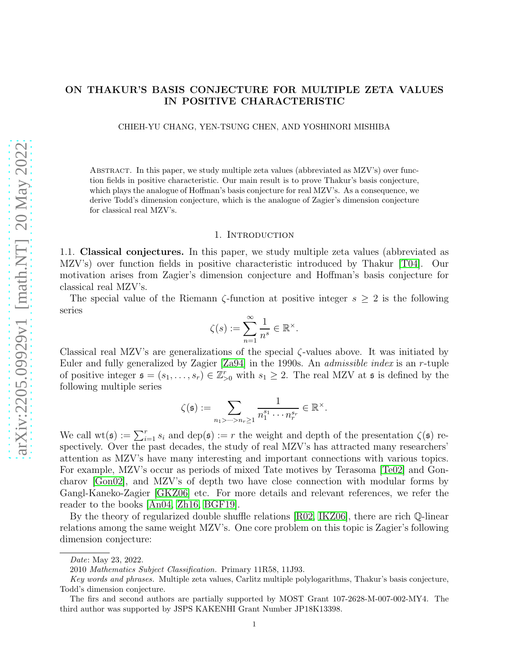# ON THAKUR'S BASIS CONJECTURE FOR MULTIPLE ZETA VALUES IN POSITIVE CHARACTERISTIC

CHIEH-YU CHANG, YEN-TSUNG CHEN, AND YOSHINORI MISHIBA

Abstract. In this paper, we study multiple zeta values (abbreviated as MZV's) over function fields in positive characteristic. Our main result is to prove Thakur's basis conjecture, which plays the analogue of Hoffman's basis conjecture for real MZV's. As a consequence, we derive Todd's dimension conjecture, which is the analogue of Zagier's dimension conjecture for classical real MZV's.

#### 1. INTRODUCTION

1.1. Classical conjectures. In this paper, we study multiple zeta values (abbreviated as MZV's) over function fields in positive characteristic introduced by Thakur [\[T04\]](#page-30-0). Our motivation arises from Zagier's dimension conjecture and Hoffman's basis conjecture for classical real MZV's.

The special value of the Riemann  $\zeta$ -function at positive integer  $s \geq 2$  is the following series

$$
\zeta(s):=\sum_{n=1}^\infty\frac{1}{n^s}\in\mathbb{R}^\times.
$$

Classical real MZV's are generalizations of the special  $\zeta$ -values above. It was initiated by Euler and fully generalized by Zagier [\[Za94\]](#page-30-1) in the 1990s. An admissible index is an r-tuple of positive integer  $\mathfrak{s} = (s_1, \ldots, s_r) \in \mathbb{Z}_{\geq 0}^r$  with  $s_1 \geq 2$ . The real MZV at  $\mathfrak{s}$  is defined by the following multiple series

$$
\zeta(\mathfrak{s}) := \sum_{n_1 > \dots > n_r \geq 1} \frac{1}{n_1^{s_1} \cdots n_r^{s_r}} \in \mathbb{R}^{\times}.
$$

We call  $\text{wt}(\mathfrak{s}) := \sum_{i=1}^r s_i$  and  $\text{dep}(\mathfrak{s}) := r$  the weight and depth of the presentation  $\zeta(\mathfrak{s})$  respectively. Over the past decades, the study of real MZV's has attracted many researchers' attention as MZV's have many interesting and important connections with various topics. For example, MZV's occur as periods of mixed Tate motives by Terasoma [\[Te02\]](#page-30-2) and Goncharov [\[Gon02\]](#page-30-3), and MZV's of depth two have close connection with modular forms by Gangl-Kaneko-Zagier [\[GKZ06\]](#page-30-4) etc. For more details and relevant references, we refer the reader to the books [\[An04,](#page-29-0) [Zh16,](#page-30-5) [BGF19\]](#page-29-1).

By the theory of regularized double shuffle relations [\[R02,](#page-30-6) [IKZ06\]](#page-30-7), there are rich Q-linear relations among the same weight MZV's. One core problem on this topic is Zagier's following dimension conjecture:

The firs and second authors are partially supported by MOST Grant 107-2628-M-007-002-MY4. The third author was supported by JSPS KAKENHI Grant Number JP18K13398.

Date: May 23, 2022.

<sup>2010</sup> Mathematics Subject Classification. Primary 11R58, 11J93.

Key words and phrases. Multiple zeta values, Carlitz multiple polylogarithms, Thakur's basis conjecture, Todd's dimension conjecture.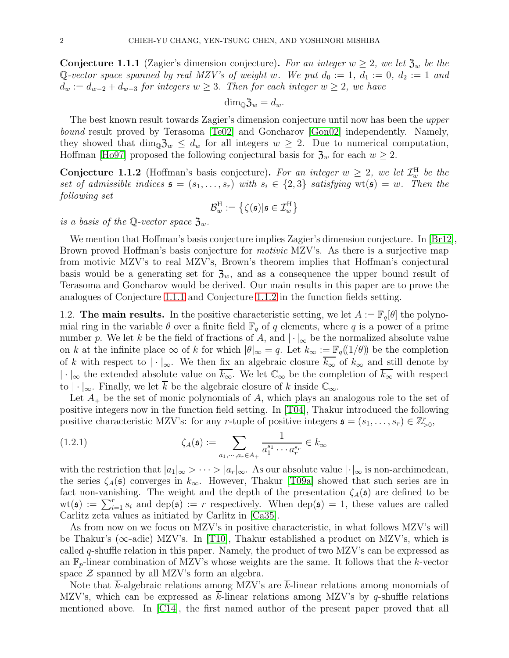<span id="page-1-0"></span>**Conjecture 1.1.1** (Zagier's dimension conjecture). For an integer  $w \geq 2$ , we let  $\mathfrak{Z}_w$  be the Q-vector space spanned by real MZV's of weight w. We put  $d_0 := 1$ ,  $d_1 := 0$ ,  $d_2 := 1$  and  $d_w := d_{w-2} + d_{w-3}$  for integers  $w \geq 3$ . Then for each integer  $w \geq 2$ , we have

$$
\dim_{\mathbb{Q}} \mathfrak{Z}_w = d_w.
$$

The best known result towards Zagier's dimension conjecture until now has been the upper bound result proved by Terasoma [\[Te02\]](#page-30-2) and Goncharov [\[Gon02\]](#page-30-3) independently. Namely, they showed that  $\dim_{\mathbb{Q}}\mathfrak{Z}_w \leq d_w$  for all integers  $w \geq 2$ . Due to numerical computation, Hoffman [\[Ho97\]](#page-30-8) proposed the following conjectural basis for  $\mathfrak{Z}_w$  for each  $w \geq 2$ .

<span id="page-1-1"></span>**Conjecture 1.1.2** (Hoffman's basis conjecture). For an integer  $w \geq 2$ , we let  $\mathcal{I}_{w}^{H}$  be the set of admissible indices  $\mathfrak{s} = (s_1, \ldots, s_r)$  with  $s_i \in \{2,3\}$  satisfying  $\text{wt}(\mathfrak{s}) = w$ . Then the following set

$$
\mathcal{B}^\text{H}_w := \left\{ \zeta(\mathfrak{s}) | \mathfrak{s} \in \mathcal{I}^\text{H}_w \right\}
$$

is a basis of the Q-vector space  $\mathfrak{Z}_w$ .

We mention that Hoffman's basis conjecture implies Zagier's dimension conjecture. In [\[Br12\]](#page-29-2), Brown proved Hoffman's basis conjecture for *motivic* MZV's. As there is a surjective map from motivic MZV's to real MZV's, Brown's theorem implies that Hoffman's conjectural basis would be a generating set for  $\mathfrak{Z}_w$ , and as a consequence the upper bound result of Terasoma and Goncharov would be derived. Our main results in this paper are to prove the analogues of Conjecture [1.1.1](#page-1-0) and Conjecture [1.1.2](#page-1-1) in the function fields setting.

1.2. The main results. In the positive characteristic setting, we let  $A := \mathbb{F}_q[\theta]$  the polynomial ring in the variable  $\theta$  over a finite field  $\mathbb{F}_q$  of q elements, where q is a power of a prime number p. We let k be the field of fractions of A, and  $\lvert \cdot \rvert_{\infty}$  be the normalized absolute value on k at the infinite place  $\infty$  of k for which  $|\theta|_{\infty} = q$ . Let  $k_{\infty} := \mathbb{F}_q((1/\theta))$  be the completion of k with respect to  $|\cdot|_{\infty}$ . We then fix an algebraic closure  $\overline{k_{\infty}}$  of  $k_{\infty}$  and still denote by  $|\cdot|_{\infty}$  the extended absolute value on  $\overline{k_{\infty}}$ . We let  $\mathbb{C}_{\infty}$  be the completion of  $\overline{k_{\infty}}$  with respect to  $|\cdot|_{\infty}$ . Finally, we let  $\overline{k}$  be the algebraic closure of k inside  $\mathbb{C}_{\infty}$ .

Let  $A_{+}$  be the set of monic polynomials of A, which plays an analogous role to the set of positive integers now in the function field setting. In [\[T04\]](#page-30-0), Thakur introduced the following positive characteristic MZV's: for any r-tuple of positive integers  $\mathfrak{s} = (s_1, \ldots, s_r) \in \mathbb{Z}_{>0}^r$ ,

(1.2.1) 
$$
\zeta_A(\mathfrak{s}) := \sum_{a_1, \cdots, a_r \in A_+} \frac{1}{a_1^{s_1} \cdots a_r^{s_r}} \in k_\infty
$$

with the restriction that  $|a_1|_{\infty} > \cdots > |a_r|_{\infty}$ . As our absolute value  $|\cdot|_{\infty}$  is non-archimedean, the series  $\zeta_A(\mathfrak{s})$  converges in  $k_{\infty}$ . However, Thakur [\[T09a\]](#page-30-9) showed that such series are in fact non-vanishing. The weight and the depth of the presentation  $\zeta_A(\mathfrak{s})$  are defined to be  $wt(\mathfrak{s}) := \sum_{i=1}^r s_i$  and  $dep(\mathfrak{s}) := r$  respectively. When  $dep(\mathfrak{s}) = 1$ , these values are called Carlitz zeta values as initiated by Carlitz in [\[Ca35\]](#page-29-3).

As from now on we focus on MZV's in positive characteristic, in what follows MZV's will be Thakur's ( $\infty$ -adic) MZV's. In [\[T10\]](#page-30-10), Thakur established a product on MZV's, which is called  $q$ -shuffle relation in this paper. Namely, the product of two MZV's can be expressed as an  $\mathbb{F}_p$ -linear combination of MZV's whose weights are the same. It follows that the k-vector space  $\mathcal Z$  spanned by all MZV's form an algebra.

Note that k-algebraic relations among MZV's are  $\overline{k}$ -linear relations among monomials of MZV's, which can be expressed as  $\overline{k}$ -linear relations among MZV's by q-shuffle relations mentioned above. In [\[C14\]](#page-29-4), the first named author of the present paper proved that all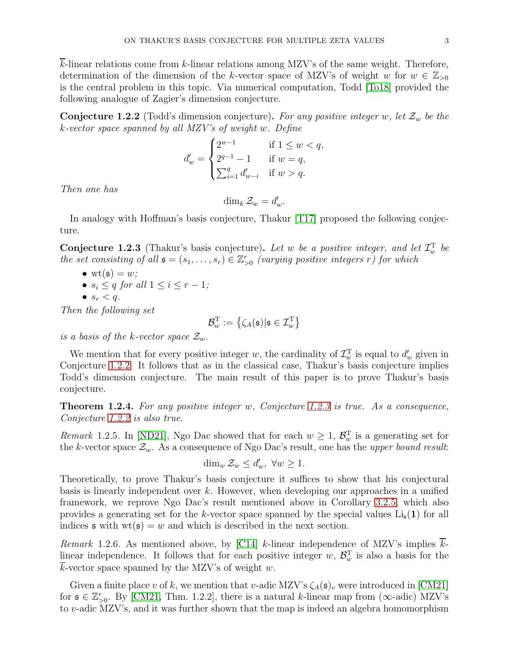k-linear relations come from k-linear relations among MZV's of the same weight. Therefore, determination of the dimension of the k-vector space of MZV's of weight w for  $w \in \mathbb{Z}_{>0}$ is the central problem in this topic. Via numerical computation, Todd [\[To18\]](#page-30-11) provided the following analogue of Zagier's dimension conjecture.

<span id="page-2-0"></span>**Conjecture 1.2.2** (Todd's dimension conjecture). For any positive integer w, let  $\mathcal{Z}_w$  be the k-vector space spanned by all MZV's of weight w. Define

$$
d'_w = \begin{cases} 2^{w-1} & \text{if } 1 \leq w < q, \\ 2^{q-1} - 1 & \text{if } w = q, \\ \sum_{i=1}^q d'_{w-i} & \text{if } w > q. \end{cases}
$$

Then one has

 $\dim_k \mathcal{Z}_w = d'_w.$ 

In analogy with Hoffman's basis conjecture, Thakur [\[T17\]](#page-30-12) proposed the following conjecture.

<span id="page-2-1"></span>**Conjecture 1.2.3** (Thakur's basis conjecture). Let w be a positive integer, and let  $\mathcal{I}_{w}^{\mathrm{T}}$  be the set consisting of all  $\mathfrak{s} = (s_1, \ldots, s_r) \in \mathbb{Z}_{>0}^r$  (varying positive integers r) for which

•  $\operatorname{wt}(\mathfrak{s})=w;$ 

• 
$$
s_i \leq q
$$
 for all  $1 \leq i \leq r-1$ ;

•  $s_r < q$ .

Then the following set

$$
\mathcal{B}_w^{\rm T}:=\left\{\zeta_A(\mathfrak{s})|\mathfrak{s}\in\mathcal{I}_w^{\rm T}\right\}
$$

is a basis of the k-vector space  $\mathcal{Z}_w$ .

We mention that for every positive integer w, the cardinality of  $\mathcal{I}_{w}^{\mathrm{T}}$  is equal to  $d'_{w}$  given in Conjecture [1.2.2.](#page-2-0) It follows that as in the classical case, Thakur's basis conjecture implies Todd's dimension conjecture. The main result of this paper is to prove Thakur's basis conjecture.

<span id="page-2-2"></span>**Theorem 1.2.4.** For any positive integer  $w$ , Conjecture [1.2.3](#page-2-1) is true. As a consequence, Conjecture [1.2.2](#page-2-0) is also true.

*Remark* 1.2.5. In [\[ND21\]](#page-30-13), Ngo Dac showed that for each  $w \geq 1$ ,  $\mathcal{B}_w^T$  is a generating set for the k-vector space  $\mathcal{Z}_w$ . As a consequence of Ngo Dac's result, one has the upper bound result:

$$
\dim_w \mathcal{Z}_w \le d'_w, \ \forall w \ge 1.
$$

Theoretically, to prove Thakur's basis conjecture it suffices to show that his conjectural basis is linearly independent over k. However, when developing our approaches in a unified framework, we reprove Ngo Dac's result mentioned above in Corollary [3.2.5,](#page-11-0) which also provides a generating set for the k-vector space spanned by the special values  $\text{Li}_s(1)$  for all indices  $\mathfrak s$  with  $wt(\mathfrak s) = w$  and which is described in the next section.

Remark 1.2.6. As mentioned above, by  $\lbrack C14 \rbrack$  k-linear independence of MZV's implies klinear independence. It follows that for each positive integer  $w$ ,  $\mathcal{B}_w^T$  is also a basis for the  $\overline{k}$ -vector space spanned by the MZV's of weight w.

Given a finite place v of k, we mention that v-adic MZV's  $\zeta_A(\mathfrak{s})_v$  were introduced in [\[CM21\]](#page-30-14) for  $\mathfrak{s} \in \mathbb{Z}_{>0}^r$ . By [\[CM21,](#page-30-14) Thm. 1.2.2], there is a natural k-linear map from ( $\infty$ -adic) MZV's to v-adic MZV's, and it was further shown that the map is indeed an algebra homomorphism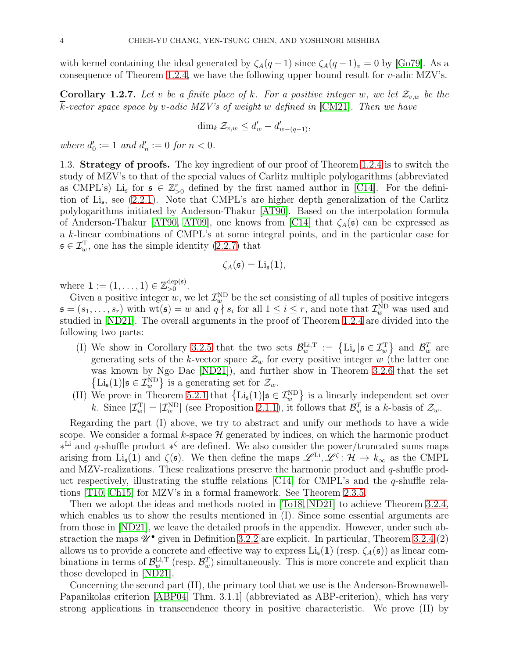with kernel containing the ideal generated by  $\zeta_A(q-1)$  since  $\zeta_A(q-1)_v = 0$  by [\[Go79\]](#page-30-15). As a consequence of Theorem [1.2.4,](#page-2-2) we have the following upper bound result for  $v$ -adic MZV's.

**Corollary 1.2.7.** Let v be a finite place of k. For a positive integer w, we let  $\mathcal{Z}_{v,w}$  be the  $\overline{k}$ -vector space space by v-adic MZV's of weight w defined in [\[CM21\]](#page-30-14). Then we have

$$
\dim_k \mathcal{Z}_{v,w} \le d'_w - d'_{w-(q-1)},
$$

where  $d'_0 := 1$  and  $d'_n := 0$  for  $n < 0$ .

1.3. Strategy of proofs. The key ingredient of our proof of Theorem [1.2.4](#page-2-2) is to switch the study of MZV's to that of the special values of Carlitz multiple polylogarithms (abbreviated as CMPL's) Li<sub>s</sub> for  $\mathfrak{s} \in \mathbb{Z}_{>0}^r$  defined by the first named author in [\[C14\]](#page-29-4). For the definition of Li<sup>s</sup> , see [\(2.2.1\)](#page-6-0). Note that CMPL's are higher depth generalization of the Carlitz polylogarithms initiated by Anderson-Thakur [\[AT90\]](#page-29-5). Based on the interpolation formula of Anderson-Thakur [\[AT90,](#page-29-5) [AT09\]](#page-29-6), one knows from [\[C14\]](#page-29-4) that  $\zeta_A(\mathfrak{s})$  can be expressed as a k-linear combinations of CMPL's at some integral points, and in the particular case for  $\mathfrak{s} \in \mathcal{I}_{w}^{\mathrm{T}}$ , one has the simple identity  $(2.2.7)$  that

$$
\zeta_A(\mathfrak{s})=\mathrm{Li}_{\mathfrak{s}}(\mathbf{1}),
$$

where  $\mathbf{1} := (1, ..., 1) \in \mathbb{Z}_{>0}^{\text{dep}(\mathfrak{s})}$ >0 .

Given a positive integer w, we let  $\mathcal{I}^{\text{ND}}_w$  be the set consisting of all tuples of positive integers  $\mathfrak{s} = (s_1, \ldots, s_r)$  with  $\text{wt}(\mathfrak{s}) = w$  and  $q \nmid s_i$  for all  $1 \leq i \leq r$ , and note that  $\mathcal{I}^{\text{ND}}_w$  was used and studied in [\[ND21\]](#page-30-13). The overall arguments in the proof of Theorem [1.2.4](#page-2-2) are divided into the following two parts:

- (I) We show in Corollary [3.2.5](#page-11-0) that the two sets  $\mathcal{B}_w^{\text{Li,T}} := \{\text{Li}_{\mathfrak{s}} | \mathfrak{s} \in \mathcal{I}_w^{\text{T}} \}$  and  $\mathcal{B}_w^{\text{T}}$  are generating sets of the k-vector space  $\mathcal{Z}_w$  for every positive integer w (the latter one was known by Ngo Dac [\[ND21\]](#page-30-13)), and further show in Theorem [3.2.6](#page-11-1) that the set  $\left\{\operatorname{Li}_{\mathfrak{s}}(1)|\mathfrak{s}\in\mathcal{I}^{\rm ND}_{w}\right\}$  is a generating set for  $\mathcal{Z}_{w}$ .
- (II) We prove in Theorem [5.2.1](#page-24-0) that  $\{Li_{\mathfrak{s}}(1)|\mathfrak{s} \in \mathcal{I}_{w}^{ND}\}\)$  is a linearly independent set over k. Since  $|\mathcal{I}_w^{\text{T}}| = |\mathcal{I}_w^{\text{ND}}|$  (see Proposition [2.1.1\)](#page-5-0), it follows that  $\mathcal{B}_w^{\text{T}}$  is a k-basis of  $\mathcal{Z}_w$ .

Regarding the part (I) above, we try to abstract and unify our methods to have a wide scope. We consider a formal k-space  $\mathcal H$  generated by indices, on which the harmonic product ∗ Li and q-shuffle product ∗ <sup>ζ</sup> are defined. We also consider the power/truncated sums maps arising from Li<sub>s</sub>(1) and  $\zeta(\mathfrak{s})$ . We then define the maps  $\mathscr{L}^{\text{Li}}, \mathscr{L}^{\zeta} : \mathcal{H} \to k_{\infty}$  as the CMPL and MZV-realizations. These realizations preserve the harmonic product and q-shuffle product respectively, illustrating the stuffle relations  $\lbrack C14 \rbrack$  for CMPL's and the q-shuffle relations [\[T10,](#page-30-10) [Ch15\]](#page-30-16) for MZV's in a formal framework. See Theorem [2.3.5.](#page-8-0)

Then we adopt the ideas and methods rooted in [\[To18,](#page-30-11) [ND21\]](#page-30-13) to achieve Theorem [3.2.4,](#page-10-0) which enables us to show the results mentioned in (I). Since some essential arguments are from those in [\[ND21\]](#page-30-13), we leave the detailed proofs in the appendix. However, under such abstraction the maps  $\mathscr{U}^{\bullet}$  given in Definition [3.2.2](#page-10-1) are explicit. In particular, Theorem [3.2.4](#page-10-0) (2) allows us to provide a concrete and effective way to express  $\text{Li}_\mathfrak{s}(1)$  (resp.  $\zeta_A(\mathfrak{s})$ ) as linear combinations in terms of  $\mathcal{B}_w^{\text{Li,T}}$  (resp.  $\mathcal{B}_w^T$ ) simultaneously. This is more concrete and explicit than those developed in [\[ND21\]](#page-30-13).

Concerning the second part (II), the primary tool that we use is the Anderson-Brownawell-Papanikolas criterion [\[ABP04,](#page-29-7) Thm. 3.1.1] (abbreviated as ABP-criterion), which has very strong applications in transcendence theory in positive characteristic. We prove (II) by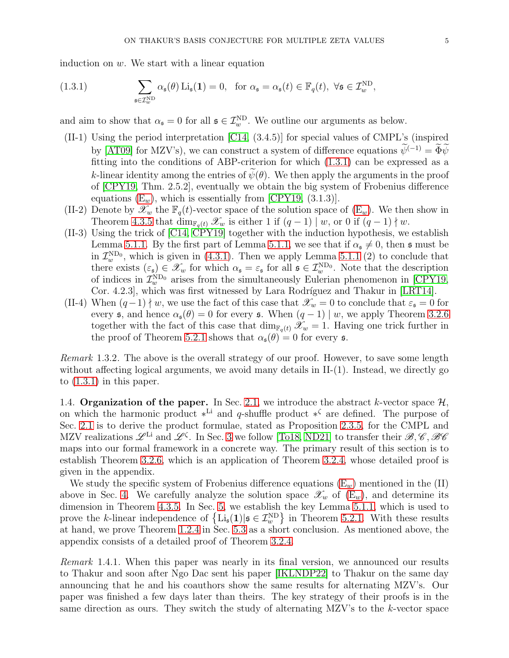induction on  $w$ . We start with a linear equation

<span id="page-4-0"></span>(1.3.1) 
$$
\sum_{\mathfrak{s}\in \mathcal{I}_w^{\text{ND}}} \alpha_{\mathfrak{s}}(\theta) \operatorname{Li}_{\mathfrak{s}}(\mathbf{1}) = 0, \text{ for } \alpha_{\mathfrak{s}} = \alpha_{\mathfrak{s}}(t) \in \mathbb{F}_q(t), \forall \mathfrak{s} \in \mathcal{I}_w^{\text{ND}},
$$

and aim to show that  $\alpha_{\mathfrak{s}} = 0$  for all  $\mathfrak{s} \in \mathcal{I}_{w}^{ND}$ . We outline our arguments as below.

- (II-1) Using the period interpretation [\[C14,](#page-29-4) (3.4.5)] for special values of CMPL's (inspired by [\[AT09\]](#page-29-6) for MZV's), we can construct a system of difference equations  $\widetilde{\psi}^{(-1)} = \widetilde{\Phi}\widetilde{\psi}$ fitting into the conditions of ABP-criterion for which [\(1.3.1\)](#page-4-0) can be expressed as a k-linear identity among the entries of  $\psi(\theta)$ . We then apply the arguments in the proof of [\[CPY19,](#page-30-17) Thm. 2.5.2], eventually we obtain the big system of Frobenius difference equations  $(E_w)$ , which is essentially from [\[CPY19,](#page-30-17) (3.1.3)].
- (II-2) Denote by  $\mathscr{X}_w$  the  $\mathbb{F}_q(t)$ -vector space of the solution space of  $(\mathbb{E}_w)$ . We then show in Theorem [4.3.5](#page-15-0) that  $\dim_{\mathbb{F}_q(t)} \mathcal{X}_w$  is either 1 if  $(q-1) \mid w$ , or 0 if  $(q-1) \nmid w$ .
- (II-3) Using the trick of [\[C14,](#page-29-4) [CPY19\]](#page-30-17) together with the induction hypothesis, we establish Lemma [5.1.1.](#page-21-0) By the first part of Lemma [5.1.1,](#page-21-0) we see that if  $\alpha_{\mathfrak{s}}\neq 0$ , then  $\mathfrak{s}$  must be in  $\mathcal{I}_{w}^{\text{ND}_0}$ , which is given in [\(4.3.1\)](#page-14-1). Then we apply Lemma [5.1.1](#page-21-0) (2) to conclude that there exists  $(\varepsilon_{\mathfrak{s}}) \in \mathscr{X}_w$  for which  $\alpha_{\mathfrak{s}} = \varepsilon_{\mathfrak{s}}$  for all  $\mathfrak{s} \in \mathcal{I}_w^{\text{ND}_0}$ . Note that the description of indices in  $\mathcal{I}_{w}^{\text{ND}_0}$  arises from the simultaneously Eulerian phenomenon in [\[CPY19,](#page-30-17) Cor. 4.2.3, which was first witnessed by Lara Rodríguez and Thakur in [\[LRT14\]](#page-30-18).
- (II-4) When  $(q-1) \nmid w$ , we use the fact of this case that  $\mathscr{X}_w = 0$  to conclude that  $\varepsilon_s = 0$  for every s, and hence  $\alpha_{s}(\theta) = 0$  for every s. When  $(q - 1) | w$ , we apply Theorem [3.2.6](#page-11-1) together with the fact of this case that  $\dim_{\mathbb{F}_q(t)} \mathcal{X}_w = 1$ . Having one trick further in the proof of Theorem [5.2.1](#page-24-0) shows that  $\alpha_{\mathfrak{s}}(\theta) = 0$  for every  $\mathfrak{s}$ .

Remark 1.3.2. The above is the overall strategy of our proof. However, to save some length without affecting logical arguments, we avoid many details in II-(1). Instead, we directly go to  $(1.3.1)$  in this paper.

1.4. Organization of the paper. In Sec. [2.1,](#page-5-1) we introduce the abstract k-vector space  $\mathcal{H}$ , on which the harmonic product  $*^{Li}$  and q-shuffle product  $*^{C}$  are defined. The purpose of Sec. [2.1](#page-5-1) is to derive the product formulae, stated as Proposition [2.3.5,](#page-8-0) for the CMPL and MZV realizations  $\mathscr{L}^{Li}$  and  $\mathscr{L}^{\zeta}$ . In Sec. [3](#page-9-0) we follow [\[To18,](#page-30-11) [ND21\]](#page-30-13) to transfer their  $\mathscr{B}, \mathscr{C}, \mathscr{B}\mathscr{C}$ maps into our formal framework in a concrete way. The primary result of this section is to establish Theorem [3.2.6,](#page-11-1) which is an application of Theorem [3.2.4,](#page-10-0) whose detailed proof is given in the appendix.

We study the specific system of Frobenius difference equations  $(E_w)$  mentioned in the  $(II)$ above in Sec. [4.](#page-12-0) We carefully analyze the solution space  $\mathscr{X}_w$  of  $(E_w)$ , and determine its dimension in Theorem [4.3.5.](#page-15-0) In Sec. [5,](#page-20-0) we establish the key Lemma [5.1.1,](#page-21-0) which is used to prove the k-linear independence of  $\{Li_s(1)|\mathfrak{s} \in \mathcal{I}_w^{\text{ND}}\}$  in Theorem [5.2.1.](#page-24-0) With these results at hand, we prove Theorem [1.2.4](#page-2-2) in Sec. [5.3](#page-24-1) as a short conclusion. As mentioned above, the appendix consists of a detailed proof of Theorem [3.2.4.](#page-10-0)

Remark 1.4.1. When this paper was nearly in its final version, we announced our results to Thakur and soon after Ngo Dac sent his paper [\[IKLNDP22\]](#page-30-19) to Thakur on the same day announcing that he and his coauthors show the same results for alternating MZV's. Our paper was finished a few days later than theirs. The key strategy of their proofs is in the same direction as ours. They switch the study of alternating MZV's to the k-vector space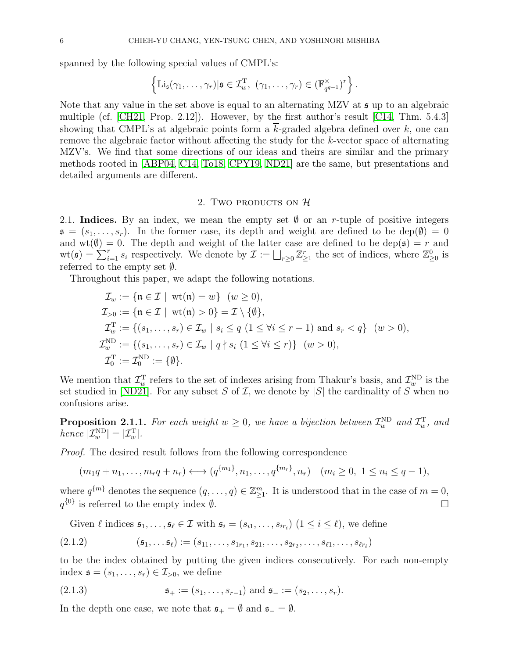spanned by the following special values of CMPL's:

$$
\left\{ \mathrm{Li}_\mathfrak{s}(\gamma_1,\ldots,\gamma_r) | \mathfrak{s} \in \mathcal{I}_{w}^{\mathrm{T}}, \ (\gamma_1,\ldots,\gamma_r) \in (\mathbb{F}_{q^{q-1}}^{\times})^r \right\}.
$$

Note that any value in the set above is equal to an alternating MZV at  $\mathfrak s$  up to an algebraic multiple (cf. [\[CH21,](#page-30-20) Prop. 2.12]). However, by the first author's result [\[C14,](#page-29-4) Thm. 5.4.3] showing that CMPL's at algebraic points form a  $\overline{k}$ -graded algebra defined over k, one can remove the algebraic factor without affecting the study for the k-vector space of alternating MZV's. We find that some directions of our ideas and theirs are similar and the primary methods rooted in [\[ABP04,](#page-29-7) [C14,](#page-29-4) [To18,](#page-30-11) [CPY19,](#page-30-17) [ND21\]](#page-30-13) are the same, but presentations and detailed arguments are different.

# 2. Two products on  $H$

<span id="page-5-1"></span>2.1. Indices. By an index, we mean the empty set  $\emptyset$  or an r-tuple of positive integers  $\mathfrak{s} = (s_1, \ldots, s_r)$ . In the former case, its depth and weight are defined to be dep( $\emptyset$ ) = 0 and  $wt(\emptyset) = 0$ . The depth and weight of the latter case are defined to be dep( $\mathfrak{s}$ ) = r and  $\text{wt}(\mathfrak{s}) = \sum_{i=1}^r s_i$  respectively. We denote by  $\mathcal{I} := \bigsqcup_{r \geq 0} \mathbb{Z}_{\geq 1}^r$  the set of indices, where  $\mathbb{Z}_{\geq 0}^0$  is referred to the empty set ∅.

Throughout this paper, we adapt the following notations.

$$
\mathcal{I}_w := \{ \mathfrak{n} \in \mathcal{I} \mid \text{wt}(\mathfrak{n}) = w \} \quad (w \ge 0),
$$
  
\n
$$
\mathcal{I}_{>0} := \{ \mathfrak{n} \in \mathcal{I} \mid \text{wt}(\mathfrak{n}) > 0 \} = \mathcal{I} \setminus \{ \emptyset \},
$$
  
\n
$$
\mathcal{I}_w^{\mathrm{T}} := \{ (s_1, \ldots, s_r) \in \mathcal{I}_w \mid s_i \le q \ (1 \le \forall i \le r - 1) \text{ and } s_r < q \} \quad (w > 0),
$$
  
\n
$$
\mathcal{I}_w^{\mathrm{ND}} := \{ (s_1, \ldots, s_r) \in \mathcal{I}_w \mid q \nmid s_i \ (1 \le \forall i \le r) \} \quad (w > 0),
$$
  
\n
$$
\mathcal{I}_0^{\mathrm{T}} := \mathcal{I}_0^{\mathrm{ND}} := \{ \emptyset \}.
$$

We mention that  $\mathcal{I}_{w}^{\mathrm{T}}$  refers to the set of indexes arising from Thakur's basis, and  $\mathcal{I}_{w}^{\mathrm{ND}}$  is the set studied in [\[ND21\]](#page-30-13). For any subset S of I, we denote by  $|S|$  the cardinality of S when no confusions arise.

<span id="page-5-0"></span>**Proposition 2.1.1.** For each weight  $w \geq 0$ , we have a bijection between  $\mathcal{I}_{w}^{\text{ND}}$  and  $\mathcal{I}_{w}^{\text{T}}$ , and hence  $|\mathcal{I}_{w}^{\text{ND}}| = |\mathcal{I}_{w}^{\text{T}}|$ .

Proof. The desired result follows from the following correspondence

 $(m_1q + n_1, \ldots, m_rq + n_r) \longleftrightarrow (q^{\{m_1\}}, n_1, \ldots, q^{\{m_r\}}, n_r) \quad (m_i \geq 0, 1 \leq n_i \leq q-1),$ 

where  $q^{\{m\}}$  denotes the sequence  $(q, \ldots, q) \in \mathbb{Z}_{\geq 1}^m$ . It is understood that in the case of  $m = 0$ ,  $q^{\{0\}}$  is referred to the empty index  $\emptyset$ .

Given  $\ell$  indices  $\mathfrak{s}_1,\ldots,\mathfrak{s}_\ell\in\mathcal{I}$  with  $\mathfrak{s}_i=(s_{i1},\ldots,s_{ir_i})$   $(1\leq i\leq\ell)$ , we define

<span id="page-5-2"></span>
$$
(2.1.2) \qquad (\mathfrak{s}_1, \ldots, \mathfrak{s}_\ell) := (s_{11}, \ldots, s_{1r_1}, s_{21}, \ldots, s_{2r_2}, \ldots, s_{\ell 1}, \ldots, s_{\ell r_\ell})
$$

to be the index obtained by putting the given indices consecutively. For each non-empty index  $\mathfrak{s} = (s_1, \ldots, s_r) \in \mathcal{I}_{>0}$ , we define

(2.1.3) 
$$
\mathfrak{s}_+ := (s_1, \ldots, s_{r-1}) \text{ and } \mathfrak{s}_- := (s_2, \ldots, s_r).
$$

In the depth one case, we note that  $\mathfrak{s}_+ = \emptyset$  and  $\mathfrak{s}_- = \emptyset$ .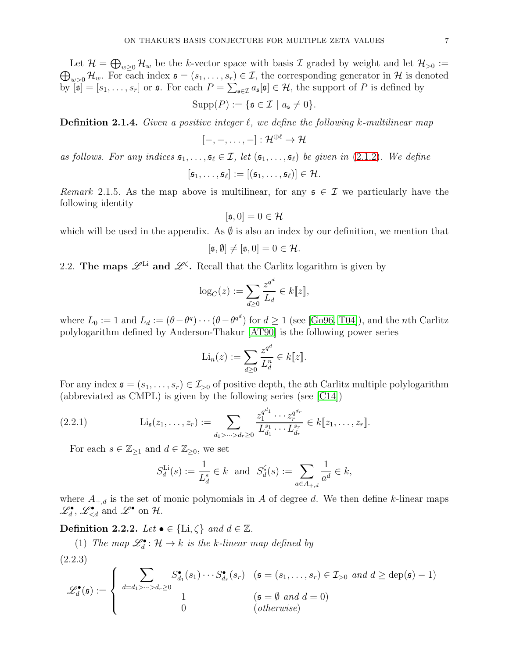Let  $\mathcal{H} = \bigoplus_{w\geq 0} \mathcal{H}_w$  be the k-vector space with basis  $\mathcal{I}$  graded by weight and let  $\mathcal{H}_{>0} := \bigoplus_{w\geq 0} \mathcal{H}_w$ . For each index  $\mathfrak{s} = (s_1, \ldots, s_r) \in \mathcal{I}$ , the corresponding generator in  $\mathcal{H}$  is  $\bigoplus_{w>0} \mathcal{H}_w$ . For each index  $\mathfrak{s} = (s_1, \ldots, s_r) \in \mathcal{I}$ , the corresponding generator in  $\mathcal{H}$  is denoted by  $[\mathfrak{s}] = [s_1, \ldots, s_r]$  or  $\mathfrak{s}$ . For each  $P = \sum_{\mathfrak{s} \in \mathcal{I}} a_{\mathfrak{s}}[\mathfrak{s}] \in \mathcal{H}$ , the support of P is defined by

$$
Supp(P) := \{ \mathfrak{s} \in \mathcal{I} \mid a_{\mathfrak{s}} \neq 0 \}.
$$

**Definition 2.1.4.** Given a positive integer  $\ell$ , we define the following k-multilinear map

$$
[-,-,\dots,-]:\mathcal{H}^{\oplus \ell}\to \mathcal{H}
$$

as follows. For any indices  $\mathfrak{s}_1, \ldots, \mathfrak{s}_\ell \in \mathcal{I}$ , let  $(\mathfrak{s}_1, \ldots, \mathfrak{s}_\ell)$  be given in [\(2.1.2\)](#page-5-2). We define

$$
[\mathfrak{s}_1,\ldots,\mathfrak{s}_\ell]:=[(\mathfrak{s}_1,\ldots,\mathfrak{s}_\ell)]\in\mathcal{H}.
$$

<span id="page-6-1"></span>Remark 2.1.5. As the map above is multilinear, for any  $\mathfrak{s} \in \mathcal{I}$  we particularly have the following identity

$$
[\mathfrak{s},0] = 0 \in \mathcal{H}
$$

which will be used in the appendix. As  $\emptyset$  is also an index by our definition, we mention that

$$
[\mathfrak{s},\emptyset] \neq [\mathfrak{s},0] = 0 \in \mathcal{H}.
$$

2.2. The maps  $\mathscr{L}^{Li}$  and  $\mathscr{L}^{\zeta}$ . Recall that the Carlitz logarithm is given by

$$
\log_C(z) := \sum_{d \ge 0} \frac{z^{q^d}}{L_d} \in k[\![z]\!],
$$

where  $L_0 := 1$  and  $L_d := (\theta - \theta^q) \cdots (\theta - \theta^{q^d})$  for  $d \ge 1$  (see [\[Go96,](#page-30-21) [T04\]](#page-30-0)), and the *n*th Carlitz polylogarithm defined by Anderson-Thakur [\[AT90\]](#page-29-5) is the following power series

$$
\mathrm{Li}_n(z) := \sum_{d \geq 0} \frac{z^{q^d}}{L_d^n} \in k[\![z]\!].
$$

For any index  $\mathfrak{s} = (s_1, \ldots, s_r) \in \mathcal{I}_{>0}$  of positive depth, the sth Carlitz multiple polylogarithm (abbreviated as CMPL) is given by the following series (see [\[C14\]](#page-29-4))

$$
(2.2.1) \qquad \qquad \mathrm{Li}_{\mathfrak{s}}(z_1,\ldots,z_r) := \sum_{d_1 > \cdots > d_r \geq 0} \frac{z_1^{q^{d_1}} \cdots z_r^{q^{d_r}}}{L_{d_1}^{s_1} \cdots L_{d_r}^{s_r}} \in k[\![z_1,\ldots,z_r]\!].
$$

For each  $s \in \mathbb{Z}_{\geq 1}$  and  $d \in \mathbb{Z}_{\geq 0}$ , we set

<span id="page-6-0"></span>
$$
S_d^{\text{Li}}(s) := \frac{1}{L_d^s} \in k \text{ and } S_d^{\zeta}(s) := \sum_{a \in A_{+,d}} \frac{1}{a^d} \in k,
$$

where  $A_{+,d}$  is the set of monic polynomials in A of degree d. We then define k-linear maps  $\mathscr{L}_d^{\bullet}$ ,  $\mathscr{L}_{\leq d}^{\bullet}$  and  $\mathscr{L}^{\bullet}$  on H.

Definition 2.2.2. Let  $\bullet \in \{\text{Li}, \zeta\}$  and  $d \in \mathbb{Z}$ .

(1) The map  $\mathscr{L}_d^{\bullet} : \mathcal{H} \to k$  is the k-linear map defined by

(2.2.3)

$$
\mathscr{L}_d^{\bullet}(\mathfrak{s}) := \begin{cases} \sum_{d=d_1 > \dots > d_r \ge 0} S_{d_1}^{\bullet}(s_1) \cdots S_{d_r}^{\bullet}(s_r) & (\mathfrak{s} = (s_1, \dots, s_r) \in \mathcal{I}_{>0} \text{ and } d \ge \text{dep}(\mathfrak{s}) - 1) \\ 1 & (\mathfrak{s} = \emptyset \text{ and } d = 0) \\ 0 & (\text{otherwise}) \end{cases}
$$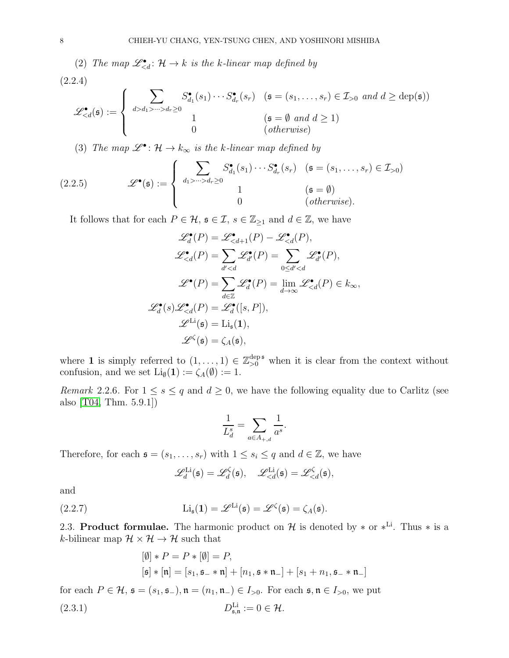(2) The map  $\mathscr{L}_{\leq d}^{\bullet} : \mathcal{H} \to k$  is the k-linear map defined by (2.2.4)

$$
\mathscr{L}_{ d_1 > \dots > d_r \ge 0} S_{d_1}^{\bullet}(s_1) \cdots S_{d_r}^{\bullet}(s_r) & (\mathfrak{s} = (s_1, \dots, s_r) \in \mathcal{I}_{>0} \ and \ d \ge \text{dep}(\mathfrak{s})) \\ 1 & (\mathfrak{s} = \emptyset \ and \ d \ge 1) \\ 0 & (\text{otherwise}) \end{array} \right.
$$

(3) The map  $\mathscr{L}^{\bullet}$ :  $\mathcal{H} \to k_{\infty}$  is the k-linear map defined by

(2.2.5) 
$$
\mathscr{L}^{\bullet}(\mathfrak{s}) := \begin{cases} \sum_{d_1 > \dots > d_r \geq 0} S_{d_1}^{\bullet}(s_1) \cdots S_{d_r}^{\bullet}(s_r) & (\mathfrak{s} = (s_1, \dots, s_r) \in \mathcal{I}_{>0}) \\ 1 & (\mathfrak{s} = \emptyset) \\ 0 & (\text{otherwise}). \end{cases}
$$

It follows that for each  $P \in \mathcal{H}$ ,  $\mathfrak{s} \in \mathcal{I}$ ,  $s \in \mathbb{Z}_{\geq 1}$  and  $d \in \mathbb{Z}$ , we have

$$
\mathscr{L}_d^{\bullet}(P) = \mathscr{L}_{  

$$
\mathscr{L}_{  

$$
\mathscr{L}^{\bullet}(P) = \sum_{d \in \mathbb{Z}} \mathscr{L}_d^{\bullet}(P) = \lim_{d \to \infty} \mathscr{L}_{  

$$
\mathscr{L}_d^{\bullet}(s) \mathscr{L}_{  

$$
\mathscr{L}^{\text{Li}}(\mathfrak{s}) = \text{Li}_{\mathfrak{s}}(1),
$$
  

$$
\mathscr{L}^{\zeta}(\mathfrak{s}) = \zeta_A(\mathfrak{s}),
$$
$$
$$
$$
$$

where 1 is simply referred to  $(1,\ldots,1) \in \mathbb{Z}_{\geq 0}^{\text{dep }5}$  when it is clear from the context without confusion, and we set  $\text{Li}_\emptyset(1) := \zeta_A(\emptyset) := 1$ .

<span id="page-7-2"></span>Remark 2.2.6. For  $1 \leq s \leq q$  and  $d \geq 0$ , we have the following equality due to Carlitz (see also [\[T04,](#page-30-0) Thm. 5.9.1])

$$
\frac{1}{L_d^s} = \sum_{a \in A_{+,d}} \frac{1}{a^s}.
$$

Therefore, for each  $\mathfrak{s} = (s_1, \ldots, s_r)$  with  $1 \leq s_i \leq q$  and  $d \in \mathbb{Z}$ , we have

<span id="page-7-0"></span>
$$
\mathscr{L}_d^{\text{Li}}(\mathfrak{s}) = \mathscr{L}_d^{\zeta}(\mathfrak{s}), \quad \mathscr{L}_{
$$

and

(2.2.7) 
$$
\operatorname{Li}_{\mathfrak{s}}(1) = \mathscr{L}^{\operatorname{Li}}(\mathfrak{s}) = \mathscr{L}^{\zeta}(\mathfrak{s}) = \zeta_A(\mathfrak{s}).
$$

2.3. Product formulae. The harmonic product on  $\mathcal H$  is denoted by  $*$  or  $*^{\text{Li}}$ . Thus  $*$  is a k-bilinear map  $\mathcal{H} \times \mathcal{H} \rightarrow \mathcal{H}$  such that

<span id="page-7-1"></span>
$$
[\emptyset] * P = P * [\emptyset] = P,
$$
  
\n
$$
[\mathfrak{s}] * [\mathfrak{n}] = [s_1, \mathfrak{s}_- * \mathfrak{n}] + [n_1, \mathfrak{s} * \mathfrak{n}_-] + [s_1 + n_1, \mathfrak{s}_- * \mathfrak{n}_-]
$$

for each  $P \in \mathcal{H}$ ,  $\mathfrak{s} = (s_1, \mathfrak{s}_-), \mathfrak{n} = (n_1, \mathfrak{n}_-) \in I_{>0}$ . For each  $\mathfrak{s}, \mathfrak{n} \in I_{>0}$ , we put  $(2.3.1)$  $_{\mathfrak{s},\mathfrak{n}}^{\text{Li}}:=0\in\mathcal{H}.$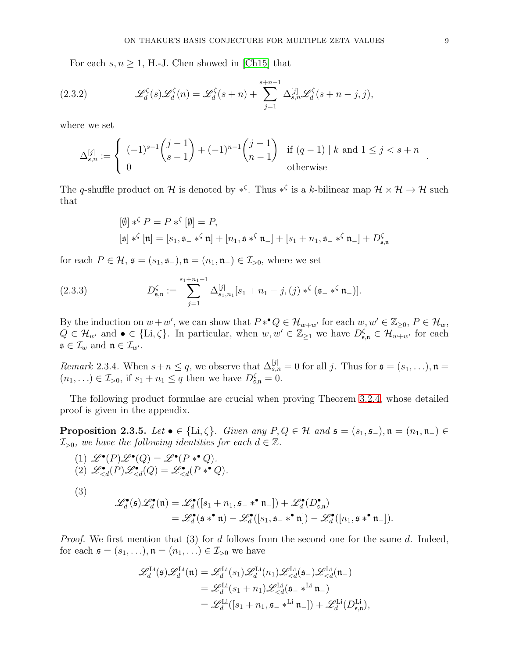<span id="page-8-1"></span>For each  $s, n \geq 1$ , H.-J. Chen showed in [\[Ch15\]](#page-30-16) that

(2.3.2) 
$$
\mathscr{L}_d^{\zeta}(s)\mathscr{L}_d^{\zeta}(n) = \mathscr{L}_d^{\zeta}(s+n) + \sum_{j=1}^{s+n-1} \Delta_{s,n}^{[j]} \mathscr{L}_d^{\zeta}(s+n-j,j),
$$

where we set

$$
\Delta_{s,n}^{[j]} := \begin{cases}\n(-1)^{s-1} \binom{j-1}{s-1} + (-1)^{n-1} \binom{j-1}{n-1} & \text{if } (q-1) \mid k \text{ and } 1 \le j < s+n \\
0 & \text{otherwise}\n\end{cases}
$$

The q-shuffle product on H is denoted by \*<sup>5</sup>. Thus \*<sup>5</sup> is a k-bilinear map  $\mathcal{H} \times \mathcal{H} \to \mathcal{H}$  such that

<span id="page-8-2"></span>
$$
\begin{aligned} [\emptyset] *^{\zeta} P &= P *^{\zeta} [\emptyset] = P, \\ [\mathfrak{s}] *^{\zeta} [\mathfrak{n}] &= [s_1, \mathfrak{s} - *^{\zeta} \mathfrak{n}] + [n_1, \mathfrak{s} *^{\zeta} \mathfrak{n}_-] + [s_1 + n_1, \mathfrak{s} - *^{\zeta} \mathfrak{n}_-] + D_{\mathfrak{s}, \mathfrak{n}}^{\zeta} \end{aligned}
$$

for each  $P \in \mathcal{H}$ ,  $\mathfrak{s} = (s_1, \mathfrak{s}_-), \mathfrak{n} = (n_1, \mathfrak{n}_-) \in \mathcal{I}_{>0}$ , where we set

(2.3.3) 
$$
D_{\mathfrak{s},\mathfrak{n}}^{\zeta} := \sum_{j=1}^{s_1+n_1-1} \Delta_{s_1,n_1}^{[j]}[s_1+n_1-j,(j) *^{\zeta}(\mathfrak{s}_{-} *^{\zeta} \mathfrak{n}_{-})].
$$

By the induction on  $w+w'$ , we can show that  $P*^{\bullet}Q \in \mathcal{H}_{w+w'}$  for each  $w, w' \in \mathbb{Z}_{\geq 0}, P \in \mathcal{H}_w$ ,  $Q \in \mathcal{H}_{w'}$  and  $\bullet \in \{\text{Li}, \zeta\}$ . In particular, when  $w, w' \in \mathbb{Z}_{\geq 1}$  we have  $D_{\mathfrak{s}, \mathfrak{n}}^{\zeta} \in \mathcal{H}_{w+w'}$  for each  $\mathfrak{s} \in \mathcal{I}_w$  and  $\mathfrak{n} \in \mathcal{I}_{w'}$ .

<span id="page-8-3"></span>*Remark* 2.3.4. When  $s + n \leq q$ , we observe that  $\Delta_{s,n}^{[j]} = 0$  for all j. Thus for  $\mathfrak{s} = (s_1, \ldots), \mathfrak{n} =$  $(n_1, \ldots) \in \mathcal{I}_{>0}$ , if  $s_1 + n_1 \leq q$  then we have  $D_{\mathfrak{s}, \mathfrak{n}}^{\zeta} = 0$ .

The following product formulae are crucial when proving Theorem [3.2.4,](#page-10-0) whose detailed proof is given in the appendix.

<span id="page-8-0"></span>**Proposition 2.3.5.** Let  $\bullet \in \{\text{Li}, \zeta\}$ . Given any  $P, Q \in \mathcal{H}$  and  $\mathfrak{s} = (s_1, \mathfrak{s}_-), \mathfrak{n} = (n_1, \mathfrak{n}_-) \in$  $\mathcal{I}_{>0}$ , we have the following identities for each  $d \in \mathbb{Z}$ .

$$
\begin{array}{c} (1) \ \mathscr{L}^\bullet(P)\mathscr{L}^\bullet(Q) = \mathscr{L}^\bullet(P \ast^\bullet Q). \\ (2) \ \mathscr{L}_{
$$

(3)

$$
\begin{split} \mathscr{L}_d^\bullet(\mathfrak{s})\mathscr{L}_d^\bullet(\mathfrak{n})&=\mathscr{L}_d^\bullet([s_1+n_1,\mathfrak{s}_-*^{\bullet}\mathfrak{n}_-])+ \mathscr{L}_d^\bullet(D_{\mathfrak{s},\mathfrak{n}}^\bullet)\\ &=\mathscr{L}_d^\bullet(\mathfrak{s} *^{\bullet}\mathfrak{n})-\mathscr{L}_d^\bullet([s_1,\mathfrak{s}_-*^{\bullet}\mathfrak{n}])-\mathscr{L}_d^\bullet([n_1,\mathfrak{s} *^{\bullet}\mathfrak{n}_-]).\end{split}
$$

*Proof.* We first mention that  $(3)$  for d follows from the second one for the same d. Indeed, for each  $\mathfrak{s} = (s_1, \ldots), \mathfrak{n} = (n_1, \ldots) \in \mathcal{I}_{>0}$  we have

$$
\begin{split} \mathscr{L}_{d}^{\mathrm{Li}}(\mathfrak{s})\mathscr{L}_{d}^{\mathrm{Li}}(\mathfrak{n})&=\mathscr{L}_{d}^{\mathrm{Li}}(s_1)\mathscr{L}_{d}^{\mathrm{Li}}(n_1)\mathscr{L}_{
$$

.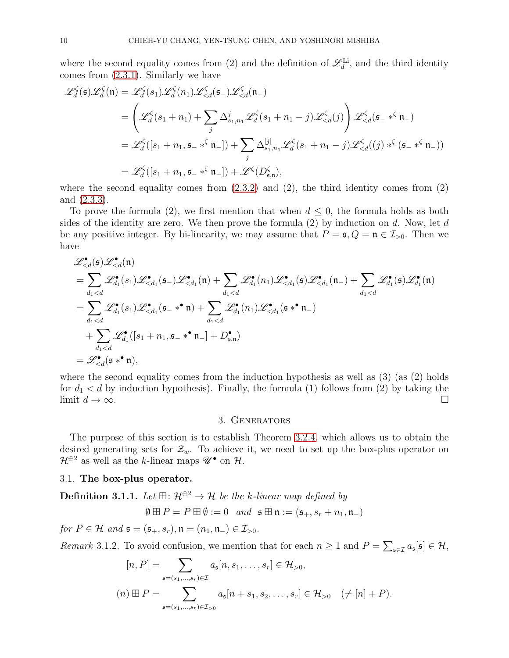where the second equality comes from (2) and the definition of  $\mathscr{L}_{d}^{\text{Li}}$ , and the third identity comes from [\(2.3.1\)](#page-7-1). Similarly we have

$$
\mathcal{L}_{d}^{\zeta}(\mathfrak{s})\mathcal{L}_{d}^{\zeta}(\mathfrak{n}) = \mathcal{L}_{d}^{\zeta}(s_{1})\mathcal{L}_{d}^{\zeta}(\mathfrak{n}_{1})\mathcal{L}_{\n
$$
= \left(\mathcal{L}_{d}^{\zeta}(s_{1}+n_{1}) + \sum_{j} \Delta_{s_{1},n_{1}}^{j} \mathcal{L}_{d}^{\zeta}(s_{1}+n_{1}-j)\mathcal{L}_{\n
$$
= \mathcal{L}_{d}^{\zeta}([s_{1}+n_{1},\mathfrak{s}_{-} * \zeta \mathfrak{n}_{-}]) + \sum_{j} \Delta_{s_{1},n_{1}}^{[j]} \mathcal{L}_{d}^{\zeta}(s_{1}+n_{1}-j)\mathcal{L}_{\n
$$
= \mathcal{L}_{d}^{\zeta}([s_{1}+n_{1},\mathfrak{s}_{-} * \zeta \mathfrak{n}_{-}]) + \mathcal{L}^{\zeta}(D_{\mathfrak{s},\mathfrak{n}}^{\zeta}),
$$
$$
$$
$$

where the second equality comes from  $(2.3.2)$  and  $(2)$ , the third identity comes from  $(2)$ and [\(2.3.3\)](#page-8-2).

To prove the formula (2), we first mention that when  $d \leq 0$ , the formula holds as both sides of the identity are zero. We then prove the formula  $(2)$  by induction on d. Now, let d be any positive integer. By bi-linearity, we may assume that  $P = \mathfrak{s}, Q = \mathfrak{n} \in \mathcal{I}_{>0}$ . Then we have

$$
\mathcal{L}_{\n
$$
= \sum_{d_1 < d} \mathcal{L}_{d_1}^{\bullet}(s_1) \mathcal{L}_{\n
$$
= \sum_{d_1 < d} \mathcal{L}_{d_1}^{\bullet}(s_1) \mathcal{L}_{\n
$$
+ \sum_{d_1 < d} \mathcal{L}_{d_1}^{\bullet}([s_1 + n_1, \mathfrak{s} - \mathfrak{s}^{\bullet} \mathfrak{n}] + D_{\mathfrak{s}, \mathfrak{n}}^{\bullet})
$$
\n
$$
= \mathcal{L}_{
$$
$$
$$
$$

<span id="page-9-0"></span>where the second equality comes from the induction hypothesis as well as  $(3)$  (as  $(2)$  holds for  $d_1 < d$  by induction hypothesis). Finally, the formula (1) follows from (2) by taking the limit  $d \to \infty$ .

# 3. Generators

The purpose of this section is to establish Theorem [3.2.4,](#page-10-0) which allows us to obtain the desired generating sets for  $\mathcal{Z}_w$ . To achieve it, we need to set up the box-plus operator on  $\mathcal{H}^{\oplus 2}$  as well as the k-linear maps  $\mathscr{U}^{\bullet}$  on  $\mathcal{H}$ .

### 3.1. The box-plus operator.

<span id="page-9-1"></span>Definition 3.1.1. Let  $\mathbb{H}$ :  $\mathcal{H}^{\oplus 2} \to \mathcal{H}$  be the k-linear map defined by

$$
\emptyset \boxplus P = P \boxplus \emptyset := 0 \quad and \quad \mathfrak{s} \boxplus \mathfrak{n} := (\mathfrak{s}_+, s_r + n_1, \mathfrak{n}_-)
$$

for  $P \in \mathcal{H}$  and  $\mathfrak{s} = (\mathfrak{s}_+, s_r), \mathfrak{n} = (n_1, \mathfrak{n}_-) \in \mathcal{I}_{>0}$ .

Remark 3.1.2. To avoid confusion, we mention that for each  $n \geq 1$  and  $P = \sum_{\mathfrak{s} \in \mathcal{I}} a_{\mathfrak{s}}[\mathfrak{s}] \in \mathcal{H}$ ,

$$
[n, P] = \sum_{\mathfrak{s}=(s_1,\dots,s_r)\in\mathcal{I}} a_{\mathfrak{s}}[n, s_1,\dots,s_r] \in \mathcal{H}_{>0},
$$
  

$$
(n) \boxplus P = \sum_{\mathfrak{s}=(s_1,\dots,s_r)\in\mathcal{I}_{>0}} a_{\mathfrak{s}}[n+s_1, s_2,\dots,s_r] \in \mathcal{H}_{>0} \quad (\neq [n]+P).
$$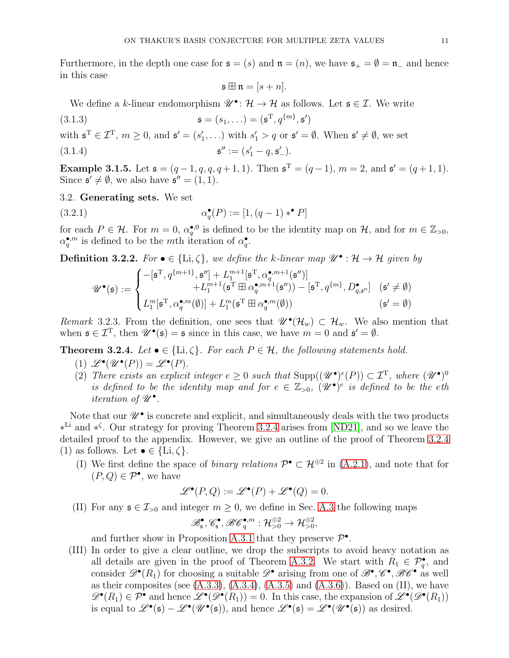Furthermore, in the depth one case for  $\mathfrak{s} = (s)$  and  $\mathfrak{n} = (n)$ , we have  $\mathfrak{s}_+ = \emptyset = \mathfrak{n}_-$  and hence in this case

<span id="page-10-3"></span>
$$
\mathfrak{s} \boxplus \mathfrak{n} = [s+n].
$$

We define a k-linear endomorphism  $\mathscr{U}^{\bullet}$ :  $\mathcal{H} \to \mathcal{H}$  as follows. Let  $\mathfrak{s} \in \mathcal{I}$ . We write

(3.1.3)  $\mathfrak{s} = (s_1, \ldots) = (\mathfrak{s}^{\mathrm{T}}, q^{\{m\}}, \mathfrak{s}')$ 

with  $\mathfrak{s}^T \in \mathcal{I}^T$ ,  $m \geq 0$ , and  $\mathfrak{s}' = (s'_1, \ldots)$  with  $s'_1 > q$  or  $\mathfrak{s}' = \emptyset$ . When  $\mathfrak{s}' \neq \emptyset$ , we set

(3.1.4) 
$$
\mathfrak{s}'' := (s'_1 - q, \mathfrak{s}'_-).
$$

**Example 3.1.5.** Let  $\mathfrak{s} = (q-1, q, q, q+1, 1)$ . Then  $\mathfrak{s}^T = (q-1)$ ,  $m = 2$ , and  $\mathfrak{s}' = (q+1, 1)$ . Since  $\mathfrak{s}' \neq \emptyset$ , we also have  $\mathfrak{s}'' = (1, 1)$ .

3.2. Generating sets. We set

(3.2.1) 
$$
\alpha_q^{\bullet}(P) := [1, (q-1) *^{\bullet} P]
$$

for each  $P \in \mathcal{H}$ . For  $m = 0$ ,  $\alpha_q^{\bullet,0}$  is defined to be the identity map on  $\mathcal{H}$ , and for  $m \in \mathbb{Z}_{>0}$ ,  $\alpha_q^{\bullet,m}$  is defined to be the mth iteration of  $\alpha_q^{\bullet}$ .

<span id="page-10-1"></span>**Definition 3.2.2.** For  $\bullet \in \{\text{Li}, \zeta\}$ , we define the k-linear map  $\mathscr{U}^{\bullet} : \mathcal{H} \to \mathcal{H}$  given by

<span id="page-10-4"></span>
$$
\mathscr{U}^\bullet(\mathfrak{s}) := \begin{cases} -[\mathfrak{s}^\mathrm{T},q^{\{m+1\}},\mathfrak{s}'']+L_1^{m+1}[\mathfrak{s}^\mathrm{T},\alpha_q^{\bullet,m+1}(\mathfrak{s}'')] \\qquad \qquad +L_1^{m+1}(\mathfrak{s}^\mathrm{T} \boxplus \alpha_q^{\bullet,m+1}(\mathfrak{s}'')) - [\mathfrak{s}^\mathrm{T},q^{\{m\}},D_{q,\mathfrak{s}''}^\bullet] \quad (\mathfrak{s}' \neq \emptyset) \\ L_1^m[\mathfrak{s}^\mathrm{T},\alpha_q^{\bullet,m}(\emptyset)] + L_1^m(\mathfrak{s}^\mathrm{T} \boxplus \alpha_q^{\bullet,m}(\emptyset)) \qquad \qquad (\mathfrak{s}' = \emptyset) \end{cases}
$$

<span id="page-10-2"></span>Remark 3.2.3. From the definition, one sees that  $\mathscr{U}^{\bullet}(\mathcal{H}_{w}) \subset \mathcal{H}_{w}$ . We also mention that when  $\mathfrak{s} \in \mathcal{I}^T$ , then  $\mathscr{U}^{\bullet}(\mathfrak{s}) = \mathfrak{s}$  since in this case, we have  $m = 0$  and  $\mathfrak{s}' = \emptyset$ .

<span id="page-10-0"></span>**Theorem 3.2.4.** Let  $\bullet \in \{\text{Li}, \zeta\}$ . For each  $P \in \mathcal{H}$ , the following statements hold.

- (1)  $\mathscr{L}^{\bullet}(\mathscr{U}^{\bullet}(P)) = \mathscr{L}^{\bullet}(P)$ .
- (2) There exists an explicit integer  $e \geq 0$  such that  $\text{Supp}((\mathscr{U}^{\bullet})^e(P)) \subset \mathcal{I}^T$ , where  $(\mathscr{U}^{\bullet})^0$ is defined to be the identity map and for  $e \in \mathbb{Z}_{>0}$ ,  $(\mathcal{U}^{\bullet})^e$  is defined to be the eth iteration of  $\mathscr{U}^\bullet$ .

Note that our  $\mathscr{U}^{\bullet}$  is concrete and explicit, and simultaneously deals with the two products ∗ Li and ∗ ζ . Our strategy for proving Theorem [3.2.4](#page-10-0) arises from [\[ND21\]](#page-30-13), and so we leave the detailed proof to the appendix. However, we give an outline of the proof of Theorem [3.2.4](#page-10-0) (1) as follows. Let  $\bullet \in \{\text{Li}, \zeta\}.$ 

(I) We first define the space of *binary relations*  $\mathcal{P}^{\bullet} \subset \mathcal{H}^{\oplus 2}$  in [\(A.2.1\)](#page-25-0), and note that for  $(P,Q) \in \mathcal{P}^{\bullet}$ , we have

$$
\mathscr{L}^{\bullet}(P,Q) := \mathscr{L}^{\bullet}(P) + \mathscr{L}^{\bullet}(Q) = 0.
$$

(II) For any  $\mathfrak{s} \in \mathcal{I}_{>0}$  and integer  $m \geq 0$ , we define in Sec. [A.3](#page-26-0) the following maps

$$
\mathscr B_{\mathfrak s}^{\bullet}, \mathscr C_{\mathfrak s}^{\bullet}, \mathscr B \mathscr C_q^{\bullet, m} : \mathcal H_{>0}^{\oplus 2} \to \mathcal H_{>0}^{\oplus 2},
$$

and further show in Proposition [A.3.1](#page-26-1) that they preserve  $\mathcal{P}^{\bullet}$ .

(III) In order to give a clear outline, we drop the subscripts to avoid heavy notation as all details are given in the proof of Theorem [A.3.2.](#page-27-0) We start with  $R_1 \in \mathcal{P}_q^{\bullet}$ , and consider  $\mathscr{D}^\bullet(R_1)$  for choosing a suitable  $\mathscr{D}^\bullet$  arising from one of  $\mathscr{B}^\bullet, \mathscr{C}^\bullet, \mathscr{B}\mathscr{C}^\bullet$  as well as their composites (see  $(A.3.3)$ ,  $(A.3.4)$ ,  $(A.3.5)$  and  $(A.3.6)$ ). Based on  $(II)$ , we have  $\mathscr{D}^\bullet(R_1) \in \mathcal{P}^\bullet$  and hence  $\mathscr{L}^\bullet(\mathscr{D}^\bullet(R_1)) = 0$ . In this case, the expansion of  $\mathscr{L}^\bullet(\mathscr{D}^\bullet(R_1))$ is equal to  $\mathscr{L}^{\bullet}(\mathfrak{s}) - \mathscr{L}^{\bullet}(\mathscr{U}^{\bullet}(\mathfrak{s}))$ , and hence  $\mathscr{L}^{\bullet}(\mathfrak{s}) = \mathscr{L}^{\bullet}(\mathscr{U}^{\bullet}(\mathfrak{s}))$  as desired.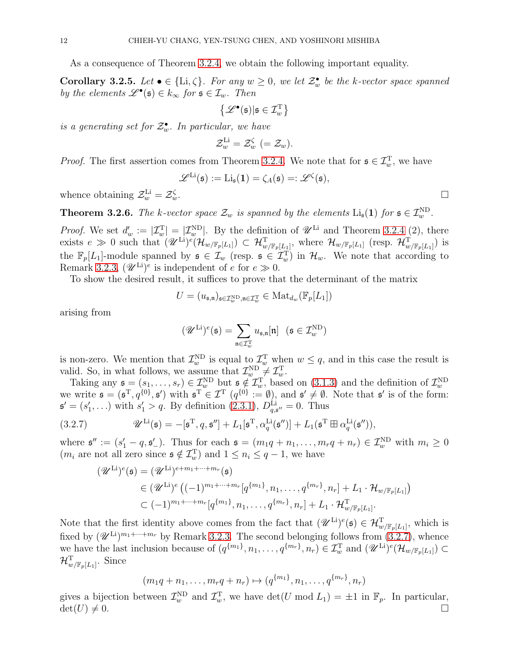As a consequence of Theorem [3.2.4,](#page-10-0) we obtain the following important equality.

<span id="page-11-0"></span>**Corollary 3.2.5.** Let  $\bullet \in \{\text{Li}, \zeta\}$ . For any  $w \geq 0$ , we let  $\mathcal{Z}_{w}^{\bullet}$  be the k-vector space spanned by the elements  $\mathscr{L}^{\bullet}(\mathfrak{s}) \in k_{\infty}$  for  $\mathfrak{s} \in \mathcal{I}_w$ . Then

$$
\left\{ \mathscr{L}^\bullet(\mathfrak{s}) | \mathfrak{s} \in \mathcal{I}^{\rm T}_w \right\}
$$

is a generating set for  $\mathcal{Z}_{w}^{\bullet}$ . In particular, we have

$$
\mathcal{Z}_{w}^{\text{Li}}=\mathcal{Z}_{w}^{\zeta}~(=\mathcal{Z}_{w}).
$$

*Proof.* The first assertion comes from Theorem [3.2.4.](#page-10-0) We note that for  $\mathfrak{s} \in \mathcal{I}_{w}^{\mathrm{T}}$ , we have

$$
\mathscr{L}^{\text{Li}}(\mathfrak{s}):=\text{Li}_{\mathfrak{s}}(\mathbf{1})=\zeta_A(\mathfrak{s})=:\mathscr{L}^{\zeta}(\mathfrak{s}),
$$

whence obtaining  $\mathcal{Z}_{w}^{\text{Li}} = \mathcal{Z}_{w}^{\zeta}$  $\zeta$  with  $\Box$ 

<span id="page-11-1"></span>**Theorem 3.2.6.** The k-vector space  $\mathcal{Z}_w$  is spanned by the elements  $\text{Li}_\mathfrak{s}(1)$  for  $\mathfrak{s} \in \mathcal{I}_w^{\text{ND}}$ .

*Proof.* We set  $d'_w := |\mathcal{I}_w^{\Pi}| = |\mathcal{I}_w^{\Pi}|$ . By the definition of  $\mathscr{U}^{\text{Li}}$  and Theorem [3.2.4](#page-10-0) (2), there exists  $e \gg 0$  such that  $(\mathscr{U}^{\text{Li}})^e(\mathcal{H}_{w/\mathbb{F}_p[L_1]}) \subset \mathcal{H}_{w/\mathbb{F}_p[L_1]}^T$ , where  $\mathcal{H}_{w/\mathbb{F}_p[L_1]}^T$  (resp.  $\mathcal{H}_{w/\mathbb{F}_p[L_1]}^T$ ) is the  $\mathbb{F}_p[L_1]$ -module spanned by  $\mathfrak{s} \in \mathcal{I}_w$  (resp.  $\mathfrak{s} \in \mathcal{I}_w^T$ ) in  $\mathcal{H}_w$ . We note that according to Remark [3.2.3,](#page-10-2)  $(\mathscr{U}^{\text{Li}})^e$  is independent of e for  $e \gg 0$ .

To show the desired result, it suffices to prove that the determinant of the matrix

$$
U = (u_{\mathfrak{s},\mathfrak{n}})_{\mathfrak{s} \in \mathcal{I}_w^{\text{ND}}, \mathfrak{n} \in \mathcal{I}_w^{\text{T}}} \in \text{Mat}_{d_w}(\mathbb{F}_p[L_1])
$$

arising from

$$
(\mathscr{U}^{\mathrm{Li}})^e(\mathfrak{s})=\sum_{\mathfrak{n}\in\mathcal{I}_w^{\mathrm{T}}}u_{\mathfrak{s},\mathfrak{n}}[\mathfrak{n}]\ \ (\mathfrak{s}\in\mathcal{I}_w^{\mathrm{ND}})
$$

is non-zero. We mention that  $\mathcal{I}_{w}^{\text{ND}}$  is equal to  $\mathcal{I}_{w}^{\text{T}}$  when  $w \leq q$ , and in this case the result is valid. So, in what follows, we assume that  $\mathcal{I}_{w}^{\text{ND}} \neq \mathcal{I}_{w}^{\text{T}}$ .

Taking any  $\mathfrak{s} = (s_1, \ldots, s_r) \in \mathcal{I}_{w}^{\text{ND}}$  but  $\mathfrak{s} \notin \mathcal{I}_{w}^{\text{T}}$ , based on [\(3.1.3\)](#page-10-3) and the definition of  $\mathcal{I}_{w}^{\text{ND}}$ <br>we write  $\mathfrak{s} = (\mathfrak{s}^{\text{T}}, q^{\{0\}}, \mathfrak{s}')$  with  $\mathfrak{s}^{\text{T}} \in \mathcal{I}^{\text{T}}$   $(q^{\{0\}} := \emptyset$  $\mathfrak{s}' = (s'_1, \ldots)$  with  $s'_1 > q$ . By definition  $(2.3.1)$ ,  $D_{q,\mathfrak{s}''}^{\text{Li}} = 0$ . Thus

<span id="page-11-2"></span>(3.2.7) 
$$
\mathscr{U}^{\text{Li}}(\mathfrak{s}) = -[\mathfrak{s}^{\text{T}}, q, \mathfrak{s}''] + L_1[\mathfrak{s}^{\text{T}}, \alpha_q^{\text{Li}}(\mathfrak{s}'')] + L_1(\mathfrak{s}^{\text{T}} \boxplus \alpha_q^{\text{Li}}(\mathfrak{s}'')),
$$

where  $\mathfrak{s}'' := (s_1' - q, \mathfrak{s}'_-)$ . Thus for each  $\mathfrak{s} = (m_1q + n_1, \ldots, m_rq + n_r) \in \mathcal{I}_{w}^{\text{ND}}$  with  $m_i \geq 0$  $(m_i \text{ are not all zero since } \mathfrak{s} \notin \mathcal{I}_{w}^{\mathrm{T}}) \text{ and } 1 \leq n_i \leq q-1, \text{ we have}$ 

$$
(\mathcal{U}^{\text{Li}})^e(\mathfrak{s}) = (\mathcal{U}^{\text{Li}})^{e+m_1+\cdots+m_r}(\mathfrak{s})
$$
  
\n
$$
\in (\mathcal{U}^{\text{Li}})^e((-1)^{m_1+\cdots+m_r}[q^{\{m_1\}},n_1,\ldots,q^{\{m_r\}},n_r]+L_1 \cdot \mathcal{H}_{w/\mathbb{F}_p[L_1]})
$$
  
\n
$$
\subset (-1)^{m_1+\cdots+m_r}[q^{\{m_1\}},n_1,\ldots,q^{\{m_r\}},n_r]+L_1 \cdot \mathcal{H}_{w/\mathbb{F}_p[L_1]}^T.
$$

Note that the first identity above comes from the fact that  $(\mathscr{U}^{\mathrm{Li}})^e(\mathfrak{s}) \in \mathcal{H}_{w/\mathbb{F}_p[L_1]}^T$ , which is fixed by  $(\mathscr{U}^{\text{Li}})^{m_1+\dots+m_r}$  by Remark [3.2.3.](#page-10-2) The second belonging follows from  $(3.2.7)$ , whence we have the last inclusion because of  $(q^{\{m_1\}}, n_1, \ldots, q^{\{m_r\}}, n_r) \in \mathcal{I}_{w}^{\mathrm{T}}$  and  $(\mathscr{U}^{\mathrm{Li}})^e(\mathcal{H}_{w/\mathbb{F}_p[L_1]}) \subset$  $\mathcal{H}_{w/\mathbb{F}_p[L_1]}^{\mathrm{T}}$ . Since

$$
(m_1q + n_1, \ldots, m_rq + n_r) \mapsto (q^{\{m_1\}}, n_1, \ldots, q^{\{m_r\}}, n_r)
$$

gives a bijection between  $\mathcal{I}_{w}^{\text{ND}}$  and  $\mathcal{I}_{w}^{\text{T}}$ , we have  $\det(U \mod L_1) = \pm 1$  in  $\mathbb{F}_p$ . In particular,  $\det(U) \neq 0.$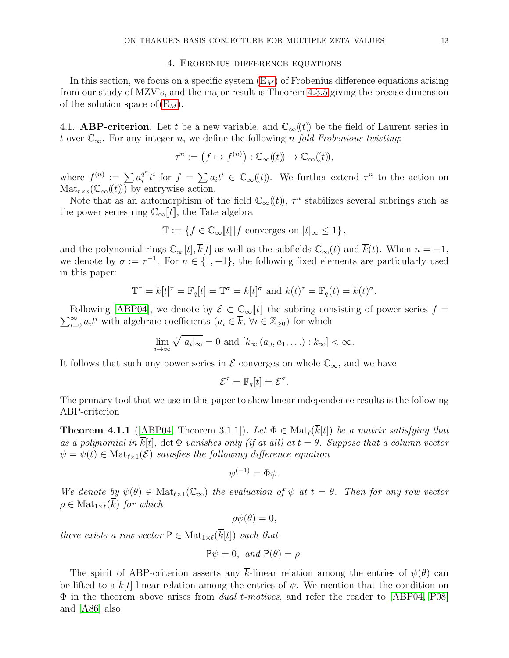### 4. Frobenius difference equations

<span id="page-12-0"></span>In this section, we focus on a specific system  $(E_M)$  of Frobenius difference equations arising from our study of MZV's, and the major result is Theorem [4.3.5](#page-15-0) giving the precise dimension of the solution space of  $(E_M)$  $(E_M)$ .

4.1. **ABP-criterion.** Let t be a new variable, and  $\mathbb{C}_{\infty}(\ell)$  be the field of Laurent series in t over  $\mathbb{C}_{\infty}$ . For any integer n, we define the following n-fold Frobenious twisting:

$$
\tau^n := \left(f \mapsto f^{(n)}\right) : \mathbb{C}_\infty(\!(t)\!)\to \mathbb{C}_\infty(\!(t)\!),
$$

where  $f^{(n)} := \sum a_i^{q^n}$  $\int_{i}^{q^n} t^i$  for  $f = \sum a_i t^i \in \mathbb{C}_{\infty}(\!(t)\!)$ . We further extend  $\tau^n$  to the action on  $\text{Mat}_{r\times s}(\mathbb{C}_{\infty}(\!(t)\!))$  by entrywise action.

Note that as an automorphism of the field  $\mathbb{C}_{\infty}(\!(t)\!)$ ,  $\tau^n$  stabilizes several subrings such as the power series ring  $\mathbb{C}_{\infty}[[t]]$ , the Tate algebra

$$
\mathbb{T} := \{ f \in \mathbb{C}_{\infty}[[t]] | f \text{ converges on } |t|_{\infty} \le 1 \},
$$

and the polynomial rings  $\mathbb{C}_{\infty}[t], \overline{k}[t]$  as well as the subfields  $\mathbb{C}_{\infty}(t)$  and  $\overline{k}(t)$ . When  $n = -1$ , we denote by  $\sigma := \tau^{-1}$ . For  $n \in \{1, -1\}$ , the following fixed elements are particularly used in this paper:

$$
\mathbb{T}^{\tau} = \overline{k}[t]^{\tau} = \mathbb{F}_q[t] = \mathbb{T}^{\sigma} = \overline{k}[t]^{\sigma} \text{ and } \overline{k}(t)^{\tau} = \mathbb{F}_q(t) = \overline{k}(t)^{\sigma}.
$$

 $\sum_{i=0}^{\infty} a_i t^i$  with algebraic coefficients  $(a_i \in \overline{k}, \forall i \in \mathbb{Z}_{\geq 0})$  for which Following [\[ABP04\]](#page-29-7), we denote by  $\mathcal{E} \subset \mathbb{C}_{\infty}[[t]]$  the subring consisting of power series  $f =$ 

$$
\lim_{i \to \infty} \sqrt[i]{|a_i|_{\infty}} = 0 \text{ and } [k_{\infty} (a_0, a_1, \ldots) : k_{\infty}] < \infty.
$$

It follows that such any power series in  $\mathcal E$  converges on whole  $\mathbb C_{\infty}$ , and we have

$$
\mathcal{E}^{\tau} = \mathbb{F}_q[t] = \mathcal{E}^{\sigma}.
$$

The primary tool that we use in this paper to show linear independence results is the following ABP-criterion

**Theorem 4.1.1** ([\[ABP04,](#page-29-7) Theorem 3.1.1]). Let  $\Phi \in Mat_{\ell}(\overline{k}[t])$  be a matrix satisfying that as a polynomial in  $\overline{k}[t]$ , det  $\Phi$  vanishes only (if at all) at  $t = \theta$ . Suppose that a column vector  $\psi = \psi(t) \in Mat_{\ell \times 1}(\mathcal{E})$  satisfies the following difference equation

$$
\psi^{(-1)} = \Phi \psi.
$$

We denote by  $\psi(\theta) \in Mat_{\ell \times 1}(\mathbb{C}_{\infty})$  the evaluation of  $\psi$  at  $t = \theta$ . Then for any row vector  $\rho \in Mat_{1\times \ell}(\overline{k})$  for which

$$
\rho\psi(\theta)=0,
$$

there exists a row vector  $P \in Mat_{1 \times \ell}(\overline{k}[t])$  such that

$$
P\psi = 0, \text{ and } P(\theta) = \rho.
$$

The spirit of ABP-criterion asserts any  $\overline{k}$ -linear relation among the entries of  $\psi(\theta)$  can be lifted to a  $\overline{k}[t]$ -linear relation among the entries of  $\psi$ . We mention that the condition on  $\Phi$  in the theorem above arises from *dual t-motives*, and refer the reader to [\[ABP04,](#page-29-7) [P08\]](#page-30-22) and [\[A86\]](#page-29-8) also.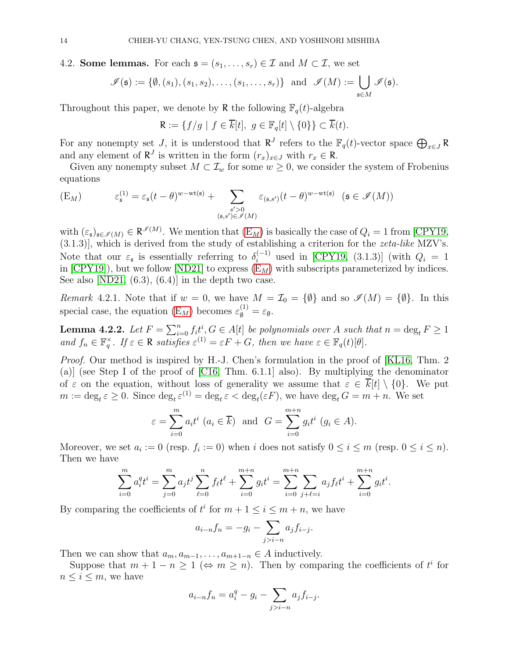# 4.2. Some lemmas. For each  $\mathfrak{s} = (s_1, \ldots, s_r) \in \mathcal{I}$  and  $M \subset \mathcal{I}$ , we set

$$
\mathscr{I}(\mathfrak{s}) := \{ \emptyset, (s_1), (s_1, s_2), \dots, (s_1, \dots, s_r) \} \text{ and } \mathscr{I}(M) := \bigcup_{\mathfrak{s} \in M} \mathscr{I}(\mathfrak{s}).
$$

Throughout this paper, we denote by R the following  $\mathbb{F}_q(t)$ -algebra

$$
\mathsf{R}:=\{f/g\ |\ f\in \overline{k}[t],\ g\in \mathbb{F}_q[t]\setminus \{0\}\}\subset \overline{k}(t).
$$

For any nonempty set J, it is understood that  $R^J$  refers to the  $\mathbb{F}_q(t)$ -vector space  $\bigoplus_{x\in J} R$ and any element of  $\mathbb{R}^J$  is written in the form  $(r_x)_{x \in J}$  with  $r_x \in \mathbb{R}$ .

Given any nonempty subset  $M \subset \mathcal{I}_w$  for some  $w \geq 0$ , we consider the system of Frobenius equations

<span id="page-13-0"></span>
$$
\text{(E}_M) \qquad \qquad \varepsilon_{\mathfrak{s}}^{(1)} = \varepsilon_{\mathfrak{s}}(t-\theta)^{w-\operatorname{wt}(\mathfrak{s})} + \sum_{\substack{s'>0\\ (\mathfrak{s}, s') \in \mathcal{I}(M)}} \varepsilon_{(\mathfrak{s}, s')}(t-\theta)^{w-\operatorname{wt}(\mathfrak{s})} \quad (\mathfrak{s} \in \mathcal{I}(M))
$$

with  $(\varepsilon_{\mathfrak{s}})_{\mathfrak{s}\in\mathscr{I}(M)} \in \mathbb{R}^{\mathscr{I}(M)}$ . We mention that  $(\mathcal{E}_M)$  is basically the case of  $Q_i = 1$  from [\[CPY19,](#page-30-17)  $(3.1.3)$ , which is derived from the study of establishing a criterion for the *zeta-like* MZV's. Note that our  $\varepsilon_{\mathfrak{s}}$  is essentially referring to  $\delta_i^{(-1)}$  used in [\[CPY19,](#page-30-17) (3.1.3)] (with  $Q_i = 1$ in  $[CPY19]$ , but we follow  $[ND21]$  to express  $(E_M)$  with subscripts parameterized by indices. See also  $[ND21, (6.3), (6.4)]$  in the depth two case.

Remark 4.2.1. Note that if  $w = 0$ , we have  $M = \mathcal{I}_0 = {\emptyset}$  and so  $\mathscr{I}(M) = {\emptyset}$ . In this special case, the equation  $(E_M)$  becomes  $\varepsilon_{\emptyset}^{(1)} = \varepsilon_{\emptyset}$ .

<span id="page-13-1"></span>**Lemma 4.2.2.** Let  $F = \sum_{i=0}^{n} f_i t^i$ ,  $G \in A[t]$  be polynomials over A such that  $n = \deg_t F \geq 1$ and  $f_n \in \mathbb{F}_q^{\times}$ . If  $\varepsilon \in \mathbb{R}$  satisfies  $\varepsilon^{(1)} = \varepsilon F + G$ , then we have  $\varepsilon \in \mathbb{F}_q(t)[\theta]$ .

Proof. Our method is inspired by H.-J. Chen's formulation in the proof of [\[KL16,](#page-30-23) Thm. 2 (a)] (see Step I of the proof of [\[C16,](#page-30-24) Thm. 6.1.1] also). By multiplying the denominator of  $\varepsilon$  on the equation, without loss of generality we assume that  $\varepsilon \in \overline{k}[t] \setminus \{0\}$ . We put  $m := \deg_t \varepsilon \geq 0$ . Since  $\deg_t \varepsilon^{(1)} = \deg_t \varepsilon < \deg_t(\varepsilon F)$ , we have  $\deg_t G = m + n$ . We set

$$
\varepsilon = \sum_{i=0}^{m} a_i t^i \ (a_i \in \overline{k})
$$
 and  $G = \sum_{i=0}^{m+n} g_i t^i \ (g_i \in A).$ 

Moreover, we set  $a_i := 0$  (resp.  $f_i := 0$ ) when i does not satisfy  $0 \le i \le m$  (resp.  $0 \le i \le n$ ). Then we have

$$
\sum_{i=0}^{m} a_i^q t^i = \sum_{j=0}^{m} a_j t^j \sum_{\ell=0}^{n} f_{\ell} t^{\ell} + \sum_{i=0}^{m+n} g_i t^i = \sum_{i=0}^{m+n} \sum_{j+\ell=i} a_j f_{\ell} t^i + \sum_{i=0}^{m+n} g_i t^i.
$$

By comparing the coefficients of  $t^i$  for  $m + 1 \leq i \leq m + n$ , we have

$$
a_{i-n}f_n = -g_i - \sum_{j>i-n} a_j f_{i-j}.
$$

Then we can show that  $a_m, a_{m-1}, \ldots, a_{m+1-n} \in A$  inductively.

Suppose that  $m + 1 - n \ge 1$  ( $\Leftrightarrow m \ge n$ ). Then by comparing the coefficients of  $t^i$  for  $n \leq i \leq m$ , we have

$$
a_{i-n}f_n = a_i^q - g_i - \sum_{j>i-n} a_j f_{i-j}.
$$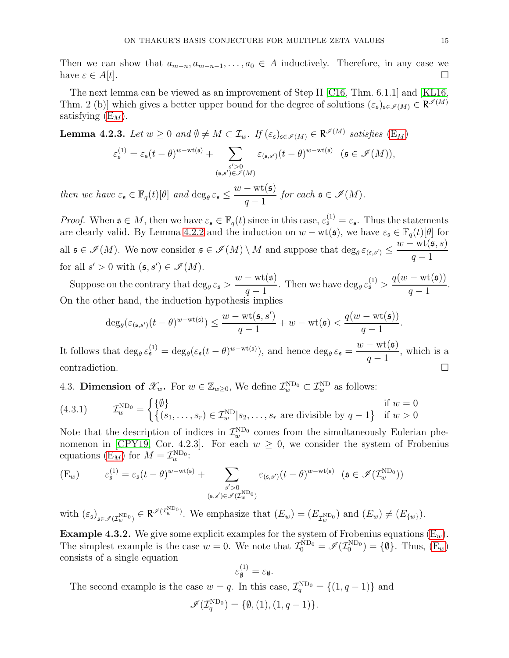Then we can show that  $a_{m-n}, a_{m-n-1}, \ldots, a_0 \in A$  inductively. Therefore, in any case we have  $\varepsilon \in A[t]$ .

The next lemma can be viewed as an improvement of Step II [\[C16,](#page-30-24) Thm. 6.1.1] and [\[KL16,](#page-30-23) Thm. 2 (b)] which gives a better upper bound for the degree of solutions  $(\varepsilon_{\mathfrak{s}})_{\mathfrak{s}\in\mathscr{I}(M)}\in\mathsf{R}^{\mathscr{I}(M)}$ satisfying  $(E_M)$ .

<span id="page-14-2"></span>**Lemma 4.2.3.** Let  $w \ge 0$  and  $\emptyset \ne M \subset \mathcal{I}_w$ . If  $(\varepsilon_{\mathfrak{s}})_{\mathfrak{s} \in \mathscr{I}(M)} \in \mathbb{R}^{\mathscr{I}(M)}$  satisfies  $(E_M)$  $(E_M)$  $\varepsilon_{\mathfrak{s}}^{(1)} = \varepsilon_{\mathfrak{s}}(t-\theta)^{w-\mathrm{wt}(\mathfrak{s})} + \sum_{\sigma}$  $s' > 0$ <br>(s,s')∈ $\mathcal{I}(M)$  $\varepsilon_{(\mathfrak{s},s')}(t-\theta)^{w-\mathrm{wt}(\mathfrak{s})}$   $(\mathfrak{s} \in \mathscr{I}(M)),$ 

then we have  $\varepsilon_{\mathfrak{s}} \in \mathbb{F}_q(t)[\theta]$  and  $\deg_{\theta} \varepsilon_{\mathfrak{s}} \leq$  $w - \operatorname{wt}(\mathfrak{s})$  $q-1$ for each  $\mathfrak{s} \in \mathscr{I}(M)$ .

*Proof.* When  $\mathfrak{s} \in M$ , then we have  $\varepsilon_{\mathfrak{s}} \in \mathbb{F}_q(t)$  since in this case,  $\varepsilon_{\mathfrak{s}}^{(1)} = \varepsilon_{\mathfrak{s}}$ . Thus the statements are clearly valid. By Lemma [4.2.2](#page-13-1) and the induction on  $w - \text{wt}(\mathfrak{s})$ , we have  $\varepsilon_{\mathfrak{s}} \in \mathbb{F}_q(t)[\theta]$  for all  $\mathfrak{s} \in \mathscr{I}(M)$ . We now consider  $\mathfrak{s} \in \mathscr{I}(M) \setminus M$  and suppose that  $\deg_{\theta} \varepsilon_{(\mathfrak{s},s')} \leq$  $w - \mathrm{wt}(\mathfrak{s},s)$  $q-1$ for all  $s' > 0$  with  $(\mathfrak{s}, s') \in \mathscr{I}(M)$ .

Suppose on the contrary that  $\deg_{\theta} \varepsilon_{\mathfrak{s}} >$  $w - \operatorname{wt}(\mathfrak{s})$  $\frac{(-\text{wt}(\mathfrak{s}))}{q-1}$ . Then we have  $\deg_{\theta} \varepsilon_{\mathfrak{s}}^{(1)}$  >  $q(w - \text{wt}(\mathfrak{s}))$  $q-1$ . On the other hand, the induction hypothesis implies

$$
\deg_{\theta}(\varepsilon_{(\mathfrak{s},s')}(t-\theta)^{w-\mathrm{wt}(\mathfrak{s})}) \leq \frac{w-\mathrm{wt}(\mathfrak{s},s')}{q-1} + w - \mathrm{wt}(\mathfrak{s}) < \frac{q(w-\mathrm{wt}(\mathfrak{s}))}{q-1}.
$$

It follows that  $\deg_{\theta} \varepsilon_{\mathfrak{s}}^{(1)} = \deg_{\theta}(\varepsilon_{\mathfrak{s}}(t-\theta)^{w-wt(\mathfrak{s})}),$  and hence  $\deg_{\theta} \varepsilon_{\mathfrak{s}} =$  $w - \text{wt}(\mathfrak{s})$  $q-1$ , which is a contradiction.  $\Box$ 

4.3. Dimension of  $\mathscr{X}_w$ . For  $w \in \mathbb{Z}_{w \geq 0}$ , We define  $\mathcal{I}_w^{\text{ND}_0} \subset \mathcal{I}_w^{\text{ND}}$  as follows:

<span id="page-14-1"></span>(4.3.1) 
$$
\mathcal{I}_w^{\text{ND}_0} = \begin{cases} \{\emptyset\} & \text{if } w = 0\\ \{(s_1, \ldots, s_r) \in \mathcal{I}_w^{\text{ND}} | s_2, \ldots, s_r \text{ are divisible by } q - 1\} & \text{if } w > 0 \end{cases}
$$

Note that the description of indices in  $\mathcal{I}_{w}^{\text{ND}_0}$  comes from the simultaneously Eulerian phe-nomenon in [\[CPY19,](#page-30-17) Cor. 4.2.3]. For each  $w \geq 0$ , we consider the system of Frobenius equations  $(E_M)$  for  $M = \mathcal{I}_{w}^{\text{ND}_0}$ :

<span id="page-14-0"></span>
$$
\begin{array}{lll} \displaystyle \left( \mathbf{E}_w \right) \qquad \ \ \varepsilon_{\mathfrak{s}}^{(1)} = \varepsilon_{\mathfrak{s}} (t-\theta)^{w-\mathrm{wt}(\mathfrak{s})} + \sum\limits_{\substack{s' > 0 \\ ( \mathfrak{s}, s') \in \mathscr{I}(\mathcal{I}_w^{\mathrm{ND}_0})}} \varepsilon_{(\mathfrak{s}, s')} (t-\theta)^{w-\mathrm{wt}(\mathfrak{s})} & \displaystyle \left( \mathfrak{s} \in \mathscr{I}(\mathcal{I}_w^{\mathrm{ND}_0}) \right) \end{array}
$$

with  $(\varepsilon_{\mathfrak{s}})_{\mathfrak{s}\in\mathscr{I}(\mathcal{I}_w^{\text{ND}_0})}\in\mathsf{R}^{\mathscr{I}(\mathcal{I}_w^{\text{ND}_0})}$ . We emphasize that  $(E_w)=(E_{\mathcal{I}_w^{\text{ND}_0}})$  and  $(E_w)\neq(E_{\{w\}})$ .

**Example 4.3.2.** We give some explicit examples for the system of Frobenius equations  $(E_w)$  $(E_w)$ . The simplest example is the case  $w = 0$ . We note that  $\mathcal{I}_0^{\text{ND}_0} = \mathcal{I}(\mathcal{I}_0^{\text{ND}_0}) = \{\emptyset\}$ . Thus,  $(E_w)$ consists of a single equation

$$
\varepsilon^{(1)}_{\emptyset} = \varepsilon_{\emptyset}.
$$

The second example is the case  $w = q$ . In this case,  $\mathcal{I}_q^{\text{ND}_0} = \{(1, q - 1)\}\$  and

$$
\mathscr{I}(\mathcal{I}_q^{\mathrm{ND}_0})=\{\emptyset,(1),(1,q-1)\}.
$$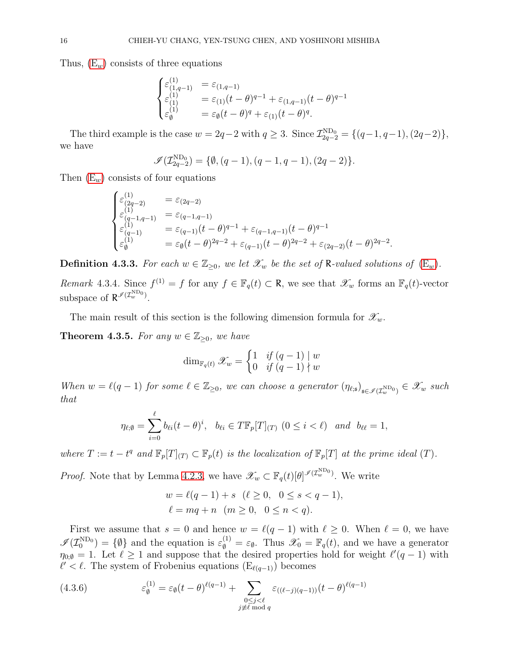Thus,  $(E_w)$  consists of three equations

$$
\begin{cases} \varepsilon^{(1)}_{(1,q-1)} &= \varepsilon_{(1,q-1)} \\ \varepsilon^{(1)}_{(1)} &= \varepsilon_{(1)}(t-\theta)^{q-1} + \varepsilon_{(1,q-1)}(t-\theta)^{q-1} \\ \varepsilon^{(1)}_{\emptyset} &= \varepsilon_{\emptyset}(t-\theta)^{q} + \varepsilon_{(1)}(t-\theta)^{q}. \end{cases}
$$

The third example is the case  $w = 2q - 2$  with  $q \ge 3$ . Since  $\mathcal{I}_{2q-2}^{\text{ND}_0} = \{(q-1, q-1), (2q-2)\},\$ we have

$$
\mathscr{I}(\mathcal{I}_{2q-2}^{\text{ND}_0}) = \{ \emptyset, (q-1), (q-1,q-1), (2q-2) \}.
$$

Then  $(E_w)$  consists of four equations

$$
\begin{cases} \varepsilon_{(2q-2)}^{(1)} &= \varepsilon_{(2q-2)} \\ \varepsilon_{(q-1,q-1)}^{(1)} &= \varepsilon_{(q-1,q-1)} \\ \varepsilon_{(q-1)}^{(1)} &= \varepsilon_{(q-1)} (t-\theta)^{q-1} + \varepsilon_{(q-1,q-1)} (t-\theta)^{q-1} \\ \varepsilon_{\emptyset}^{(1)} &= \varepsilon_{\emptyset} (t-\theta)^{2q-2} + \varepsilon_{(q-1)} (t-\theta)^{2q-2} + \varepsilon_{(2q-2)} (t-\theta)^{2q-2} \end{cases}
$$

.

**Definition 4.3.3.** For each  $w \in \mathbb{Z}_{\geq 0}$ , we let  $\mathcal{X}_w$  be the set of R-valued solutions of  $(E_w)$  $(E_w)$ .

Remark 4.3.4. Since  $f^{(1)} = f$  for any  $f \in \mathbb{F}_q(t) \subset \mathbb{R}$ , we see that  $\mathscr{X}_w$  forms an  $\mathbb{F}_q(t)$ -vector subspace of  $\mathsf{R}^{\mathscr{I}(\mathcal{I}_w^{\text{ND}_0})}$ .

The main result of this section is the following dimension formula for  $\mathscr{X}_{w}$ .

<span id="page-15-0"></span>**Theorem 4.3.5.** For any  $w \in \mathbb{Z}_{\geq 0}$ , we have

$$
\dim_{\mathbb{F}_q(t)} \mathscr{X}_w = \begin{cases} 1 & \text{if } (q-1) \mid w \\ 0 & \text{if } (q-1) \nmid w \end{cases}
$$

When  $w = \ell(q-1)$  for some  $\ell \in \mathbb{Z}_{\geq 0}$ , we can choose a generator  $(\eta_{\ell,s})_{s \in \mathscr{I}(\mathcal{I}_w^{\text{ND}_0})} \in \mathscr{X}_w$  such that

$$
\eta_{\ell;\emptyset} = \sum_{i=0}^{\ell} b_{\ell i} (t-\theta)^i, \quad b_{\ell i} \in T\mathbb{F}_p[T]_{(T)} \ (0 \leq i < \ell) \quad and \quad b_{\ell\ell} = 1,
$$

where  $T := t - t^q$  and  $\mathbb{F}_p[T]_{(T)} \subset \mathbb{F}_p(t)$  is the localization of  $\mathbb{F}_p[T]$  at the prime ideal  $(T)$ .

*Proof.* Note that by Lemma [4.2.3,](#page-14-2) we have  $\mathscr{X}_w \subset \mathbb{F}_q(t)[\theta]^{\mathscr{I}(\mathcal{I}_w^{\text{ND}_0})}$ . We write

$$
w = \ell(q - 1) + s \quad (\ell \ge 0, \quad 0 \le s < q - 1),
$$
\n
$$
\ell = mq + n \quad (m \ge 0, \quad 0 \le n < q).
$$

First we assume that  $s = 0$  and hence  $w = \ell(q - 1)$  with  $\ell \geq 0$ . When  $\ell = 0$ , we have  $\mathscr{I}(\mathcal{I}_0^{\text{ND}_0}) = \{\emptyset\}$  and the equation is  $\varepsilon_{\emptyset}^{(1)} = \varepsilon_{\emptyset}$ . Thus  $\mathscr{X}_0 = \mathbb{F}_q(t)$ , and we have a generator  $\eta_{0;\emptyset} = 1$ . Let  $\ell \geq 1$  and suppose that the desired properties hold for weight  $\ell'(q-1)$  with  $\ell' < \ell$ . The system of Frobenius equations  $(E_{\ell(q-1)})$  becomes

<span id="page-15-1"></span>(4.3.6) 
$$
\varepsilon_{\emptyset}^{(1)} = \varepsilon_{\emptyset} (t - \theta)^{\ell(q-1)} + \sum_{\substack{0 \le j < \ell \\ j \neq \ell \bmod q}} \varepsilon_{((\ell - j)(q-1))} (t - \theta)^{\ell(q-1)}
$$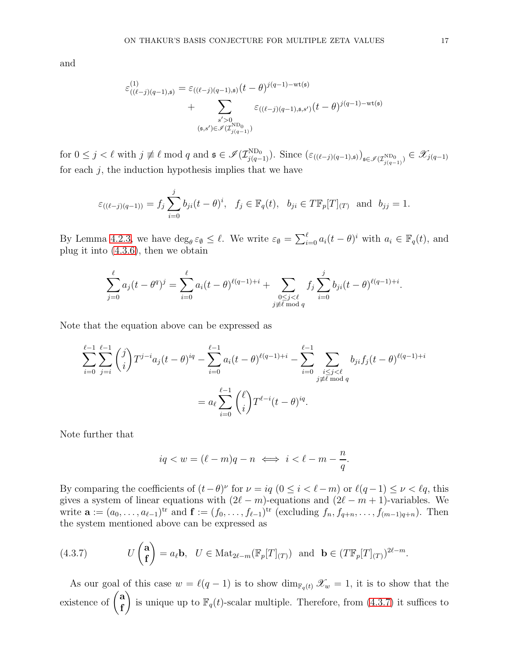and

$$
\varepsilon_{((\ell-j)(q-1),\mathfrak{s})}^{(1)} = \varepsilon_{((\ell-j)(q-1),\mathfrak{s})}(t-\theta)^{j(q-1)-\text{wt}(\mathfrak{s})} + \sum_{\substack{s'>0\\(s,s')\in \mathcal{I}(T_{j(q-1)})}} \varepsilon_{((\ell-j)(q-1),\mathfrak{s},s')}(t-\theta)^{j(q-1)-\text{wt}(\mathfrak{s})}
$$

for  $0 \leq j < \ell$  with  $j \not\equiv \ell \mod q$  and  $\mathfrak{s} \in \mathscr{I}(\mathcal{I}_{j(q-1)}^{\text{ND}_0})$ . Since  $(\varepsilon_{((\ell-j)(q-1),\mathfrak{s})})_{\mathfrak{s} \in \mathscr{I}(\mathcal{I}_{j(q-1)}^{\text{ND}_0})} \in \mathscr{X}_{j(q-1)}$ for each  $j$ , the induction hypothesis implies that we have

$$
\varepsilon_{((\ell-j)(q-1))} = f_j \sum_{i=0}^j b_{ji} (t-\theta)^i, \ \ f_j \in \mathbb{F}_q(t), \ \ b_{ji} \in T\mathbb{F}_p[T]_{(T)} \ \text{ and } \ b_{jj} = 1.
$$

By Lemma [4.2.3,](#page-14-2) we have  $\deg_{\theta} \varepsilon_{\emptyset} \leq \ell$ . We write  $\varepsilon_{\emptyset} = \sum_{i=0}^{\ell} a_i (t - \theta)^i$  with  $a_i \in \mathbb{F}_q(t)$ , and plug it into [\(4.3.6\)](#page-15-1), then we obtain

$$
\sum_{j=0}^{\ell} a_j (t - \theta^q)^j = \sum_{i=0}^{\ell} a_i (t - \theta)^{\ell(q-1)+i} + \sum_{\substack{0 \le j < \ell \\ j \ne \ell \bmod q}} f_j \sum_{i=0}^j b_{ji} (t - \theta)^{\ell(q-1)+i}.
$$

Note that the equation above can be expressed as

$$
\sum_{i=0}^{\ell-1} \sum_{j=i}^{\ell-1} \binom{j}{i} T^{j-i} a_j (t-\theta)^{iq} - \sum_{i=0}^{\ell-1} a_i (t-\theta)^{\ell(q-1)+i} - \sum_{i=0}^{\ell-1} \sum_{\substack{i \le j < \ell \\ j \ne \ell \bmod q}} b_{ji} f_j (t-\theta)^{\ell(q-1)+i}
$$

$$
= a_\ell \sum_{i=0}^{\ell-1} \binom{\ell}{i} T^{\ell-i} (t-\theta)^{iq}.
$$

Note further that

$$
iq < w = (\ell - m)q - n \iff i < \ell - m - \frac{n}{q}.
$$

By comparing the coefficients of  $(t - \theta)^{\nu}$  for  $\nu = iq$   $(0 \le i < \ell - m)$  or  $\ell(q - 1) \le \nu < \ell q$ , this gives a system of linear equations with  $(2\ell - m)$ -equations and  $(2\ell - m + 1)$ -variables. We write  $\mathbf{a} := (a_0, \ldots, a_{\ell-1})^{\text{tr}}$  and  $\mathbf{f} := (f_0, \ldots, f_{\ell-1})^{\text{tr}}$  (excluding  $f_n, f_{q+n}, \ldots, f_{(m-1)q+n}$ ). Then the system mentioned above can be expressed as

<span id="page-16-0"></span>(4.3.7) 
$$
U\begin{pmatrix} \mathbf{a} \\ \mathbf{f} \end{pmatrix} = a_{\ell} \mathbf{b}, \quad U \in \text{Mat}_{2\ell-m}(\mathbb{F}_p[T]_{(T)}) \text{ and } \mathbf{b} \in (T\mathbb{F}_p[T]_{(T)})^{2\ell-m}.
$$

As our goal of this case  $w = \ell(q-1)$  is to show  $\dim_{\mathbb{F}_q(t)} \mathscr{X}_w = 1$ , it is to show that the existence of  $\begin{pmatrix} a \\ f \end{pmatrix}$ f  $\lambda$ is unique up to  $\mathbb{F}_q(t)$ -scalar multiple. Therefore, from  $(4.3.7)$  it suffices to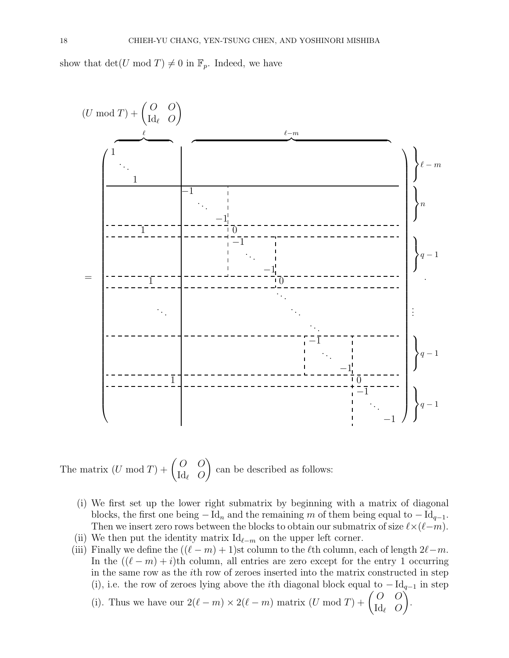show that  $\det(U \mod T) \neq 0$  in  $\mathbb{F}_p$ . Indeed, we have



The matrix 
$$
(U \mod T) + \begin{pmatrix} O & O \\ \mathrm{Id}_{\ell} & O \end{pmatrix}
$$
 can be described as follows:

- (i) We first set up the lower right submatrix by beginning with a matrix of diagonal blocks, the first one being  $-\text{Id}_n$  and the remaining m of them being equal to  $-\text{Id}_{q-1}$ . Then we insert zero rows between the blocks to obtain our submatrix of size  $\ell \times (\ell-m)$ .
- (ii) We then put the identity matrix  $\mathrm{Id}_{\ell-m}$  on the upper left corner.
- (iii) Finally we define the  $((\ell m) + 1)$ st column to the  $\ell$ th column, each of length  $2\ell m$ . In the  $((\ell - m) + i)$ th column, all entries are zero except for the entry 1 occurring in the same row as the ith row of zeroes inserted into the matrix constructed in step (i), i.e. the row of zeroes lying above the *i*th diagonal block equal to  $-\mathrm{Id}_{q-1}$  in step  $O \left( O \right)$ .

(i). Thus we have our 
$$
2(\ell - m) \times 2(\ell - m)
$$
 matrix  $(U \bmod T) + \begin{pmatrix} O & O \\ \mathrm{Id}_{\ell} & O \end{pmatrix}$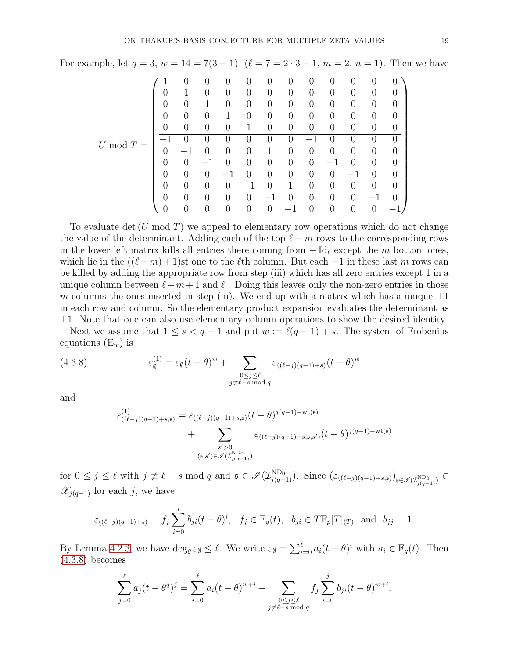For example, let  $q = 3$ ,  $w = 14 = 7(3 - 1)$   $(\ell = 7 = 2 \cdot 3 + 1, m = 2, n = 1)$ . Then we have

$$
U \bmod T = \begin{pmatrix} 1 & 0 & 0 & 0 & 0 & 0 & 0 & 0 & 0 & 0 & 0 & 0 \\ 0 & 1 & 0 & 0 & 0 & 0 & 0 & 0 & 0 & 0 & 0 & 0 \\ 0 & 0 & 1 & 0 & 0 & 0 & 0 & 0 & 0 & 0 & 0 & 0 \\ 0 & 0 & 0 & 1 & 0 & 0 & 0 & 0 & 0 & 0 & 0 & 0 \\ 0 & 0 & 0 & 0 & 1 & 0 & 0 & 0 & 0 & 0 & 0 & 0 \\ \hline -1 & 0 & 0 & 0 & 0 & 0 & 1 & 0 & 0 & 0 & 0 & 0 \\ 0 & -1 & 0 & 0 & 0 & 1 & 0 & 0 & 0 & 0 & 0 & 0 \\ 0 & 0 & -1 & 0 & 0 & 0 & 0 & 0 & 0 & -1 & 0 & 0 \\ 0 & 0 & 0 & -1 & 0 & 1 & 0 & 0 & 0 & 0 & -1 & 0 \\ 0 & 0 & 0 & 0 & -1 & 0 & 1 & 0 & 0 & 0 & 0 & -1 & 0 \\ 0 & 0 & 0 & 0 & 0 & -1 & 0 & 0 & 0 & 0 & -1 & 0 \end{pmatrix}
$$

To evaluate det  $(U \mod T)$  we appeal to elementary row operations which do not change the value of the determinant. Adding each of the top  $\ell - m$  rows to the corresponding rows in the lower left matrix kills all entries there coming from  $-\mathrm{Id}_{\ell}$  except the m bottom ones, which lie in the  $((\ell - m) + 1)$ st one to the  $\ell$ th column. But each  $-1$  in these last m rows can be killed by adding the appropriate row from step (iii) which has all zero entries except 1 in a unique column between  $\ell - m + 1$  and  $\ell$ . Doing this leaves only the non-zero entries in those m columns the ones inserted in step (iii). We end up with a matrix which has a unique  $\pm 1$ in each row and column. So the elementary product expansion evaluates the determinant as  $\pm 1$ . Note that one can also use elementary column operations to show the desired identity.

Next we assume that  $1 \leq s < q-1$  and put  $w := \ell(q-1) + s$ . The system of Frobenius equations  $(E_w)$  is

<span id="page-18-0"></span>(4.3.8) 
$$
\varepsilon_{\emptyset}^{(1)} = \varepsilon_{\emptyset} (t - \theta)^{w} + \sum_{\substack{0 \le j \le \ell \\ j \neq \ell - s \bmod q}} \varepsilon_{((\ell - j)(q - 1) + s)} (t - \theta)^{w}
$$

and

$$
\varepsilon_{((\ell-j)(q-1)+s,s)}^{(1)} = \varepsilon_{((\ell-j)(q-1)+s,s)}(t-\theta)^{j(q-1)-\text{wt}(s)} + \sum_{\substack{s'>0\\(s,s')\in \mathcal{I}(T_{j(q-1)})}} \varepsilon_{((\ell-j)(q-1)+s,s,s')}(t-\theta)^{j(q-1)-\text{wt}(s)}
$$

for  $0 \leq j \leq \ell$  with  $j \not\equiv \ell - s \mod q$  and  $\mathfrak{s} \in \mathscr{I}(\mathcal{I}_{j(q-1)}^{\text{ND}_0})$ . Since  $(\varepsilon_{((\ell-j)(q-1)+s,\mathfrak{s})})_{\mathfrak{s} \in \mathscr{I}(\mathcal{I}_{j(q-1)}^{\text{ND}_0})} \in$  $\mathscr{X}_{j(q-1)}$  for each j, we have

$$
\varepsilon_{((\ell-j)(q-1)+s)} = f_j \sum_{i=0}^j b_{ji} (t-\theta)^i, \ \ f_j \in \mathbb{F}_q(t), \ \ b_{ji} \in T\mathbb{F}_p[T]_{(T)} \ \text{and} \ \ b_{jj} = 1.
$$

By Lemma [4.2.3,](#page-14-2) we have  $\deg_{\theta} \varepsilon_{\emptyset} \leq \ell$ . We write  $\varepsilon_{\emptyset} = \sum_{i=0}^{\ell} a_i (t - \theta)^i$  with  $a_i \in \mathbb{F}_q(t)$ . Then [\(4.3.8\)](#page-18-0) becomes

$$
\sum_{j=0}^{\ell} a_j (t - \theta^q)^j = \sum_{i=0}^{\ell} a_i (t - \theta)^{w+i} + \sum_{\substack{0 \le j \le \ell \\ j \ne \ell - s \bmod q}} f_j \sum_{i=0}^j b_{ji} (t - \theta)^{w+i}.
$$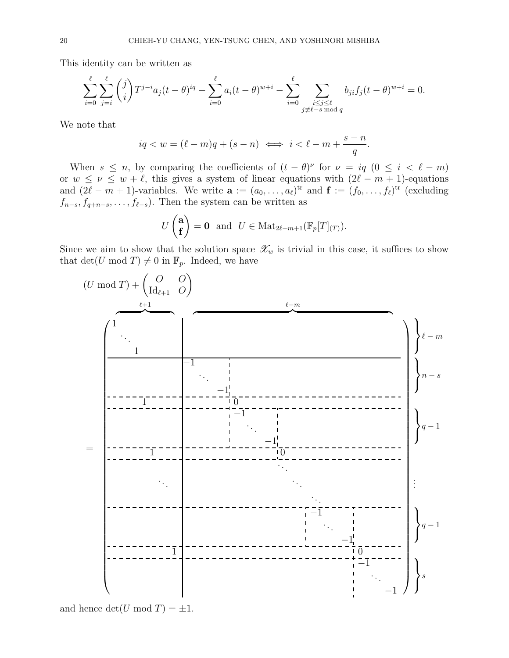This identity can be written as

$$
\sum_{i=0}^{\ell} \sum_{j=i}^{\ell} {j \choose i} T^{j-i} a_j (t-\theta)^{iq} - \sum_{i=0}^{\ell} a_i (t-\theta)^{w+i} - \sum_{i=0}^{\ell} \sum_{\substack{i \le j \le \ell \\ j \ne \ell - s \bmod q}} b_{ji} f_j (t-\theta)^{w+i} = 0.
$$

We note that

$$
iq < w = (\ell - m)q + (s - n) \iff i < \ell - m + \frac{s - n}{q}.
$$

When  $s \leq n$ , by comparing the coefficients of  $(t - \theta)^{\nu}$  for  $\nu = iq$   $(0 \leq i \leq \ell - m)$ or  $w \le \nu \le w + \ell$ , this gives a system of linear equations with  $(2\ell - m + 1)$ -equations and  $(2\ell - m + 1)$ -variables. We write  $\mathbf{a} := (a_0, \ldots, a_\ell)$ <sup>tr</sup> and  $\mathbf{f} := (f_0, \ldots, f_\ell)$ <sup>tr</sup> (excluding  $f_{n-s}, f_{q+n-s}, \ldots, f_{\ell-s}$ . Then the system can be written as

$$
U\begin{pmatrix} \mathbf{a} \\ \mathbf{f} \end{pmatrix} = \mathbf{0} \text{ and } U \in \text{Mat}_{2\ell-m+1}(\mathbb{F}_p[T]_{(T)}).
$$

Since we aim to show that the solution space  $\mathscr{X}_w$  is trivial in this case, it suffices to show that det(U mod T)  $\neq$  0 in  $\mathbb{F}_p$ . Indeed, we have



and hence  $\det(U \bmod T) = \pm 1$ .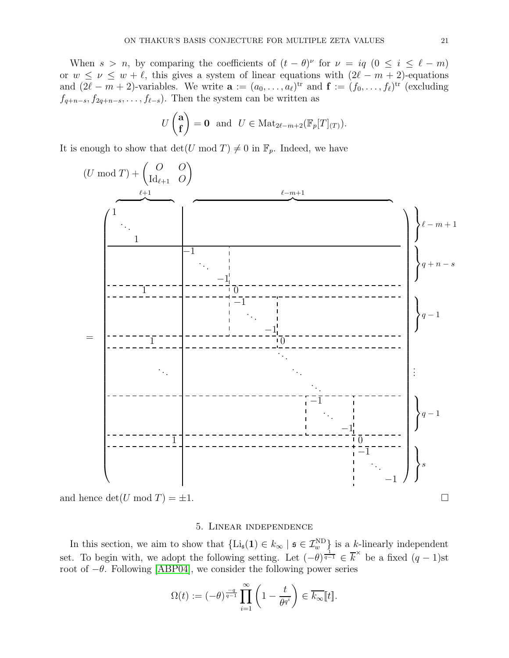When  $s > n$ , by comparing the coefficients of  $(t - \theta)^{\nu}$  for  $\nu = iq$   $(0 \le i \le \ell - m)$ or  $w \le \nu \le w + \ell$ , this gives a system of linear equations with  $(2\ell - m + 2)$ -equations and  $(2\ell - m + 2)$ -variables. We write  $\mathbf{a} := (a_0, \ldots, a_\ell)^{\text{tr}}$  and  $\mathbf{f} := (f_0, \ldots, f_\ell)^{\text{tr}}$  (excluding  $f_{q+n-s}, f_{2q+n-s}, \ldots, f_{\ell-s}$ . Then the system can be written as

$$
U\begin{pmatrix} \mathbf{a} \\ \mathbf{f} \end{pmatrix} = \mathbf{0} \text{ and } U \in \text{Mat}_{2\ell-m+2}(\mathbb{F}_p[T]_{(T)}).
$$

It is enough to show that  $\det(U \mod T) \neq 0$  in  $\mathbb{F}_p$ . Indeed, we have



<span id="page-20-0"></span>and hence  $\det(U \mod T) = \pm 1$ .

### 5. Linear independence

In this section, we aim to show that  $\{Li_{\mathfrak{s}}(1) \in k_{\infty} \mid \mathfrak{s} \in \mathcal{I}_{w}^{\text{ND}}\}$  is a k-linearly independent set. To begin with, we adopt the following setting. Let  $(-\theta)^{\frac{1}{q-1}} \in \overline{k}^{\times}$  be a fixed  $(q-1)$ st root of  $-\theta$ . Following [\[ABP04\]](#page-29-7), we consider the following power series

$$
\Omega(t) := (-\theta)^{\frac{-q}{q-1}} \prod_{i=1}^{\infty} \left(1 - \frac{t}{\theta^{q^i}}\right) \in \overline{k_{\infty}}[t].
$$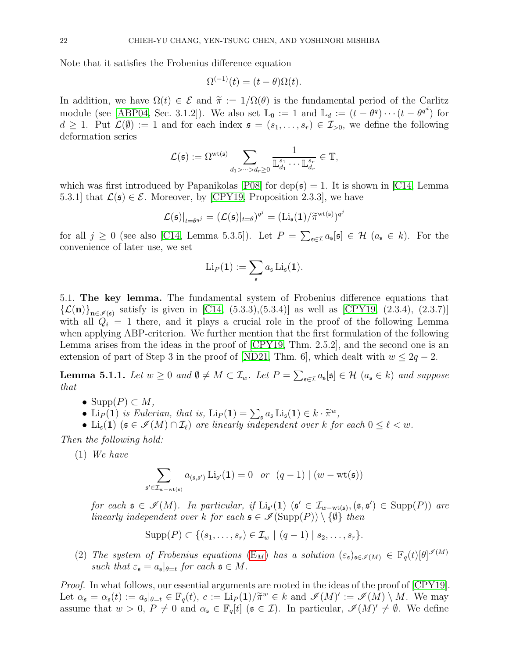Note that it satisfies the Frobenius difference equation

$$
\Omega^{(-1)}(t) = (t - \theta)\Omega(t).
$$

In addition, we have  $\Omega(t) \in \mathcal{E}$  and  $\tilde{\pi} := 1/\Omega(\theta)$  is the fundamental period of the Carlitz module (see [\[ABP04,](#page-29-7) Sec. 3.1.2]). We also set  $\mathbb{L}_0 := 1$  and  $\mathbb{L}_d := (t - \theta^q) \cdots (t - \theta^{q^d})$  for  $d \geq 1$ . Put  $\mathcal{L}(\emptyset) := 1$  and for each index  $\mathfrak{s} = (s_1, \ldots, s_r) \in \mathcal{I}_{>0}$ , we define the following deformation series

$$
\mathcal{L}(\mathfrak{s}):=\Omega^{\mathrm{wt}(\mathfrak{s})} \sum_{d_1>\cdots>d_r\geq 0} \frac{1}{\mathbb{L}_{d_1}^{s_1}\cdots\mathbb{L}_{d_r}^{s_r}}\in \mathbb{T},
$$

which was first introduced by Papanikolas  $|P08|$  for  $dep(s) = 1$ . It is shown in [\[C14,](#page-29-4) Lemma 5.3.1] that  $\mathcal{L}(\mathfrak{s}) \in \mathcal{E}$ . Moreover, by [\[CPY19,](#page-30-17) Proposition 2.3.3], we have

$$
\mathcal{L}(\mathfrak{s})|_{t=\theta^{q^j}} = (\mathcal{L}(\mathfrak{s})|_{t=\theta})^{q^j} = (\mathrm{Li}_{\mathfrak{s}}(\mathbf{1})/\widetilde{\pi}^{\mathrm{wt}(\mathfrak{s})})^{q^j}
$$

for all  $j \geq 0$  (see also [\[C14,](#page-29-4) Lemma 5.3.5]). Let  $P = \sum_{\mathfrak{s} \in \mathcal{I}} a_{\mathfrak{s}}[\mathfrak{s}] \in \mathcal{H}$   $(a_{\mathfrak{s}} \in k)$ . For the convenience of later use, we set

$$
\mathrm{Li}_P(\mathbf{1}):=\sum_{\mathfrak{s}}a_{\mathfrak{s}}\,\mathrm{Li}_{\mathfrak{s}}(\mathbf{1}).
$$

5.1. The key lemma. The fundamental system of Frobenius difference equations that  $\{\mathcal{L}(\mathbf{n})\}_{\mathbf{n}\in\mathscr{I}(\mathfrak{s})}$  satisfy is given in [\[C14,](#page-29-4) (5.3.3),(5.3.4)] as well as [\[CPY19,](#page-30-17) (2.3.4), (2.3.7)] with all  $Q_i = 1$  there, and it plays a crucial role in the proof of the following Lemma when applying ABP-criterion. We further mention that the first formulation of the following Lemma arises from the ideas in the proof of [\[CPY19,](#page-30-17) Thm. 2.5.2], and the second one is an extension of part of Step 3 in the proof of [\[ND21,](#page-30-13) Thm. 6], which dealt with  $w \leq 2q - 2$ .

<span id="page-21-0"></span>**Lemma 5.1.1.** Let  $w \ge 0$  and  $\emptyset \ne M \subset \mathcal{I}_w$ . Let  $P = \sum_{\mathfrak{s} \in \mathcal{I}} a_{\mathfrak{s}}[\mathfrak{s}] \in \mathcal{H}$   $(a_{\mathfrak{s}} \in k)$  and suppose that

- Supp $(P) \subset M$ ,
- Li $_P(1)$  is Eulerian, that is,  $\text{Li}_P(1) = \sum_s a_s \text{Li}_s(1) \in k \cdot \tilde{\pi}^w$ ,
- Li<sub>s</sub>(1) ( $\mathfrak{s} \in \mathscr{I}(M) \cap \mathcal{I}_{\ell}$ ) are linearly independent over k for each  $0 \leq \ell < w$ .

Then the following hold:

(1) We have

$$
\sum_{\mathfrak{s}'\in\mathcal{I}_{w-\mathrm{wt}(\mathfrak{s})}}a_{(\mathfrak{s},\mathfrak{s}')} \operatorname{Li}_{\mathfrak{s}'}(\mathbf{1})=0 \quad or \quad (q-1)\mid (w-\mathrm{wt}(\mathfrak{s}))
$$

for each  $\mathfrak{s} \in \mathscr{I}(M)$ . In particular, if  $\text{Li}_{\mathfrak{s}'}(1)$   $(\mathfrak{s}' \in \mathcal{I}_{w-\text{wt}(\mathfrak{s})}, (\mathfrak{s}, \mathfrak{s}') \in \text{Supp}(P))$  are linearly independent over k for each  $\mathfrak{s} \in \mathscr{I}(\text{Supp}(P)) \setminus \{\emptyset\}$  then

$$
Supp(P) \subset \{(s_1,\ldots,s_r) \in \mathcal{I}_w \mid (q-1) \mid s_2,\ldots,s_r\}.
$$

(2) The system of Frobenius equations  $(E_M)$  $(E_M)$  has a solution  $(\varepsilon_{\mathfrak{s}})_{\mathfrak{s}\in\mathscr{I}(M)} \in \mathbb{F}_q(t)[\theta]^{\mathscr{I}(M)}$ such that  $\varepsilon_{\mathfrak{s}} = a_{\mathfrak{s}}|_{\theta = t}$  for each  $\mathfrak{s} \in M$ .

*Proof.* In what follows, our essential arguments are rooted in the ideas of the proof of [\[CPY19\]](#page-30-17). Let  $\alpha_{\mathfrak{s}} = \alpha_{\mathfrak{s}}(t) := a_{\mathfrak{s}}|_{\theta=t} \in \mathbb{F}_q(t), c := \text{Lip}(1)/\widetilde{\pi}^w \in k \text{ and } \mathscr{I}(M)' := \mathscr{I}(M) \setminus M.$  We may assume that  $w > 0$ ,  $P \neq 0$  and  $\alpha_s \in \mathbb{F}_q[t]$   $(s \in \mathcal{I})$ . In particular,  $\mathscr{I}(M)' \neq \emptyset$ . We define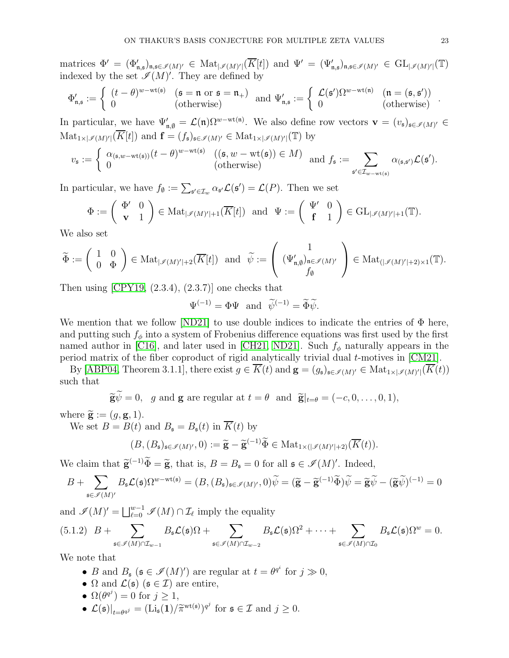matrices  $\Phi' = (\Phi_{\mathfrak{n},\mathfrak{s}}')_{\mathfrak{n},\mathfrak{s}\in\mathscr{I}(M)'} \in \text{Mat}_{|\mathscr{I}(M)'|}(\overline{K}[t])$  and  $\Psi' = (\Psi_{\mathfrak{n},\mathfrak{s}}')_{\mathfrak{n},\mathfrak{s}\in\mathscr{I}(M)'} \in \text{GL}_{|\mathscr{I}(M)'|}(\mathbb{T})$ indexed by the set  $\mathscr{I}(M)'$ . They are defined by

$$
\Phi'_{\mathfrak{n},\mathfrak{s}} := \left\{ \begin{array}{ll} (t-\theta)^{w-\mathrm{wt}(\mathfrak{s})} & (\mathfrak{s}=\mathfrak{n} \text{ or } \mathfrak{s}=\mathfrak{n}_+) \\ 0 & (\text{otherwise}) \end{array} \right. \ \mathrm{and} \ \Psi'_{\mathfrak{n},\mathfrak{s}} := \left\{ \begin{array}{ll} \mathcal{L}(\mathfrak{s}')\Omega^{w-\mathrm{wt}(\mathfrak{n})} & (\mathfrak{n}=(\mathfrak{s},\mathfrak{s}')) \\ 0 & (\text{otherwise}) \end{array} \right. .
$$

In particular, we have  $\Psi'_{\mathfrak{n},\emptyset} = \mathcal{L}(\mathfrak{n}) \Omega^{w-\text{wt}(\mathfrak{n})}$ . We also define row vectors  $\mathbf{v} = (v_{\mathfrak{s}})_{\mathfrak{s} \in \mathscr{I}(M)'} \in$  $\text{Mat}_{1\times|\mathscr{I}(M)'|}(K[t])$  and  $\mathbf{f}=(f_{\mathfrak{s}})_{\mathfrak{s}\in\mathscr{I}(M)'}\in \text{Mat}_{1\times|\mathscr{I}(M)'|}(\mathbb{T})$  by

$$
v_{\mathfrak{s}} := \begin{cases} \alpha_{(\mathfrak{s},w-\mathrm{wt}(\mathfrak{s}))}(t-\theta)^{w-\mathrm{wt}(\mathfrak{s})} & ((\mathfrak{s},w-\mathrm{wt}(\mathfrak{s})) \in M) \\ 0 & (\text{otherwise}) \end{cases} \text{ and } f_{\mathfrak{s}} := \sum_{\mathfrak{s}' \in \mathcal{I}_{w-\mathrm{wt}(\mathfrak{s})}} \alpha_{(\mathfrak{s},\mathfrak{s}')} \mathcal{L}(\mathfrak{s}').
$$

In particular, we have  $f_{\emptyset} := \sum_{\mathfrak{s}' \in \mathcal{I}_w} \alpha_{\mathfrak{s}'} \mathcal{L}(\mathfrak{s}') = \mathcal{L}(P)$ . Then we set

$$
\Phi := \left(\begin{array}{cc} \Phi' & 0 \\ \mathbf{v} & 1 \end{array}\right) \in \text{Mat}_{|\mathscr{I}(M)'|+1}(\overline{K}[t]) \text{ and } \Psi := \left(\begin{array}{cc} \Psi' & 0 \\ \mathbf{f} & 1 \end{array}\right) \in \text{GL}_{|\mathscr{I}(M)'|+1}(\mathbb{T}).
$$

We also set

$$
\widetilde{\Phi}:=\left(\begin{array}{cc} 1 & 0 \\ 0 & \Phi \end{array}\right)\in \mathrm{Mat}_{|\mathscr{I}(M)'|+2}(\overline{K}[t])\ \ \text{and}\ \ \widetilde{\psi}:=\left(\begin{array}{c} 1 \\ (\Psi'_{\mathfrak{n},\emptyset})_{\mathfrak{n}\in \mathscr{I}(M)'}\\ f_{\emptyset} \end{array}\right)\in \mathrm{Mat}_{(|\mathscr{I}(M)'|+2)\times 1}(\mathbb{T}).
$$

Then using  $[CPY19, (2.3.4), (2.3.7)]$  one checks that

$$
\Psi^{(-1)} = \Phi \Psi \text{ and } \widetilde{\psi}^{(-1)} = \widetilde{\Phi} \widetilde{\psi}.
$$

We mention that we follow [\[ND21\]](#page-30-13) to use double indices to indicate the entries of  $\Phi$  here, and putting such  $f_{\phi}$  into a system of Frobenius difference equations was first used by the first named author in [\[C16\]](#page-30-24), and later used in [\[CH21,](#page-30-20) [ND21\]](#page-30-13). Such  $f_{\phi}$  naturally appears in the period matrix of the fiber coproduct of rigid analytically trivial dual t-motives in [\[CM21\]](#page-30-14).

By [\[ABP04,](#page-29-7) Theorem 3.1.1], there exist  $g \in K(t)$  and  $\mathbf{g} = (g_{\mathfrak{s}})_{\mathfrak{s} \in \mathscr{I}(M)'} \in \text{Mat}_{1 \times |\mathscr{I}(M)'|}(K(t))$ such that

 $\widetilde{\mathbf{g}}\widetilde{\psi}=0, \quad g \text{ and } \mathbf{g} \text{ are regular at } t=\theta \text{ and } \widetilde{\mathbf{g}}|_{t=\theta}=(-c,0,\ldots,0,1),$ 

where  $\widetilde{\mathbf{g}} := (g, \mathbf{g}, 1).$ 

We set  $B = B(t)$  and  $B_{\mathfrak{s}} = B_{\mathfrak{s}}(t)$  in  $\overline{K}(t)$  by

$$
(B, (B_{\mathfrak{s}})_{\mathfrak{s}\in\mathscr{I}(M)'}, 0) := \widetilde{\mathbf{g}} - \widetilde{\mathbf{g}}^{(-1)}\widetilde{\Phi} \in \text{Mat}_{1\times(|\mathscr{I}(M)'|+2)}(\overline{K}(t)).
$$

We claim that  $\widetilde{\mathbf{g}}^{(-1)}\widetilde{\Phi} = \widetilde{\mathbf{g}}$ , that is,  $B = B_{\mathfrak{s}} = 0$  for all  $\mathfrak{s} \in \mathscr{I}(M)'$ . Indeed,

$$
B + \sum_{\mathfrak{s} \in \mathscr{I}(M)'} B_{\mathfrak{s}} \mathcal{L}(\mathfrak{s}) \Omega^{w - \mathrm{wt}(\mathfrak{s})} = (B, (B_{\mathfrak{s}})_{\mathfrak{s} \in \mathscr{I}(M)'} , 0) \widetilde{\psi} = (\widetilde{\mathbf{g}} - \widetilde{\mathbf{g}}^{(-1)} \widetilde{\Phi}) \widetilde{\psi} = \widetilde{\mathbf{g}} \widetilde{\psi} - (\widetilde{\mathbf{g}} \widetilde{\psi})^{(-1)} = 0
$$

and  $\mathscr{I}(M)' = \bigsqcup_{\ell=0}^{w-1} \mathscr{I}(M) \cap \mathcal{I}_{\ell}$  imply the equality

<span id="page-22-0"></span>
$$
(5.1.2) \quad B + \sum_{\mathfrak{s} \in \mathscr{I}(M) \cap \mathcal{I}_{w-1}} B_{\mathfrak{s}} \mathcal{L}(\mathfrak{s}) \Omega + \sum_{\mathfrak{s} \in \mathscr{I}(M) \cap \mathcal{I}_{w-2}} B_{\mathfrak{s}} \mathcal{L}(\mathfrak{s}) \Omega^2 + \cdots + \sum_{\mathfrak{s} \in \mathscr{I}(M) \cap \mathcal{I}_0} B_{\mathfrak{s}} \mathcal{L}(\mathfrak{s}) \Omega^w = 0.
$$

We note that

- B and  $B_{\mathfrak{s}}$  ( $\mathfrak{s} \in \mathscr{I}(M)'$ ) are regular at  $t = \theta^{q^i}$  for  $j \gg 0$ ,
- $\Omega$  and  $\mathcal{L}(\mathfrak{s})$  ( $\mathfrak{s} \in \mathcal{I}$ ) are entire,
- $\Omega(\theta^{q^j}) = 0$  for  $j \geq 1$ ,
- $\mathcal{L}(\mathfrak{s})|_{t=\theta^{q^j}} = (\text{Li}_{\mathfrak{s}}(1)/\widetilde{\pi}^{\text{wt}(\mathfrak{s})})^{q^j}$  for  $\mathfrak{s} \in \mathcal{I}$  and  $j \geq 0$ .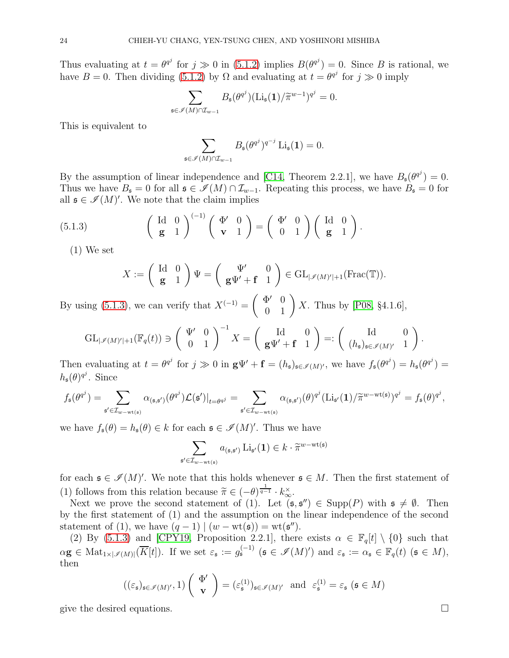Thus evaluating at  $t = \theta^{q^j}$  for  $j \gg 0$  in [\(5.1.2\)](#page-22-0) implies  $B(\theta^{q^j}) = 0$ . Since B is rational, we have  $B = 0$ . Then dividing [\(5.1.2\)](#page-22-0) by  $\Omega$  and evaluating at  $t = \theta^{q^j}$  for  $j \gg 0$  imply

$$
\sum_{\mathfrak{s}\in\mathscr{I}(M)\cap\mathcal{I}_{w-1}}B_{\mathfrak{s}}(\theta^{q^j})(\mathrm{Li}_{\mathfrak{s}}(\mathbf{1})/\widetilde{\pi}^{w-1})^{q^j}=0.
$$

This is equivalent to

$$
\sum_{\mathfrak{s}\in\mathscr{I}(M)\cap\mathcal{I}_{w-1}}B_{\mathfrak{s}}(\theta^{q^j})^{q^{-j}}\operatorname{Li}_{\mathfrak{s}}(\mathbf{1})=0.
$$

By the assumption of linear independence and [\[C14,](#page-29-4) Theorem 2.2.1], we have  $B_{\mathfrak{s}}(\theta^{q^j}) = 0$ . Thus we have  $B_{\mathfrak{s}} = 0$  for all  $\mathfrak{s} \in \mathcal{I}(M) \cap \mathcal{I}_{w-1}$ . Repeating this process, we have  $B_{\mathfrak{s}} = 0$  for all  $\mathfrak{s} \in \mathscr{I}(M)'$ . We note that the claim implies

<span id="page-23-0"></span>(5.1.3) 
$$
\begin{pmatrix} \text{Id} & 0 \\ \text{g} & 1 \end{pmatrix}^{(-1)} \begin{pmatrix} \Phi' & 0 \\ \text{v} & 1 \end{pmatrix} = \begin{pmatrix} \Phi' & 0 \\ 0 & 1 \end{pmatrix} \begin{pmatrix} \text{Id} & 0 \\ \text{g} & 1 \end{pmatrix}.
$$

(1) We set

$$
X:=\left(\begin{array}{cc} \mathrm{Id} & 0 \\ \mathbf{g} & 1 \end{array}\right)\Psi=\left(\begin{array}{cc} \Psi' & 0 \\ \mathbf{g}\Psi'+\mathbf{f} & 1 \end{array}\right)\in\mathrm{GL}_{|\mathscr{I}(M)'|+1}(\mathrm{Frac}(\mathbb{T})).
$$

By using [\(5.1.3\)](#page-23-0), we can verify that  $X^{(-1)} =$  $\left(\begin{array}{cc} \Phi' & 0 \\ 0 & 1 \end{array}\right)X$ . Thus by [\[P08,](#page-30-22) §4.1.6],

$$
\mathrm{GL}_{|\mathscr{I}(M)'|+1}(\mathbb{F}_q(t))\ni\left(\begin{array}{cc}\Psi' & 0\\ 0 & 1\end{array}\right)^{-1}X=\left(\begin{array}{cc}\mathrm{Id} & 0\\ \mathbf{g}\Psi'+\mathbf{f} & 1\end{array}\right)=:\left(\begin{array}{cc}\mathrm{Id} & 0\\ (h_{\mathfrak{s}})_{\mathfrak{s}\in\mathscr{I}(M)'} & 1\end{array}\right).
$$

Then evaluating at  $t = \theta^{q^j}$  for  $j \gg 0$  in  $g\Psi' + f = (h_{\mathfrak{s}})_{\mathfrak{s} \in \mathscr{I}(M)'},$  we have  $f_{\mathfrak{s}}(\theta^{q^j}) = h_{\mathfrak{s}}(\theta^{q^j}) =$  $h_{\mathfrak{s}}(\theta)^{q^j}$ . Since

$$
f_{\mathfrak{s}}(\theta^{q^j}) = \sum_{\mathfrak{s}' \in \mathcal{I}_{w-\mathrm{wt}(\mathfrak{s})}} \alpha_{(\mathfrak{s},\mathfrak{s}')}(\theta^{q^j}) \mathcal{L}(\mathfrak{s}')|_{t=\theta^{q^j}} = \sum_{\mathfrak{s}' \in \mathcal{I}_{w-\mathrm{wt}(\mathfrak{s})}} \alpha_{(\mathfrak{s},\mathfrak{s}')}(\theta)^{q^j} (\mathrm{Li}_{\mathfrak{s}'}(1)/\widetilde{\pi}^{w-\mathrm{wt}(\mathfrak{s})})^{q^j} = f_{\mathfrak{s}}(\theta)^{q^j},
$$

we have  $f_{\mathfrak{s}}(\theta) = h_{\mathfrak{s}}(\theta) \in k$  for each  $\mathfrak{s} \in \mathscr{I}(M)'$ . Thus we have

$$
\sum_{\mathfrak{s}'\in\mathcal{I}_{w-\mathrm{wt}(\mathfrak{s})}}a_{(\mathfrak{s},\mathfrak{s}')} \operatorname{Li}_{\mathfrak{s}'}(1)\in k\cdot\widetilde{\pi}^{w-\mathrm{wt}(\mathfrak{s})}
$$

for each  $\mathfrak{s} \in \mathcal{I}(M)'$ . We note that this holds whenever  $\mathfrak{s} \in M$ . Then the first statement of (1) follows from this relation because  $\widetilde{\pi} \in (-\theta)^{\frac{1}{q-1}} \cdot k^{\times}_{\infty}$ .

Next we prove the second statement of (1). Let  $(\mathfrak{s}, \mathfrak{s}'') \in \text{Supp}(P)$  with  $\mathfrak{s} \neq \emptyset$ . Then by the first statement of (1) and the assumption on the linear independence of the second statement of (1), we have  $(q-1) | (w - wt(\mathfrak{s})) = wt(\mathfrak{s}'')$ .

(2) By [\(5.1.3\)](#page-23-0) and [\[CPY19,](#page-30-17) Proposition 2.2.1], there exists  $\alpha \in \mathbb{F}_q[t] \setminus \{0\}$  such that  $\alpha \mathbf{g} \in \text{Mat}_{1 \times |\mathscr{I}(M)|}(\overline{K}[t])$ . If we set  $\varepsilon_{\mathfrak{s}} := g_{\mathfrak{s}}^{(-1)}$   $(\mathfrak{s} \in \mathscr{I}(M)')$  and  $\varepsilon_{\mathfrak{s}} := \alpha_{\mathfrak{s}} \in \mathbb{F}_q(t)$   $(\mathfrak{s} \in M)$ , then

$$
((\varepsilon_{\mathfrak{s}})_{\mathfrak{s}\in\mathscr{I}(M)'}, 1) \left(\begin{array}{c} \Phi' \\ \mathbf{v} \end{array}\right) = (\varepsilon_{\mathfrak{s}}^{(1)})_{\mathfrak{s}\in\mathscr{I}(M)'} \text{ and } \varepsilon_{\mathfrak{s}}^{(1)} = \varepsilon_{\mathfrak{s}} \ (\mathfrak{s}\in M)
$$

give the desired equations.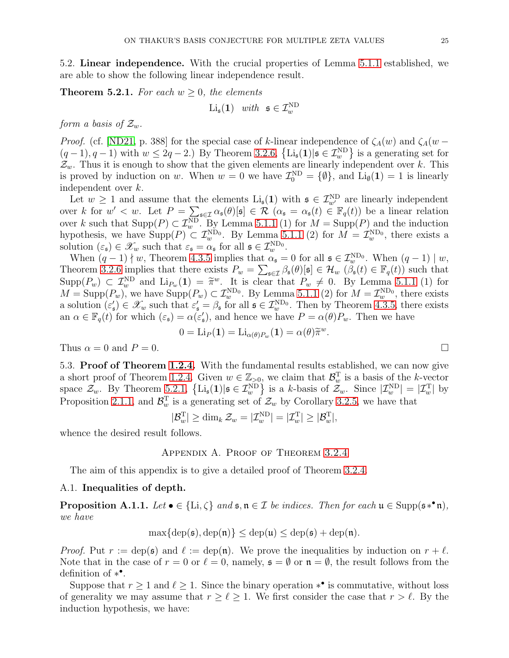5.2. Linear independence. With the crucial properties of Lemma [5.1.1](#page-21-0) established, we are able to show the following linear independence result.

<span id="page-24-0"></span>**Theorem 5.2.1.** For each  $w > 0$ , the elements

$$
\mathrm{Li}_{\mathfrak{s}}(\mathbf{1}) \quad with \quad \mathfrak{s} \in \mathcal{I}^{\mathrm{ND}}_{w}
$$

form a basis of  $\mathcal{Z}_w$ .

*Proof.* (cf. [\[ND21,](#page-30-13) p. 388] for the special case of k-linear independence of  $\zeta_A(w)$  and  $\zeta_A(w (q-1), q-1$ ) with  $w \leq 2q-2$ . By Theorem [3.2.6,](#page-11-1)  $\{Li_{\mathfrak{s}}(1)|\mathfrak{s} \in \mathcal{I}_{w}^{\text{ND}}\}$  is a generating set for  $\mathcal{Z}_w$ . Thus it is enough to show that the given elements are linearly independent over k. This is proved by induction on w. When  $w = 0$  we have  $\mathcal{I}_0^{\text{ND}} = \{\emptyset\}$ , and  $\text{Li}_{\emptyset}(1) = 1$  is linearly independent over k.

Let  $w \geq 1$  and assume that the elements  $\text{Li}_{\mathfrak{s}}(1)$  with  $\mathfrak{s} \in \mathcal{I}_{w'}^{ND}$  are linearly independent over k for  $w' < w$ . Let  $P = \sum_{\mathfrak{s} \in \mathcal{I}} \alpha_{\mathfrak{s}}(\theta)[\mathfrak{s}] \in \mathcal{R}$   $(\alpha_{\mathfrak{s}} = \alpha_{\mathfrak{s}}(t) \in \mathbb{F}_q(t))$  be a linear relation over k such that  $\text{Supp}(P) \subset \mathcal{I}_{w}^{\text{ND}}$ . By Lemma [5.1.1](#page-21-0) (1) for  $M = \text{Supp}(P)$  and the induction hypothesis, we have  $\text{Supp}(P) \subset \mathcal{I}_{w}^{\text{ND}_0}$ . By Lemma [5.1.1](#page-21-0) (2) for  $M = \mathcal{I}_{w}^{\text{ND}_0}$ , there exists a solution  $(\varepsilon_{\mathfrak{s}}) \in \mathscr{X}_w$  such that  $\varepsilon_{\mathfrak{s}} = \alpha_{\mathfrak{s}}$  for all  $\mathfrak{s} \in \mathcal{I}_w^{\text{ND}_0}$ .

When  $(q-1) \nmid w$ , Theorem [4.3.5](#page-15-0) implies that  $\alpha_{\mathfrak{s}} = 0$  for all  $\mathfrak{s} \in \mathcal{I}_{w}^{\text{ND}_0}$ . When  $(q-1) \mid w$ , Theorem [3.2.6](#page-11-1) implies that there exists  $P_w = \sum_{s \in \mathcal{I}} \beta_s(\theta) [\mathfrak{s}] \in \mathcal{H}_w$   $(\beta_{\mathfrak{s}}(t) \in \mathbb{F}_q(t))$  such that  $\text{Supp}(P_w) \subset \mathcal{I}_w^{\text{ND}}$  and  $\text{Li}_{P_w}(1) = \tilde{\pi}^w$ . It is clear that  $P_w \neq 0$ . By Lemma [5.1.1](#page-21-0) (1) for  $M = \text{Supp}(P_w)$ , we have  $\text{Supp}(P_w) \subset \mathcal{I}_w^{\text{ND}_0}$ . By Lemma [5.1.1](#page-21-0) (2) for  $M = \mathcal{I}_w^{\text{ND}_0}$ , there exists a solution  $(\varepsilon_{\mathfrak{s}}') \in \mathscr{X}_w$  such that  $\varepsilon_{\mathfrak{s}}' = \beta_{\mathfrak{s}}$  for all  $\mathfrak{s} \in \mathcal{I}_w^{\text{ND}_0}$ . Then by Theorem [4.3.5,](#page-15-0) there exists an  $\alpha \in \mathbb{F}_q(t)$  for which  $(\varepsilon_{\mathfrak{s}}) = \alpha(\varepsilon_{\mathfrak{s}}')$ , and hence we have  $P = \alpha(\theta)P_w$ . Then we have

$$
0 = \mathrm{Li}_P(\mathbf{1}) = \mathrm{Li}_{\alpha(\theta)P_w}(\mathbf{1}) = \alpha(\theta)\widetilde{\pi}^w.
$$

<span id="page-24-1"></span>Thus  $\alpha = 0$  and  $P = 0$ .

5.3. Proof of Theorem [1.2.4.](#page-2-2) With the fundamental results established, we can now give a short proof of Theorem [1.2.4.](#page-2-2) Given  $w \in \mathbb{Z}_{>0}$ , we claim that  $\mathcal{B}_w^T$  is a basis of the k-vector space  $\mathcal{Z}_{w}$ . By Theorem [5.2.1,](#page-24-0)  $\left\{ \mathrm{Li}_{\mathfrak{s}}(1)|\mathfrak{s} \in \mathcal{I}_{w}^{\text{ND}} \right\}$  is a k-basis of  $\mathcal{Z}_{w}$ . Since  $|\mathcal{I}_{w}^{\text{ND}}| = |\mathcal{I}_{w}^{\text{T}}|$  by Proposition [2.1.1,](#page-5-0) and  $\mathcal{B}_{w}^{T}$  is a generating set of  $\mathcal{Z}_{w}$  by Corollary [3.2.5,](#page-11-0) we have that

$$
|\mathcal{B}_w^{\mathrm{T}}| \ge \dim_k \mathcal{Z}_w = |\mathcal{I}_w^{\mathrm{ND}}| = |\mathcal{I}_w^{\mathrm{T}}| \ge |\mathcal{B}_w^{\mathrm{T}}|,
$$

whence the desired result follows.

## Appendix A. Proof of Theorem [3.2.4](#page-10-0)

The aim of this appendix is to give a detailed proof of Theorem [3.2.4.](#page-10-0)

# A.1. Inequalities of depth.

<span id="page-24-2"></span>**Proposition A.1.1.** Let  $\bullet \in \{\text{Li}, \zeta\}$  and  $\mathfrak{s}, \mathfrak{n} \in \mathcal{I}$  be indices. Then for each  $\mathfrak{u} \in \text{Supp}(\mathfrak{s} * \mathfrak{n})$ , we have

$$
\max\{\operatorname{dep}(\mathfrak{s}),\operatorname{dep}(\mathfrak{n})\} \leq \operatorname{dep}(\mathfrak{u}) \leq \operatorname{dep}(\mathfrak{s}) + \operatorname{dep}(\mathfrak{n}).
$$

*Proof.* Put  $r := \text{dep}(\mathfrak{s})$  and  $\ell := \text{dep}(\mathfrak{n})$ . We prove the inequalities by induction on  $r + \ell$ . Note that in the case of  $r = 0$  or  $\ell = 0$ , namely,  $\mathfrak{s} = \emptyset$  or  $\mathfrak{n} = \emptyset$ , the result follows from the definition of  $*^{\bullet}$ .

Suppose that  $r \geq 1$  and  $\ell \geq 1$ . Since the binary operation  $*^{\bullet}$  is commutative, without loss of generality we may assume that  $r \geq \ell \geq 1$ . We first consider the case that  $r > \ell$ . By the induction hypothesis, we have:

$$
\Box
$$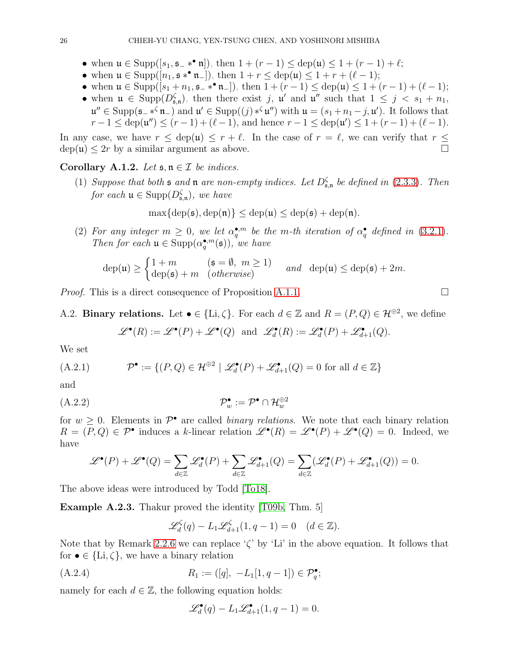- when  $\mathfrak{u} \in \text{Supp}([s_1, \mathfrak{s}_{-} *^{\bullet} \mathfrak{n}]),$  then  $1 + (r 1) \leq \text{dep}(\mathfrak{u}) \leq 1 + (r 1) + \ell;$
- when  $\mathfrak{u} \in \text{Supp}([n_1, \mathfrak{s} *^{\bullet} \mathfrak{n}_-]),$  then  $1 + r \leq \text{dep}(\mathfrak{u}) \leq 1 + r + (\ell 1);$
- when  $\mathfrak{u} \in \text{Supp}([s_1 + n_1, \mathfrak{s}_- *^{\bullet} \mathfrak{n}_-]),$  then  $1 + (r 1) \leq \text{dep}(\mathfrak{u}) \leq 1 + (r 1) + (\ell 1);$
- when  $\mathfrak{u} \in \text{Supp}(D_{\mathfrak{s},n}^{\zeta})$ , then there exist j,  $\mathfrak{u}'$  and  $\mathfrak{u}''$  such that  $1 \leq j \leq s_1 + n_1$ ,  $\mathfrak{u}'' \in \text{Supp}(\mathfrak{s}_-\ast^{\zeta}\mathfrak{n}_-)$  and  $\mathfrak{u}' \in \text{Supp}((j) \ast^{\zeta}\mathfrak{u}'')$  with  $\mathfrak{u} = (s_1 + n_1 - j, \mathfrak{u}')$ . It follows that  $r-1 \leq \text{dep}(\mathfrak{u}^{\prime\prime}) \leq (r-1) + (\ell-1)$ , and hence  $r-1 \leq \text{dep}(\mathfrak{u}^{\prime}) \leq 1 + (r-1) + (\ell-1)$ .

In any case, we have  $r \leq$  dep(u)  $\leq r + \ell$ . In the case of  $r = \ell$ , we can verify that  $r \leq$  $dep(u) \leq 2r$  by a similar argument as above.

<span id="page-25-3"></span>Corollary A.1.2. Let  $\mathfrak{s}, \mathfrak{n} \in \mathcal{I}$  be indices.

(1) Suppose that both  $\mathfrak s$  and  $\mathfrak n$  are non-empty indices. Let  $D_{\mathfrak s,n}^{\zeta}$  be defined in [\(2.3.3\)](#page-8-2). Then for each  $\mathfrak{u} \in \text{Supp}(D_{\mathfrak{s},\mathfrak{n}}^{\zeta}),$  we have

$$
\max\{\operatorname{dep}(\mathfrak{s}), \operatorname{dep}(\mathfrak{n})\} \leq \operatorname{dep}(\mathfrak{u}) \leq \operatorname{dep}(\mathfrak{s}) + \operatorname{dep}(\mathfrak{n}).
$$

(2) For any integer  $m \geq 0$ , we let  $\alpha_q^{\bullet,m}$  be the m-th iteration of  $\alpha_q^{\bullet}$  defined in [\(3.2.1\)](#page-10-4). Then for each  $\mathfrak{u} \in \text{Supp}(\alpha_q^{\bullet,m}(\mathfrak{s}))$ , we have

$$
\operatorname{dep}(\mathfrak{u}) \ge \begin{cases} 1+m & (\mathfrak{s}=\emptyset, m \ge 1) \\ \operatorname{dep}(\mathfrak{s})+m & (\text{otherwise}) \end{cases} \text{ and } \operatorname{dep}(\mathfrak{u}) \le \operatorname{dep}(\mathfrak{s})+2m.
$$

*Proof.* This is a direct consequence of Proposition [A.1.1.](#page-24-2)

A.2. Binary relations. Let  $\bullet \in \{\text{Li}, \zeta\}$ . For each  $d \in \mathbb{Z}$  and  $R = (P, Q) \in \mathcal{H}^{\oplus 2}$ , we define  $\mathscr{L}^{\bullet}(R) := \mathscr{L}^{\bullet}(P) + \mathscr{L}^{\bullet}(Q)$  and  $\mathscr{L}^{\bullet}_{d}(R) := \mathscr{L}^{\bullet}_{d}(P) + \mathscr{L}^{\bullet}_{d+1}(Q)$ .

We set

<span id="page-25-0"></span>(A.2.1) 
$$
\mathcal{P}^{\bullet} := \{ (P, Q) \in \mathcal{H}^{\oplus 2} \mid \mathscr{L}_d^{\bullet}(P) + \mathscr{L}_{d+1}^{\bullet}(Q) = 0 \text{ for all } d \in \mathbb{Z} \}
$$

and

$$
(A.2.2) \t\t\t \mathcal{P}_w^{\bullet} := \mathcal{P}^{\bullet} \cap \mathcal{H}_w^{\oplus 2}
$$

for  $w \geq 0$ . Elements in  $\mathcal{P}^{\bullet}$  are called *binary relations*. We note that each binary relation  $R = (P,Q) \in \mathcal{P}^{\bullet}$  induces a k-linear relation  $\mathscr{L}^{\bullet}(R) = \mathscr{L}^{\bullet}(P) + \mathscr{L}^{\bullet}(Q) = 0$ . Indeed, we have

$$
\mathscr{L}^{\bullet}(P) + \mathscr{L}^{\bullet}(Q) = \sum_{d \in \mathbb{Z}} \mathscr{L}^{\bullet}_{d}(P) + \sum_{d \in \mathbb{Z}} \mathscr{L}^{\bullet}_{d+1}(Q) = \sum_{d \in \mathbb{Z}} (\mathscr{L}^{\bullet}_{d}(P) + \mathscr{L}^{\bullet}_{d+1}(Q)) = 0.
$$

The above ideas were introduced by Todd [\[To18\]](#page-30-11).

Example A.2.3. Thakur proved the identity [\[T09b,](#page-30-25) Thm. 5]

<span id="page-25-1"></span>
$$
\mathscr{L}_d^{\zeta}(q) - L_1 \mathscr{L}_{d+1}^{\zeta}(1, q-1) = 0 \quad (d \in \mathbb{Z}).
$$

Note that by Remark [2.2.6](#page-7-2) we can replace ' $\zeta$ ' by 'Li' in the above equation. It follows that for  $\bullet \in \{Li, \zeta\}$ , we have a binary relation

$$
(A.2.4) \t R_1 := ([q], -L_1[1, q-1]) \in \mathcal{P}_q^{\bullet};
$$

namely for each  $d \in \mathbb{Z}$ , the following equation holds:

<span id="page-25-2"></span>
$$
\mathscr{L}_d^{\bullet}(q) - L_1 \mathscr{L}_{d+1}^{\bullet}(1, q-1) = 0.
$$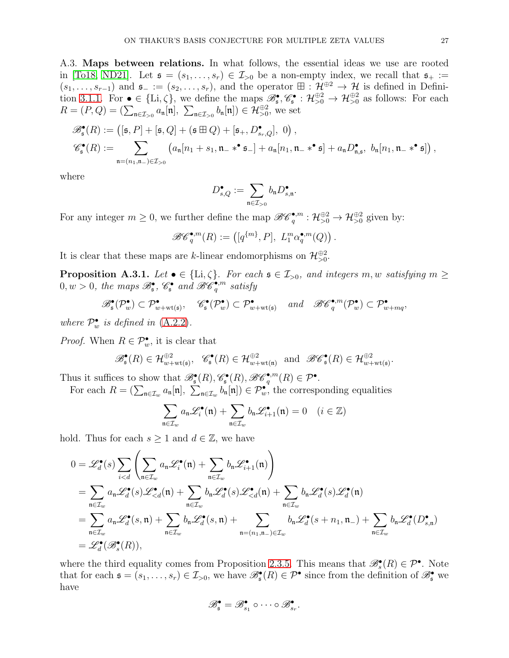<span id="page-26-0"></span>A.3. Maps between relations. In what follows, the essential ideas we use are rooted in [\[To18,](#page-30-11) [ND21\]](#page-30-13). Let  $\mathfrak{s} = (s_1, \ldots, s_r) \in \mathcal{I}_{>0}$  be a non-empty index, we recall that  $\mathfrak{s}_+ :=$  $(s_1,\ldots,s_{r-1})$  and  $\mathfrak{s}_- := (s_2,\ldots,s_r)$ , and the operator  $\boxplus : \mathcal{H}^{\oplus 2} \to \mathcal{H}$  is defined in Defini-tion [3.1.1.](#page-9-1) For  $\bullet \in \{\text{Li}, \zeta\}$ , we define the maps  $\mathscr{B}_{\mathfrak{s}}^{\bullet}, \mathscr{C}_{\mathfrak{s}}^{\bullet} : \mathcal{H}_{>0}^{\oplus 2} \to \mathcal{H}_{>0}^{\oplus 2}$  as follows: For each  $R = (P,Q) = (\sum_{\mathfrak{n} \in \mathcal{I}_{>0}} a_{\mathfrak{n}}[\mathfrak{n}], \sum_{\mathfrak{n} \in \mathcal{I}_{>0}} b_{\mathfrak{n}}[\mathfrak{n}]) \in \mathcal{H}_{>0}^{\oplus 2}$ , we set

$$
\mathscr{B}_{\mathfrak{s}}^{\bullet}(R) := \left( [\mathfrak{s}, P] + [\mathfrak{s}, Q] + (\mathfrak{s} \boxplus Q) + [\mathfrak{s}_{+}, D^{\bullet}_{s_{r},Q}], 0 \right),
$$
  

$$
\mathscr{C}_{\mathfrak{s}}^{\bullet}(R) := \sum_{\mathfrak{n}=(n_{1}, \mathfrak{n}_{-}) \in \mathcal{I}_{>0}} \left( a_{\mathfrak{n}} [n_{1} + s_{1}, \mathfrak{n}_{-} *^{\bullet} \mathfrak{s}_{-}] + a_{\mathfrak{n}} [n_{1}, \mathfrak{n}_{-} *^{\bullet} \mathfrak{s}] + a_{\mathfrak{n}} D^{\bullet}_{\mathfrak{n},\mathfrak{s}}, b_{\mathfrak{n}} [n_{1}, \mathfrak{n}_{-} *^{\bullet} \mathfrak{s}] \right),
$$

where

$$
D_{s,Q}^{\bullet}:=\sum_{\mathfrak{n}\in\mathcal{I}_{>0}}b_{\mathfrak{n}}D_{s,\mathfrak{n}}^{\bullet}
$$

.

For any integer  $m \geq 0$ , we further define the map  $\mathscr{B}\mathscr{C}_q^{\bullet,m} : \mathcal{H}_{>0}^{\oplus 2} \to \mathcal{H}_{>0}^{\oplus 2}$  given by:

$$
\mathscr{B}\mathscr{C}_q^{\bullet,m}(R):=\left([q^{\{m\}},P], L_1^m\alpha_q^{\bullet,m}(Q)\right).
$$

It is clear that these maps are k-linear endomorphisms on  $\mathcal{H}_{>0}^{\oplus 2}$ .

<span id="page-26-1"></span>**Proposition A.3.1.** Let  $\bullet \in \{\text{Li}, \zeta\}$ . For each  $\mathfrak{s} \in \mathcal{I}_{>0}$ , and integers  $m, w$  satisfying  $m \geq$  $0, w > 0$ , the maps  $\mathscr{B}^{\bullet}_{\mathfrak{s}}, \mathscr{C}^{\bullet}_{\mathfrak{s}}$  and  $\mathscr{B}\overline{\mathscr{C}}^{\bullet, m}_{q}$  satisfy

$$
\mathscr{B}_{\mathfrak{s}}^{\bullet}(\mathcal{P}_{w}^{\bullet}) \subset \mathcal{P}_{w + \mathrm{wt}(\mathfrak{s})}^{\bullet}, \quad \mathscr{C}_{\mathfrak{s}}^{\bullet}(\mathcal{P}_{w}^{\bullet}) \subset \mathcal{P}_{w + \mathrm{wt}(\mathfrak{s})}^{\bullet} \quad and \quad \mathscr{B}\mathscr{C}_{q}^{\bullet,m}(\mathcal{P}_{w}^{\bullet}) \subset \mathcal{P}_{w + mq}^{\bullet},
$$

where  $\mathcal{P}_{w}^{\bullet}$  is defined in [\(A.2.2\)](#page-25-1).

*Proof.* When  $R \in \mathcal{P}_w^{\bullet}$ , it is clear that

$$
\mathscr{B}_{\mathfrak{s}}^{\bullet}(R) \in \mathcal{H}_{w + \mathrm{wt}(\mathfrak{s})}^{\oplus 2}, \quad \mathscr{C}_{\mathfrak{s}}^{\bullet}(R) \in \mathcal{H}_{w + \mathrm{wt}(\mathfrak{n})}^{\oplus 2} \quad \text{and} \quad \mathscr{B}\mathscr{C}_{\mathfrak{s}}^{\bullet}(R) \in \mathcal{H}_{w + \mathrm{wt}(\mathfrak{s})}^{\oplus 2}.
$$

Thus it suffices to show that  $\mathscr{B}_{\mathfrak{s}}^{\bullet}(R), \mathscr{C}_{\mathfrak{s}}^{\bullet}(R), \mathscr{B}\mathscr{C}_{q}^{\bullet,m}(R) \in \mathcal{P}^{\bullet}$ .

For each  $R = (\sum_{\mathfrak{n} \in \mathcal{I}_w} a_{\mathfrak{n}}[\mathfrak{n}], \sum_{\mathfrak{n} \in \mathcal{I}_w} b_{\mathfrak{n}}[\mathfrak{n}]) \in \mathcal{P}_w^{\bullet}$ , the corresponding equalities

$$
\sum_{\mathfrak{n}\in\mathcal{I}_w} a_\mathfrak{n} \mathscr{L}_i^{\bullet}(\mathfrak{n}) + \sum_{\mathfrak{n}\in\mathcal{I}_w} b_\mathfrak{n} \mathscr{L}_{i+1}^{\bullet}(\mathfrak{n}) = 0 \quad (i \in \mathbb{Z})
$$

hold. Thus for each  $s \geq 1$  and  $d \in \mathbb{Z}$ , we have

$$
0 = \mathscr{L}_{d}^{\bullet}(s) \sum_{i < d} \left( \sum_{\mathfrak{n} \in \mathcal{I}_{w}} a_{\mathfrak{n}} \mathscr{L}_{i}^{\bullet}(\mathfrak{n}) + \sum_{\mathfrak{n} \in \mathcal{I}_{w}} b_{\mathfrak{n}} \mathscr{L}_{i+1}^{\bullet}(\mathfrak{n}) \right)
$$
\n
$$
= \sum_{\mathfrak{n} \in \mathcal{I}_{w}} a_{\mathfrak{n}} \mathscr{L}_{d}^{\bullet}(s) \mathscr{L}_{\n
$$
= \sum_{\mathfrak{n} \in \mathcal{I}_{w}} a_{\mathfrak{n}} \mathscr{L}_{d}^{\bullet}(s, \mathfrak{n}) + \sum_{\mathfrak{n} \in \mathcal{I}_{w}} b_{\mathfrak{n}} \mathscr{L}_{d}^{\bullet}(s, \mathfrak{n}) + \sum_{\mathfrak{n} = (n_{1}, \mathfrak{n}_{-}) \in \mathcal{I}_{w}} b_{\mathfrak{n}} \mathscr{L}_{d}^{\bullet}(s + n_{1}, \mathfrak{n}_{-}) + \sum_{\mathfrak{n} \in \mathcal{I}_{w}} b_{\mathfrak{n}} \mathscr{L}_{d}^{\bullet}(D_{s, \mathfrak{n}}^{\bullet})
$$
\n
$$
= \mathscr{L}_{d}^{\bullet}(\mathscr{B}_{s}^{\bullet}(R)),
$$
$$

where the third equality comes from Proposition [2.3.5.](#page-8-0) This means that  $\mathscr{B}_{s}^{\bullet}(R) \in \mathcal{P}^{\bullet}$ . Note that for each  $\mathfrak{s} = (s_1, \ldots, s_r) \in \mathcal{I}_{>0}$ , we have  $\mathscr{B}_{\mathfrak{s}}^{\bullet}(R) \in \mathcal{P}^{\bullet}$  since from the definition of  $\mathscr{B}_{\mathfrak{s}}^{\bullet}$  we have

$$
\mathscr{B}_{\mathfrak{s}}^{\bullet}=\mathscr{B}_{s_1}^{\bullet}\circ\cdots\circ\mathscr{B}_{s_r}^{\bullet}.
$$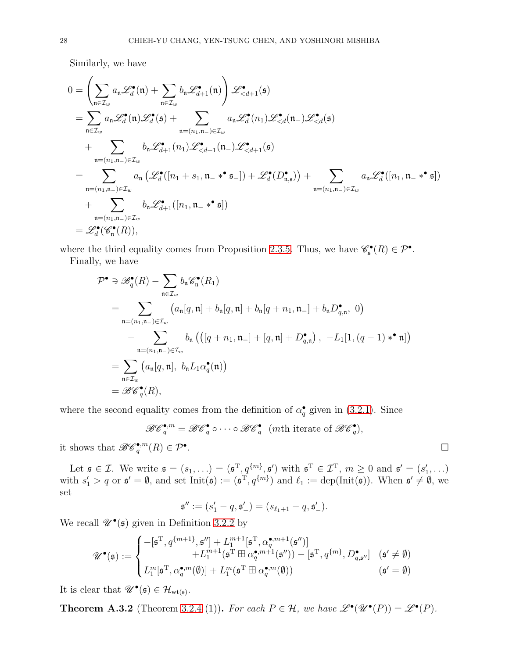Similarly, we have

$$
0 = \left(\sum_{\mathbf{n} \in \mathcal{I}_w} a_{\mathbf{n}} \mathcal{L}_d^{\bullet}(\mathbf{n}) + \sum_{\mathbf{n} \in \mathcal{I}_w} b_{\mathbf{n}} \mathcal{L}_{d+1}^{\bullet}(\mathbf{n})\right) \mathcal{L}_{  
\n
$$
= \sum_{\mathbf{n} \in \mathcal{I}_w} a_{\mathbf{n}} \mathcal{L}_d^{\bullet}(\mathbf{n}) \mathcal{L}_d^{\bullet}(\mathfrak{s}) + \sum_{\mathbf{n} = (n_1, \mathbf{n}_-) \in \mathcal{I}_w} a_{\mathbf{n}} \mathcal{L}_d^{\bullet}(\mathbf{n}_1) \mathcal{L}_{  
\n
$$
+ \sum_{\mathbf{n} = (n_1, \mathbf{n}_-) \in \mathcal{I}_w} b_{\mathbf{n}} \mathcal{L}_{d+1}^{\bullet}(\mathbf{n}_1) \mathcal{L}_{  
\n
$$
= \sum_{\mathbf{n} = (n_1, \mathbf{n}_-) \in \mathcal{I}_w} a_{\mathbf{n}} \left(\mathcal{L}_d^{\bullet}([\mathbf{n}_1 + s_1, \mathbf{n}_- * \mathbf{s}_-]) + \mathcal{L}_d^{\bullet}(\mathbf{D}_{\mathbf{n},\mathbf{s}}^{\bullet})\right) + \sum_{\mathbf{n} = (n_1, \mathbf{n}_-) \in \mathcal{I}_w} a_{\mathbf{n}} \mathcal{L}_d^{\bullet}([\mathbf{n}_1, \mathbf{n}_- * \mathbf{s}_])
$$
  
\n
$$
+ \sum_{\mathbf{n} = (n_1, \mathbf{n}_-) \in \mathcal{I}_w} b_{\mathbf{n}} \mathcal{L}_{d+1}^{\bullet}([\mathbf{n}_1, \mathbf{n}_- * \mathbf{s}_])
$$
  
\n
$$
= \mathcal{L}_d^{\bullet}(\mathcal{C}_{\mathbf{n}}^{\bullet}(\mathbf{R})),
$$
$$
$$
$$

where the third equality comes from Proposition [2.3.5.](#page-8-0) Thus, we have  $\mathscr{C}_{\mathfrak{s}}^{\bullet}(R) \in \mathcal{P}^{\bullet}$ . Finally, we have

$$
\mathcal{P}^{\bullet} \ni \mathscr{B}_{q}^{\bullet}(R) - \sum_{\mathfrak{n} \in \mathcal{I}_{w}} b_{\mathfrak{n}} \mathscr{C}_{\mathfrak{n}}^{\bullet}(R_{1})
$$
\n
$$
= \sum_{\mathfrak{n}=(n_{1},\mathfrak{n}_{-}) \in \mathcal{I}_{w}} (a_{\mathfrak{n}}[q, \mathfrak{n}] + b_{\mathfrak{n}}[q, \mathfrak{n}] + b_{\mathfrak{n}}[q + n_{1}, \mathfrak{n}_{-}] + b_{\mathfrak{n}}D_{q,\mathfrak{n}}^{\bullet}, 0)
$$
\n
$$
- \sum_{\mathfrak{n}=(n_{1},\mathfrak{n}_{-}) \in \mathcal{I}_{w}} b_{\mathfrak{n}} (([q + n_{1}, \mathfrak{n}_{-}] + [q, \mathfrak{n}] + D_{q,\mathfrak{n}}^{\bullet}), -L_{1}[1, (q-1) *^{\bullet} \mathfrak{n}])
$$
\n
$$
= \sum_{\mathfrak{n} \in \mathcal{I}_{w}} (a_{\mathfrak{n}}[q, \mathfrak{n}], b_{\mathfrak{n}}L_{1}\alpha_{q}^{\bullet}(\mathfrak{n}))
$$
\n
$$
= \mathscr{B}\mathscr{C}_{q}^{\bullet}(R),
$$

where the second equality comes from the definition of  $\alpha_q^{\bullet}$  given in [\(3.2.1\)](#page-10-4). Since

 $\mathscr{BC}^{\bullet,m}_q = \mathscr{BC}^\bullet_q \circ \cdots \circ \mathscr{BC}^\bullet_q$  (mth iterate of  $\mathscr{BC}^\bullet_q$ ),

it shows that  $\mathscr{B}\mathscr{C}_q^{\bullet,m}(R) \in \mathcal{P}^{\bullet}$ 

Let  $\mathfrak{s} \in \mathcal{I}$ . We write  $\mathfrak{s} = (s_1, \ldots) = (\mathfrak{s}^T, q^{\{m\}}, \mathfrak{s}')$  with  $\mathfrak{s}^T \in \mathcal{I}^T$ ,  $m \geq 0$  and  $\mathfrak{s}' = (s'_1, \ldots)$ with  $s'_1 > q$  or  $\mathfrak{s}' = \emptyset$ , and set  $Init(\mathfrak{s}) := (\mathfrak{s}^T, q^{\{m\}})$  and  $\ell_1 := \text{dep}(Init(\mathfrak{s}))$ . When  $\mathfrak{s}' \neq \emptyset$ , we set

$$
\mathfrak{s}'':=(s_1'-q,\mathfrak{s}'_-)=(s_{\ell_1+1}-q,\mathfrak{s}'_-).
$$

We recall  $\mathscr{U}^{\bullet}(\mathfrak{s})$  given in Definition [3.2.2](#page-10-1) by

$$
\mathscr{U}^\bullet(\mathfrak{s}) := \begin{cases} -[\mathfrak{s}^{\mathrm{T}},q^{\{m+1\}},\mathfrak{s}''] + L_1^{m+1}[\mathfrak{s}^{\mathrm{T}},\alpha_q^{\bullet,m+1}(\mathfrak{s}'')] \\qquad \qquad + L_1^{m+1}(\mathfrak{s}^{\mathrm{T}} \boxplus \alpha_q^{\bullet,m+1}(\mathfrak{s}'')) - [\mathfrak{s}^{\mathrm{T}},q^{\{m\}},D_{q,\mathfrak{s}''}^\bullet] \quad (\mathfrak{s}' \neq \emptyset) \\ L_1^m[\mathfrak{s}^{\mathrm{T}},\alpha_q^{\bullet,m}(\emptyset)] + L_1^m(\mathfrak{s}^{\mathrm{T}} \boxplus \alpha_q^{\bullet,m}(\emptyset)) \qquad \qquad (\mathfrak{s}' = \emptyset) \end{cases}
$$

It is clear that  $\mathscr{U}^{\bullet}(\mathfrak{s}) \in \mathcal{H}_{\mathrm{wt}(\mathfrak{s})}$ .

<span id="page-27-0"></span>**Theorem A.3.2** (Theorem [3.2.4](#page-10-0) (1)). For each  $P \in \mathcal{H}$ , we have  $\mathscr{L}^{\bullet}(\mathscr{U}^{\bullet}(P)) = \mathscr{L}^{\bullet}(P)$ .

. In the contract of the contract of the contract of the contract of the contract of the contract of the contract of the contract of the contract of the contract of the contract of the contract of the contract of the contr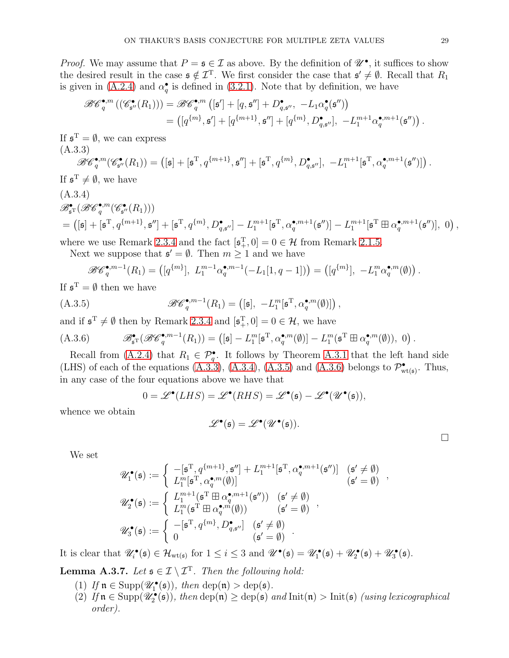*Proof.* We may assume that  $P = \mathfrak{s} \in \mathcal{I}$  as above. By the definition of  $\mathscr{U}^{\bullet}$ , it suffices to show the desired result in the case  $\mathfrak{s} \notin \mathcal{I}^{\mathrm{T}}$ . We first consider the case that  $\mathfrak{s}' \neq \emptyset$ . Recall that  $R_1$ is given in [\(A.2.4\)](#page-25-2) and  $\alpha_q^{\bullet}$  is defined in [\(3.2.1\)](#page-10-4). Note that by definition, we have

$$
\mathscr{B}\mathscr{C}_q^{\bullet,m}\left(\left(\mathscr{C}_{\mathfrak{s}''}^{\bullet}(R_1)\right)\right)=\mathscr{B}\mathscr{C}_q^{\bullet,m}\left([\mathfrak{s}']+[q,\mathfrak{s}'']+D_{q,\mathfrak{s}''}^{\bullet},\ -L_1\alpha_q^{\bullet}(\mathfrak{s}'')\right)
$$

$$
=\left([q^{\{m\}},\mathfrak{s}']+[q^{\{m+1\}},\mathfrak{s}'']+[q^{\{m\}},D_{q,\mathfrak{s}''}^{\bullet}],\ -L_1^{m+1}\alpha_q^{\bullet,m+1}(\mathfrak{s}'')\right).
$$

If  $\mathfrak{s}^T = \emptyset$ , we can express (A.3.3)

<span id="page-28-0"></span>
$$
\mathscr{BC}^{\bullet,m}_q(\mathscr{C}^{\bullet}_{\mathfrak{s}''}(R_1)) = \left([\mathfrak{s}] + [\mathfrak{s}^{\mathrm{T}},q^{\{m+1\}},\mathfrak{s}''] + [\mathfrak{s}^{\mathrm{T}},q^{\{m\}},D^\bullet_{q,\mathfrak{s}''}], -L_1^{m+1}[\mathfrak{s}^{\mathrm{T}},\alpha_q^{\bullet,m+1}(\mathfrak{s}'')]\right)
$$

If  $\mathfrak{s}^T \neq \emptyset$ , we have

<span id="page-28-1"></span>
$$
(A.3.4)
$$
  
\n
$$
\mathscr{B}_{\mathfrak{s}^{\mathrm{T}}}^{\bullet}(\mathscr{B}\mathscr{C}_{q}^{\bullet,m}(\mathscr{C}_{\mathfrak{s}^{\prime\prime}}^{\bullet}(R_{1})))
$$
  
\n
$$
= ([\mathfrak{s}] + [\mathfrak{s}^{\mathrm{T}}, q^{\{m+1\}}, \mathfrak{s}^{\prime\prime}] + [\mathfrak{s}^{\mathrm{T}}, q^{\{m\}}, D_{q,\mathfrak{s}^{\prime\prime}}^{\bullet}] - L_{1}^{m+1}[\mathfrak{s}^{\mathrm{T}}, \alpha_{q}^{\bullet,m+1}(\mathfrak{s}^{\prime\prime})] - L_{1}^{m+1}[\mathfrak{s}^{\mathrm{T}} \boxplus \alpha_{q}^{\bullet,m+1}(\mathfrak{s}^{\prime\prime})], 0),
$$

where we use Remark [2.3.4](#page-8-3) and the fact  $[\mathfrak{s}_{+}^{T}, 0] = 0 \in \mathcal{H}$  from Remark [2.1.5.](#page-6-1)

Next we suppose that  $\mathfrak{s}' = \emptyset$ . Then  $m \geq 1$  and we have

$$
\mathscr{B}\mathscr{C}_q^{\bullet,m-1}(R_1) = ([q^{\{m\}}], L_1^{m-1} \alpha_q^{\bullet,m-1}(-L_1[1,q-1])) = ([q^{\{m\}}], -L_1^m \alpha_q^{\bullet,m}(\emptyset)).
$$

If  $\mathfrak{s}^T = \emptyset$  then we have

<span id="page-28-2"></span>
$$
(A.3.5) \qquad \mathscr{B}\mathscr{C}_q^{\bullet,m-1}(R_1) = ([\mathfrak{s}], -L_1^m[\mathfrak{s}^{\mathrm{T}}, \alpha_q^{\bullet,m}(\emptyset)])\,,
$$

and if  $\mathfrak{s}^T \neq \emptyset$  then by Remark [2.3.4](#page-8-3) and  $[\mathfrak{s}^T_+, 0] = 0 \in \mathcal{H}$ , we have

<span id="page-28-3"></span>(A.3.6) 
$$
\mathscr{B}_{\mathfrak{s}^{\mathbf{T}}}(\mathscr{B}\mathscr{C}_{q}^{\bullet,m-1}(R_1)) = ([\mathfrak{s}] - L_1^m[\mathfrak{s}^{\mathbf{T}}, \alpha_q^{\bullet,m}(\emptyset)] - L_1^m(\mathfrak{s}^{\mathbf{T}} \boxplus \alpha_q^{\bullet,m}(\emptyset)), 0).
$$

Recall from [\(A.2.4\)](#page-25-2) that  $R_1 \in \mathcal{P}_q^{\bullet}$ . It follows by Theorem [A.3.1](#page-26-1) that the left hand side (LHS) of each of the equations [\(A.3.3\)](#page-28-0), [\(A.3.4\)](#page-28-1), [\(A.3.5\)](#page-28-2) and [\(A.3.6\)](#page-28-3) belongs to  $\mathcal{P}^{\bullet}_{\text{wt(s)}}$ . Thus, in any case of the four equations above we have that

$$
0 = \mathscr{L}^{\bullet}(LHS) = \mathscr{L}^{\bullet}(RHS) = \mathscr{L}^{\bullet}(\mathfrak{s}) - \mathscr{L}^{\bullet}(\mathscr{U}^{\bullet}(\mathfrak{s})),
$$

whence we obtain

$$
\mathscr{L}^\bullet(\mathfrak{s}) = \mathscr{L}^\bullet(\mathscr{U}^\bullet(\mathfrak{s})).
$$

We set

$$
\mathscr{U}_{1}^{\bullet}(\mathfrak{s}) := \begin{cases}\n-[{\mathfrak{s}}^{T}, q^{\{m+1\}}, {\mathfrak{s}}''] + L_{1}^{m+1}[{\mathfrak{s}}^{T}, \alpha_{q}^{\bullet, m+1}({\mathfrak{s}}'')] & (\mathfrak{s}' \neq \emptyset) \\
L_{1}^{m}[{\mathfrak{s}}^{T}, \alpha_{q}^{\bullet, m}(\emptyset)] & (\mathfrak{s}' = \emptyset)\n\end{cases},
$$
\n
$$
\mathscr{U}_{2}^{\bullet}(\mathfrak{s}) := \begin{cases}\nL_{1}^{m+1}({\mathfrak{s}}^{T} \boxplus \alpha_{q}^{\bullet, m+1}({\mathfrak{s}}'') & (\mathfrak{s}' \neq \emptyset) \\
L_{1}^{m}({\mathfrak{s}}^{T} \boxplus \alpha_{q}^{\bullet, m}(\emptyset)) & (\mathfrak{s}' = \emptyset)\n\end{cases},
$$
\n
$$
\mathscr{U}_{3}^{\bullet}(\mathfrak{s}) := \begin{cases}\n-[{\mathfrak{s}}^{T}, q^{\{m\}}, D_{q,{\mathfrak{s}}''}^{\bullet}] & (\mathfrak{s}' \neq \emptyset) \\
0 & (\mathfrak{s}' = \emptyset)\n\end{cases}.
$$

It is clear that  $\mathscr{U}_i^{\bullet}(\mathfrak{s}) \in \mathcal{H}_{\text{wt}(\mathfrak{s})}$  for  $1 \leq i \leq 3$  and  $\mathscr{U}^{\bullet}(\mathfrak{s}) = \mathscr{U}_1^{\bullet}(\mathfrak{s}) + \mathscr{U}_2^{\bullet}(\mathfrak{s}) + \mathscr{U}_3^{\bullet}(\mathfrak{s})$ .

<span id="page-28-4"></span>**Lemma A.3.7.** Let  $\mathfrak{s} \in \mathcal{I} \setminus \mathcal{I}^T$ . Then the following hold:

- (1) If  $\mathfrak{n} \in \text{Supp}(\mathscr{U}_1^{\bullet}(\mathfrak{s}))$ , then  $\text{dep}(\mathfrak{n}) > \text{dep}(\mathfrak{s})$ .
- (2) If  $\mathfrak{n} \in \text{Supp}(\mathscr{U}_2^{\bullet}(\mathfrak{s}))$ , then  $\text{dep}(\mathfrak{n}) \geq \text{dep}(\mathfrak{s})$  and  $\text{Init}(\mathfrak{n}) > \text{Init}(\mathfrak{s})$  (using lexicographical order).

.

 $\Box$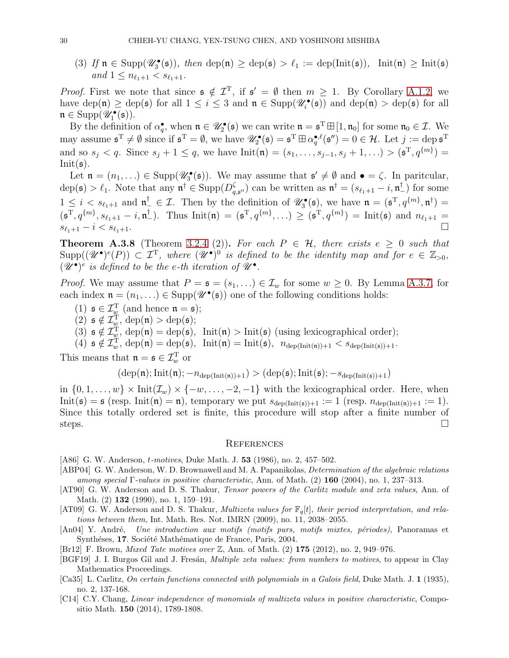(3) If  $\mathfrak{n} \in \text{Supp}(\mathscr{U}_3^{\bullet}(\mathfrak{s}))$ , then  $\text{dep}(\mathfrak{n}) \geq \text{dep}(\mathfrak{s}) > \ell_1 := \text{dep}(\text{Init}(\mathfrak{s}))$ ,  $\text{Init}(\mathfrak{n}) \geq \text{Init}(\mathfrak{s})$ and  $1 \leq n_{\ell_1+1} \leq s_{\ell_1+1}$ .

*Proof.* First we note that since  $\mathfrak{s} \notin \mathcal{I}^T$ , if  $\mathfrak{s}' = \emptyset$  then  $m \geq 1$ . By Corollary [A.1.2,](#page-25-3) we have dep(n)  $\geq$  dep( $\mathfrak{s}$ ) for all  $1 \leq i \leq 3$  and  $\mathfrak{n} \in \text{Supp}(\mathscr{U}_i^{\bullet}(\mathfrak{s}))$  and dep( $\mathfrak{n}$ )  $>$  dep( $\mathfrak{s}$ ) for all  $\mathfrak{n} \in \text{Supp}(\mathscr{U}_1^{\bullet}(\mathfrak{s})).$ 

By the definition of  $\alpha_q^{\bullet}$ , when  $\mathfrak{n} \in \mathscr{U}_2^{\bullet}(\mathfrak{s})$  we can write  $\mathfrak{n} = \mathfrak{s}^{\mathrm{T}} \boxplus [1, \mathfrak{n}_0]$  for some  $\mathfrak{n}_0 \in \mathcal{I}$ . We may assume  $\mathfrak{s}^T \neq \emptyset$  since if  $\mathfrak{s}^T = \emptyset$ , we have  $\mathscr{U}_2^{\bullet}(\mathfrak{s}) = \mathfrak{s}^T \boxplus \alpha_q^{\bullet,\ell}(\mathfrak{s}'') = 0 \in \mathcal{H}$ . Let  $j := \text{dep } \mathfrak{s}^T$ and so  $s_j < q$ . Since  $s_j + 1 \leq q$ , we have  $Init(\mathfrak{n}) = (s_1, \ldots, s_{j-1}, s_j + 1, \ldots) > (\mathfrak{s}^T, q^{\{m\}}) =$  $Init(s)$ .

Let  $\mathfrak{n} = (n_1, \ldots) \in \text{Supp}(\mathscr{U}_3^{\bullet}(\mathfrak{s}))$ . We may assume that  $\mathfrak{s}' \neq \emptyset$  and  $\bullet = \zeta$ . In paritcular,  $dep(\mathfrak{s}) > \ell_1$ . Note that any  $\mathfrak{n}^{\dagger} \in \text{Supp}(D^{\zeta}_{q})$  $\zeta_{q,\mathfrak{s}''}$  can be written as  $\mathfrak{n}^{\dagger} = (s_{\ell_1+1} - i, \mathfrak{n}^{\dagger}_{-})$  for some  $1 \leq i < s_{\ell_1+1}$  and  $\mathfrak{n}^{\dagger} \in \mathcal{I}$ . Then by the definition of  $\mathscr{U}_3^{\bullet}(\mathfrak{s})$ , we have  $\mathfrak{n} = (\mathfrak{s}^{\mathrm{T}}, q^{\{m\}}, \mathfrak{n}^{\dagger}) =$  $(\mathfrak{s}^T, q^{\{m\}}, s_{\ell_1+1} - i, \mathfrak{n}^{\dagger}_-)$ . Thus  $\text{Init}(\mathfrak{n}) = (\mathfrak{s}^T, q^{\{m\}}, \ldots) \ge (\mathfrak{s}^T, q^{\{m\}}) = \text{Init}(\mathfrak{s})$  and  $n_{\ell_1+1} =$  $s_{\ell_1+1} - i < s_{\ell_1+1}.$ 

**Theorem A.3.8** (Theorem [3.2.4](#page-10-0) (2)). For each  $P \in \mathcal{H}$ , there exists  $e \geq 0$  such that  $\text{Supp}((\mathscr{U}^{\bullet})^e(P)) \subset \mathcal{I}^T$ , where  $(\mathscr{U}^{\bullet})^0$  is defined to be the identity map and for  $e \in \mathbb{Z}_{>0}$ ,  $(\mathscr{U}^{\bullet})^e$  is defined to be the e-th iteration of  $\mathscr{U}^{\bullet}$ .

*Proof.* We may assume that  $P = \mathfrak{s} = (s_1, \ldots) \in \mathcal{I}_w$  for some  $w \geq 0$ . By Lemma [A.3.7,](#page-28-4) for each index  $\mathfrak{n} = (n_1, \ldots) \in \text{Supp}(\mathscr{U}^{\bullet}(\mathfrak{s}))$  one of the following conditions holds:

- (1)  $\mathfrak{s} \in \mathcal{I}_{\underline{w}}^{T}$  (and hence  $\mathfrak{n} = \mathfrak{s}$ );
- (2)  $\mathfrak{s} \notin \mathcal{I}_{\underline{w}}^{T}$ , dep $(\mathfrak{n}) >$  dep $(\mathfrak{s})$ ;

(3)  $\mathfrak{s} \notin \mathcal{I}_{\underline{w}}^{T}$ , dep $(\mathfrak{n}) = \text{dep}(\mathfrak{s})$ , Init $(\mathfrak{n}) > \text{Init}(\mathfrak{s})$  (using lexicographical order);

(4)  $\mathfrak{s} \notin \mathcal{I}_{w}^{T}$ ,  $\text{dep}(\mathfrak{n}) = \text{dep}(\mathfrak{s})$ ,  $\text{Init}(\mathfrak{n}) = \text{Init}(\mathfrak{s})$ ,  $n_{\text{dep}(\text{Init}(\mathfrak{n})) + 1} < s_{\text{dep}(\text{Init}(\mathfrak{s})) + 1}$ .

This means that  $\mathfrak{n} = \mathfrak{s} \in \mathcal{I}_{w}^{\mathrm{T}}$  or

$$
(\mathrm{dep}(\mathfrak{n});\mathrm{Init}(\mathfrak{n});-n_{\mathrm{dep}(\mathrm{Init}(\mathfrak{n}))+1})>(\mathrm{dep}(\mathfrak{s});\mathrm{Init}(\mathfrak{s});-s_{\mathrm{dep}(\mathrm{Init}(\mathfrak{s}))+1})
$$

in  $\{0, 1, \ldots, w\}$  × Init $(\mathcal{I}_w)$  ×  $\{-w, \ldots, -2, -1\}$  with the lexicographical order. Here, when  $Init(\mathfrak{s}) = \mathfrak{s}$  (resp.  $Init(\mathfrak{n}) = \mathfrak{n}$ ), temporary we put  $s_{dep(Init(\mathfrak{s})) + 1} := 1$  (resp.  $n_{dep(Init(\mathfrak{n})) + 1} := 1$ ). Since this totally ordered set is finite, this procedure will stop after a finite number of steps.  $\square$ 

#### **REFERENCES**

- <span id="page-29-8"></span>[A86] G. W. Anderson, t-motives, Duke Math. J. 53 (1986), no. 2, 457–502.
- <span id="page-29-7"></span>[ABP04] G. W. Anderson, W. D. Brownawell and M. A. Papanikolas, Determination of the algebraic relations among special Γ-values in positive characteristic, Ann. of Math.  $(2)$  160 (2004), no. 1, 237–313.
- <span id="page-29-5"></span>[AT90] G. W. Anderson and D. S. Thakur, *Tensor powers of the Carlitz module and zeta values*, Ann. of Math. (2) **132** (1990), no. 1, 159–191.
- <span id="page-29-6"></span>[AT09] G. W. Anderson and D. S. Thakur, *Multizeta values for*  $\mathbb{F}_q[t]$ , their period interpretation, and relations between them, Int. Math. Res. Not. IMRN (2009), no. 11, 2038–2055.
- <span id="page-29-0"></span>[An04] Y. André, Une introduction aux motifs (motifs purs, motifs mixtes, périodes), Panoramas et Synthéses, 17. Société Mathématique de France, Paris, 2004.

<span id="page-29-2"></span>[Br12] F. Brown, Mixed Tate motives over Z, Ann. of Math. (2) 175 (2012), no. 2, 949–976.

- <span id="page-29-1"></span>[BGF19] J. I. Burgos Gil and J. Fresán, *Multiple zeta values: from numbers to motives*, to appear in Clay Mathematics Proceedings.
- <span id="page-29-3"></span>[Ca35] L. Carlitz, On certain functions connected with polynomials in a Galois field, Duke Math. J. 1 (1935), no. 2, 137-168.
- <span id="page-29-4"></span>[C14] C.Y. Chang, Linear independence of monomials of multizeta values in positive characteristic, Compositio Math. 150 (2014), 1789-1808.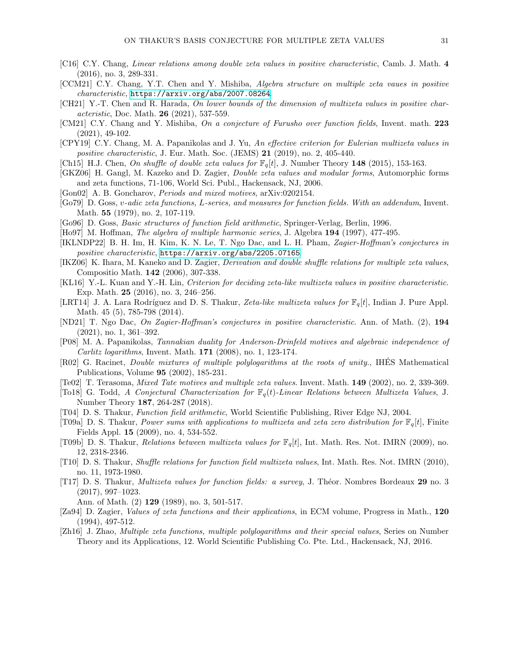- <span id="page-30-24"></span>[C16] C.Y. Chang, Linear relations among double zeta values in positive characteristic, Camb. J. Math. 4 (2016), no. 3, 289-331.
- [CCM21] C.Y. Chang, Y.T. Chen and Y. Mishiba, Algebra structure on multiple zeta vaues in positive characteristic, <https://arxiv.org/abs/2007.08264>.
- <span id="page-30-20"></span>[CH21] Y.-T. Chen and R. Harada, On lower bounds of the dimension of multizeta values in positive characteristic, Doc. Math. 26 (2021), 537-559.
- <span id="page-30-14"></span>[CM21] C.Y. Chang and Y. Mishiba, On a conjecture of Furusho over function fields, Invent. math. 223 (2021), 49-102.
- <span id="page-30-17"></span>[CPY19] C.Y. Chang, M. A. Papanikolas and J. Yu, An effective criterion for Eulerian multizeta values in positive characteristic, J. Eur. Math. Soc. (JEMS)  $21$  (2019), no. 2, 405-440.
- <span id="page-30-16"></span>[Ch15] H.J. Chen, On shuffle of double zeta values for  $\mathbb{F}_q[t]$ , J. Number Theory 148 (2015), 153-163.
- <span id="page-30-4"></span>[GKZ06] H. Gangl, M. Kazeko and D. Zagier, Double zeta values and modular forms, Automorphic forms and zeta functions, 71-106, World Sci. Publ., Hackensack, NJ, 2006.
- <span id="page-30-3"></span>[Gon02] A. B. Goncharov, Periods and mixed motives, arXiv:0202154.
- <span id="page-30-15"></span>[Go79] D. Goss, v-adic zeta functions, L-series, and measures for function fields. With an addendum, Invent. Math. 55 (1979), no. 2, 107-119.
- <span id="page-30-21"></span>[Go96] D. Goss, Basic structures of function field arithmetic, Springer-Verlag, Berlin, 1996.
- <span id="page-30-8"></span>[Ho97] M. Hoffman, *The algebra of multiple harmonic series*, J. Algebra 194 (1997), 477-495.
- <span id="page-30-19"></span>[IKLNDP22] B. H. Im, H. Kim, K. N. Le, T. Ngo Dac, and L. H. Pham, Zagier-Hoffman's conjectures in positive characteristic, <https://arxiv.org/abs/2205.07165>.
- <span id="page-30-7"></span>[IKZ06] K. Ihara, M. Kaneko and D. Zagier, Derivation and double shuffle relations for multiple zeta values, Compositio Math. 142 (2006), 307-338.
- <span id="page-30-23"></span>[KL16] Y.-L. Kuan and Y.-H. Lin, Criterion for deciding zeta-like multizeta values in positive characteristic. Exp. Math. 25 (2016), no. 3, 246–256.
- <span id="page-30-18"></span>[LRT14] J. A. Lara Rodríguez and D. S. Thakur, Zeta-like multizeta values for  $\mathbb{F}_q[t]$ , Indian J. Pure Appl. Math. 45 (5), 785-798 (2014).
- <span id="page-30-13"></span>[ND21] T. Ngo Dac, On Zagier-Hoffman's conjectures in positive characteristic. Ann. of Math. (2), 194 (2021), no. 1, 361–392.
- <span id="page-30-22"></span>[P08] M. A. Papanikolas, Tannakian duality for Anderson-Drinfeld motives and algebraic independence of Carlitz logarithms, Invent. Math. 171 (2008), no. 1, 123-174.
- <span id="page-30-6"></span>[R02] G. Racinet, Double mixtures of multiple polylogarithms at the roots of unity., IHES Mathematical ´ Publications, Volume 95 (2002), 185-231.
- <span id="page-30-2"></span>[Te02] T. Terasoma, Mixed Tate motives and multiple zeta values. Invent. Math. 149 (2002), no. 2, 339-369.
- <span id="page-30-11"></span>[To18] G. Todd, A Conjectural Characterization for  $\mathbb{F}_q(t)$ -Linear Relations between Multizeta Values, J. Number Theory 187, 264-287 (2018).
- <span id="page-30-0"></span>[T04] D. S. Thakur, Function field arithmetic, World Scientific Publishing, River Edge NJ, 2004.
- <span id="page-30-9"></span>[T09a] D. S. Thakur, Power sums with applications to multizeta and zeta zero distribution for  $\mathbb{F}_q[t]$ , Finite Fields Appl. 15 (2009), no. 4, 534-552.
- <span id="page-30-25"></span>[T09b] D. S. Thakur, Relations between multizeta values for  $\mathbb{F}_q[t]$ , Int. Math. Res. Not. IMRN (2009), no. 12, 2318-2346.
- <span id="page-30-10"></span>[T10] D. S. Thakur, Shuffle relations for function field multizeta values, Int. Math. Res. Not. IMRN (2010), no. 11, 1973-1980.
- <span id="page-30-12"></span>[T17] D. S. Thakur, Multizeta values for function fields: a survey, J. Th´eor. Nombres Bordeaux 29 no. 3 (2017), 997–1023.
	- Ann. of Math. (2) 129 (1989), no. 3, 501-517.
- <span id="page-30-1"></span>[Za94] D. Zagier, Values of zeta functions and their applications, in ECM volume, Progress in Math., 120 (1994), 497-512.
- <span id="page-30-5"></span>[Zh16] J. Zhao, Multiple zeta functions, multiple polylogarithms and their special values, Series on Number Theory and its Applications, 12. World Scientific Publishing Co. Pte. Ltd., Hackensack, NJ, 2016.